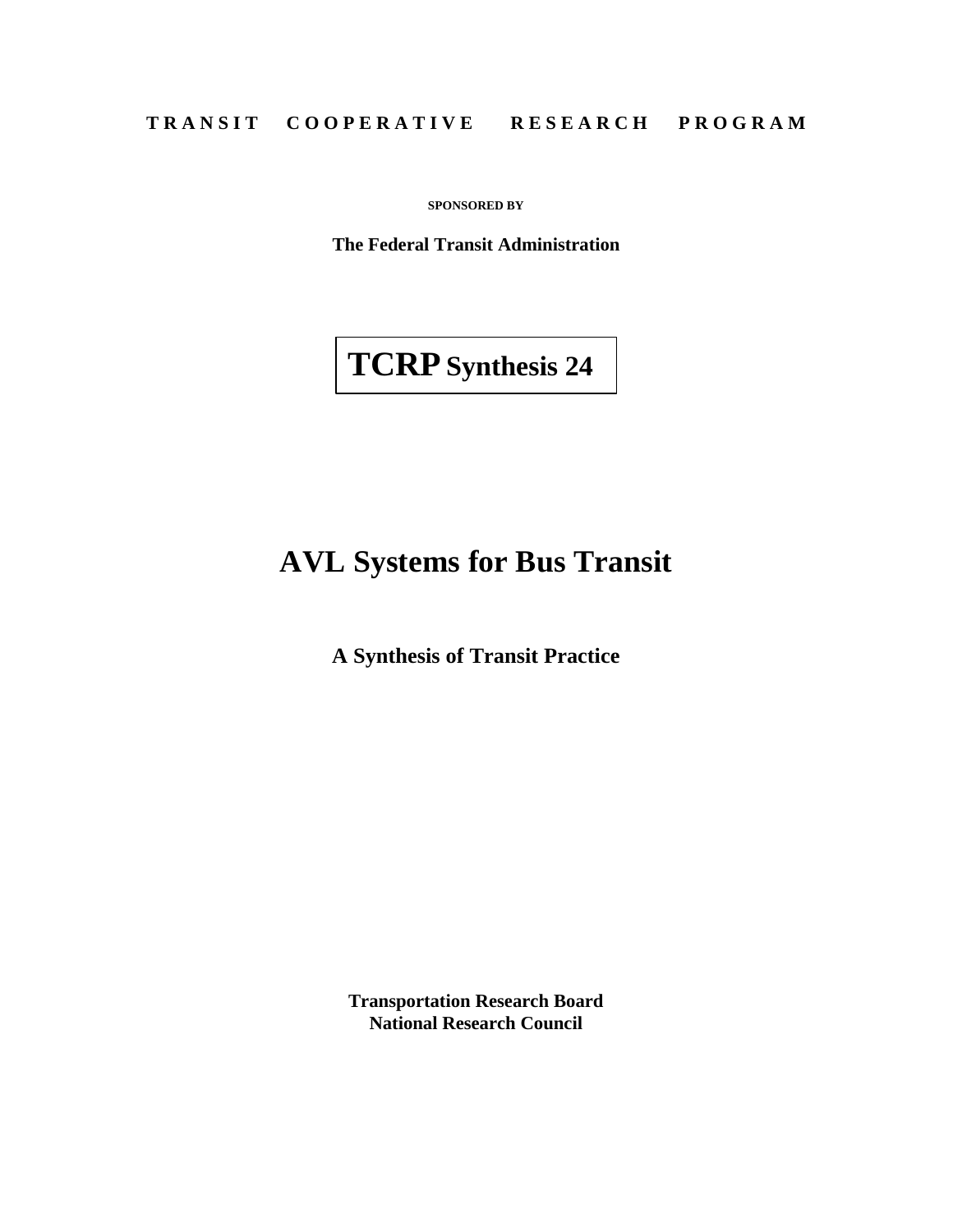**SPONSORED BY**

**The Federal Transit Administration**

# **TCRPSynthesis 24**

# **AVL Systems for Bus Transit**

**A Synthesis of Transit Practice**

**Transportation Research Board National Research Council**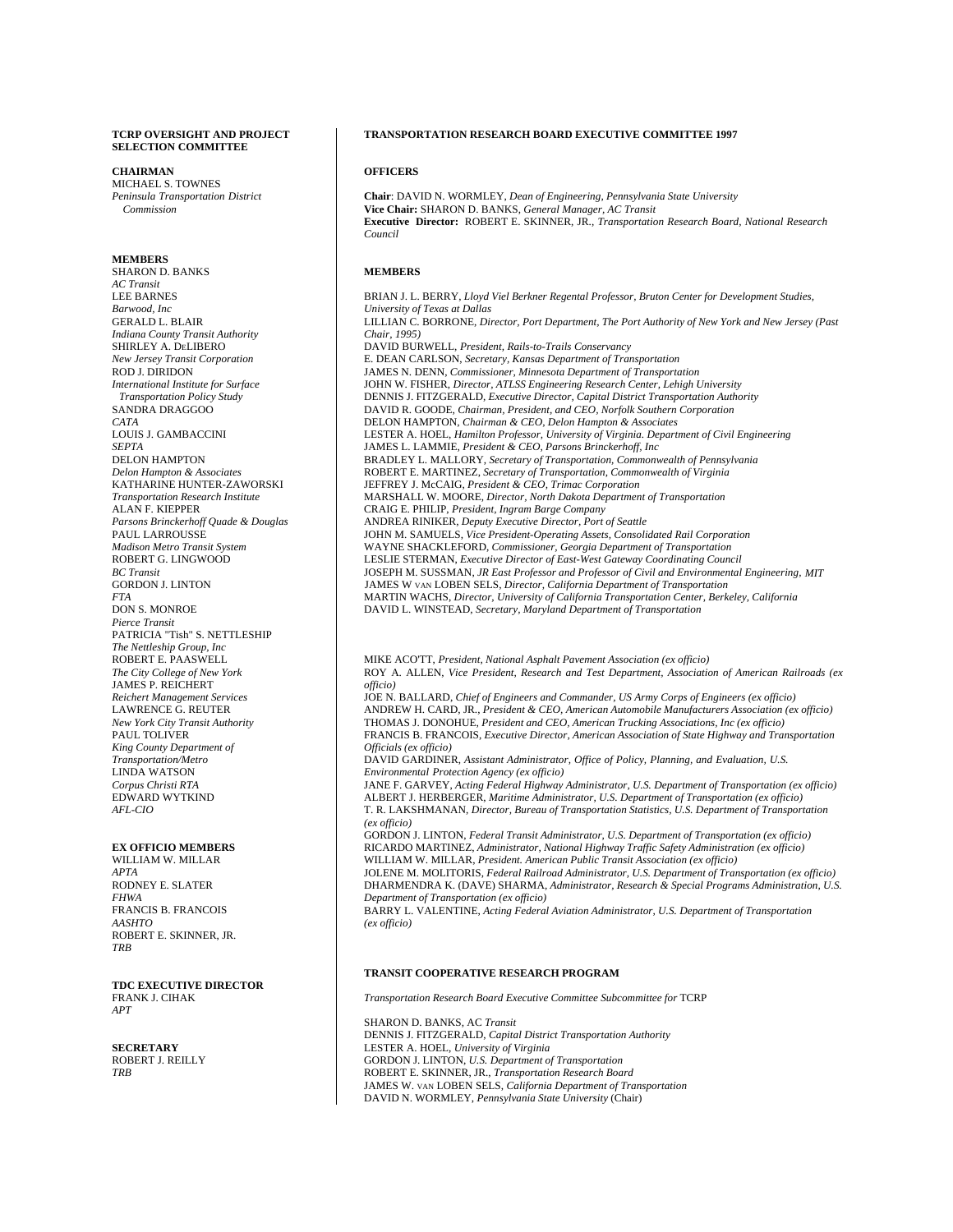#### **TCRP OVERSIGHT AND PROJECT SELECTION COMMITTEE**

**CHAIRMAN** MICHAEL S. TOWNES *Peninsula Transportation District*

 *Commission*

**MEMBERS** SHARON D. BANKS *AC Transit* LEE BARNES *Barwood, Inc* GERALD L. BLAIR *Indiana County Transit Authority* SHIRLEY A. DELIBERO *New Jersey Transit Corporation* ROD J. DIRIDON *International Institute for Surface Transportation Policy Study* SANDRA DRAGGOO *CATA* LOUIS J. GAMBACCINI *SEPTA* DELON HAMPTON *Delon Hampton & Associates* KATHARINE HUNTER-ZAWORSKI *Transportation Research Institute* ALAN F. KIEPPER *Parsons Brinckerhoff Quade & Douglas* PAUL LARROUSSE *Madison Metro Transit System* ROBERT G. LINGWOOD *BC Transit* GORDON J. LINTON *FTA* DON S. MONROE *Pierce Transit* PATRICIA "Tish" S. NETTLESHIP *The Nettleship Group, Inc* ROBERT E. PAASWELL *The City College of New York* JAMES P. REICHERT *Reichert Management Services* LAWRENCE G. REUTER *New York City Transit Authority* PAUL TOLIVER *King County Department of Transportation/Metro* LINDA WATSON *Corpus Christi RTA* EDWARD WYTKIND *AFL-CIO*

**EX OFFICIO MEMBERS** WILLIAM W. MILLAR *APTA* RODNEY E. SLATER *FHWA* FRANCIS B. FRANCOIS *AASHTO* ROBERT E. SKINNER, JR. *TRB*

**TDC EXECUTIVE DIRECTOR** FRANK J. CIHAK *APT*

**SECRETARY** ROBERT J. REILLY *TRB*

#### **TRANSPORTATION RESEARCH BOARD EXECUTIVE COMMITTEE 1997**

#### **OFFICERS**

**Chair**: DAVID N. WORMLEY, *Dean of Engineering, Pennsylvania State University* **Vice Chair:** SHARON D. BANKS, *General Manager, AC Transit* **Executive Director:** ROBERT E. SKINNER, JR., *Transportation Research Board, National Research Council*

#### **MEMBERS**

BRIAN J. L. BERRY, *Lloyd Viel Berkner Regental Professor, Bruton Center for Development Studies, University of Texas at Dallas* LILLIAN C. BORRONE, *Director, Port Department, The Port Authority of New York and New Jersey (Past Chair, 1995)* DAVID BURWELL, *President, Rails-to-Trails Conservancy* E. DEAN CARLSON, *Secretary, Kansas Department of Transportation* JAMES N. DENN, *Commissioner, Minnesota Department of Transportation* JOHN W. FISHER, *Director, ATLSS Engineering Research Center, Lehigh University* DENNIS J. FITZGERALD, *Executive Director, Capital District Transportation Authority* DAVID R. GOODE, *Chairman, President, and CEO, Norfolk Southern Corporation* DELON HAMPTON, *Chairman & CEO, Delon Hampton & Associates* LESTER A. HOEL, *Hamilton Professor, University of Virginia. Department of Civil Engineering* JAMES L. LAMMIE, *President & CEO, Parsons Brinckerhoff, Inc* BRADLEY L. MALLORY, *Secretary of Transportation, Commonwealth of Pennsylvania* ROBERT E. MARTINEZ, *Secretary of Transportation, Commonwealth of Virginia* JEFFREY J. McCAIG, *President & CEO, Trimac Corporation* MARSHALL W. MOORE, *Director, North Dakota Department of Transportation* CRAIG E. PHILIP, *President, Ingram Barge Company* ANDREA RINIKER, *Deputy Executive Director, Port of Seattle* JOHN M. SAMUELS, *Vice President-Operating Assets, Consolidated Rail Corporation* WAYNE SHACKLEFORD, *Commissioner, Georgia Department of Transportation* LESLIE STERMAN, *Executive Director of East-West Gateway Coordinating Council* JOSEPH M. SUSSMAN, *JR East Professor and Professor of Civil and Environmental Engineering, MIT*  JAMES W VAN LOBEN SELS, *Director, California Department of Transportation* MARTIN WACHS, *Director, University of California Transportation Center, Berkeley, California* DAVID L. WINSTEAD, *Secretary, Maryland Department of Transportation*

MIKE ACO'TT, *President, National Asphalt Pavement Association (ex officio)* ROY A. ALLEN, *Vice President, Research and Test Department, Association of American Railroads (ex officio)* JOE N. BALLARD, *Chief of Engineers and Commander, US Army Corps of Engineers (ex officio)* ANDREW H. CARD, JR., *President & CEO, American Automobile Manufacturers Association (ex officio)* THOMAS J. DONOHUE, *President and CEO, American Trucking Associations, Inc (ex officio)* FRANCIS B. FRANCOIS, *Executive Director, American Association of State Highway and Transportation Officials (ex officio)* DAVID GARDINER, *Assistant Administrator, Office of Policy, Planning, and Evaluation, U.S. Environmental Protection Agency (ex officio)* JANE F. GARVEY, *Acting Federal Highway Administrator, U.S. Department of Transportation (ex officio)* ALBERT J. HERBERGER, *Maritime Administrator, U.S. Department of Transportation (ex officio)* T. R. LAKSHMANAN, *Director, Bureau of Transportation Statistics, U.S. Department of Transportation (ex officio)* GORDON J. LINTON, *Federal Transit Administrator, U.S. Department of Transportation (ex officio)* RICARDO MARTINEZ, *Administrator, National Highway Traffic Safety Administration (ex officio)* WILLIAM W. MILLAR, *President. American Public Transit Association (ex officio)* JOLENE M. MOLITORIS, *Federal Railroad Administrator, U.S. Department of Transportation (ex officio)* DHARMENDRA K. (DAVE) SHARMA, *Administrator, Research & Special Programs Administration, U.S. Department of Transportation (ex officio)* BARRY L. VALENTINE, *Acting Federal Aviation Administrator, U.S. Department of Transportation (ex officio)*

### **TRANSIT COOPERATIVE RESEARCH PROGRAM**

*Transportation Research Board Executive Committee Subcommittee for* TCRP

SHARON D. BANKS, AC *Transit* DENNIS J. FITZGERALD, *Capital District Transportation Authority* LESTER A. HOEL, *University of Virginia* GORDON J. LINTON, *U.S. Department of Transportation* ROBERT E. SKINNER, JR., *Transportation Research Board* JAMES W. VAN LOBEN SELS, *California Department of Transportation* DAVID N. WORMLEY, *Pennsylvania State University* (Chair)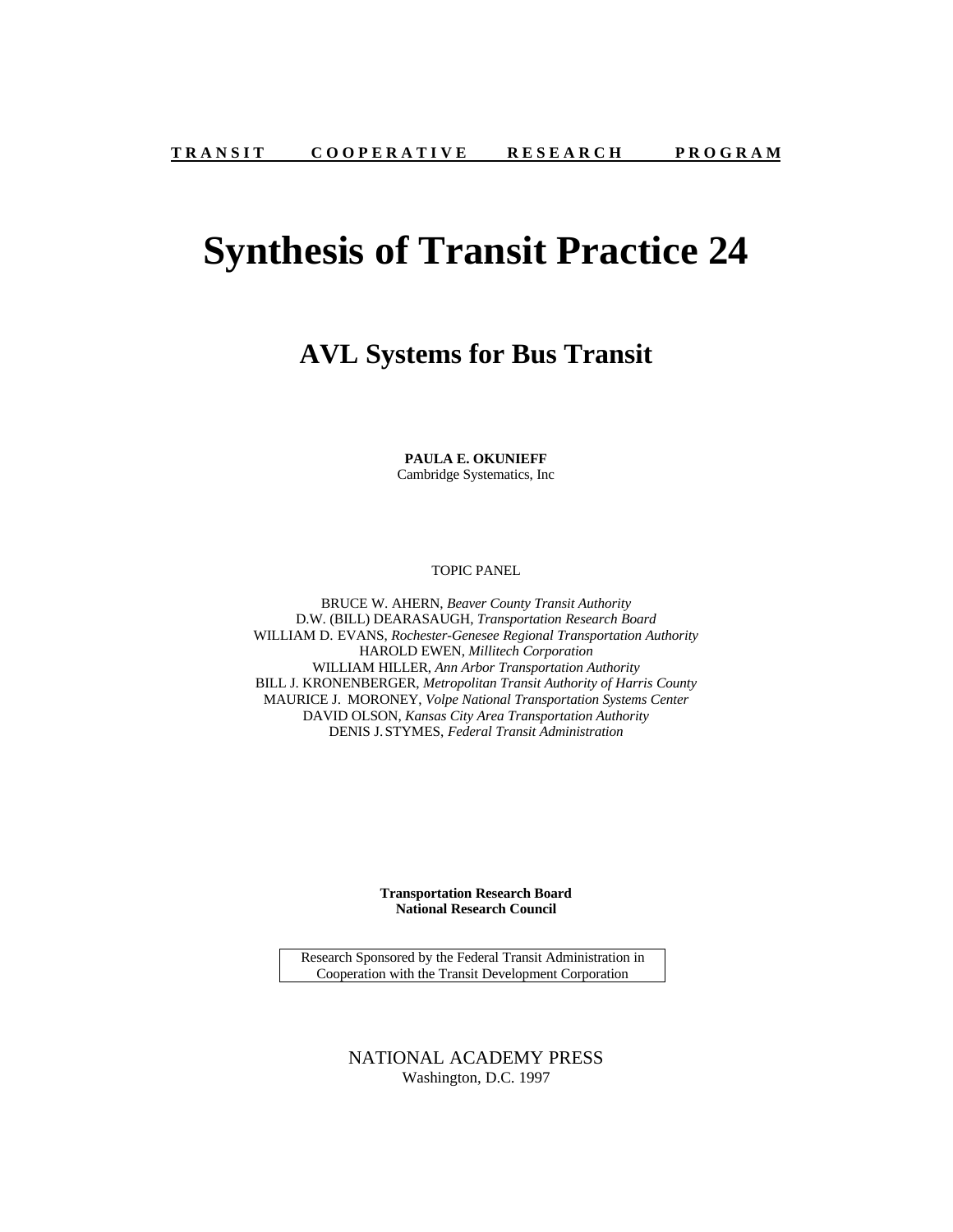# **Synthesis of Transit Practice 24**

# **AVL Systems for Bus Transit**

**PAULA E. OKUNIEFF** Cambridge Systematics, Inc

TOPIC PANEL

BRUCE W. AHERN, *Beaver County Transit Authority* D.W. (BILL) DEARASAUGH, *Transportation Research Board* WILLIAM D. EVANS, *Rochester-Genesee Regional Transportation Authority* HAROLD EWEN, *Millitech Corporation* WILLIAM HILLER, *Ann Arbor Transportation Authority* BILL J. KRONENBERGER, *Metropolitan Transit Authority of Harris County* MAURICE J. MORONEY, *Volpe National Transportation Systems Center* DAVID OLSON, *Kansas City Area Transportation Authority* DENIS J.STYMES, *Federal Transit Administration*

> **Transportation Research Board National Research Council**

Research Sponsored by the Federal Transit Administration in Cooperation with the Transit Development Corporation

> NATIONAL ACADEMY PRESS Washington, D.C. 1997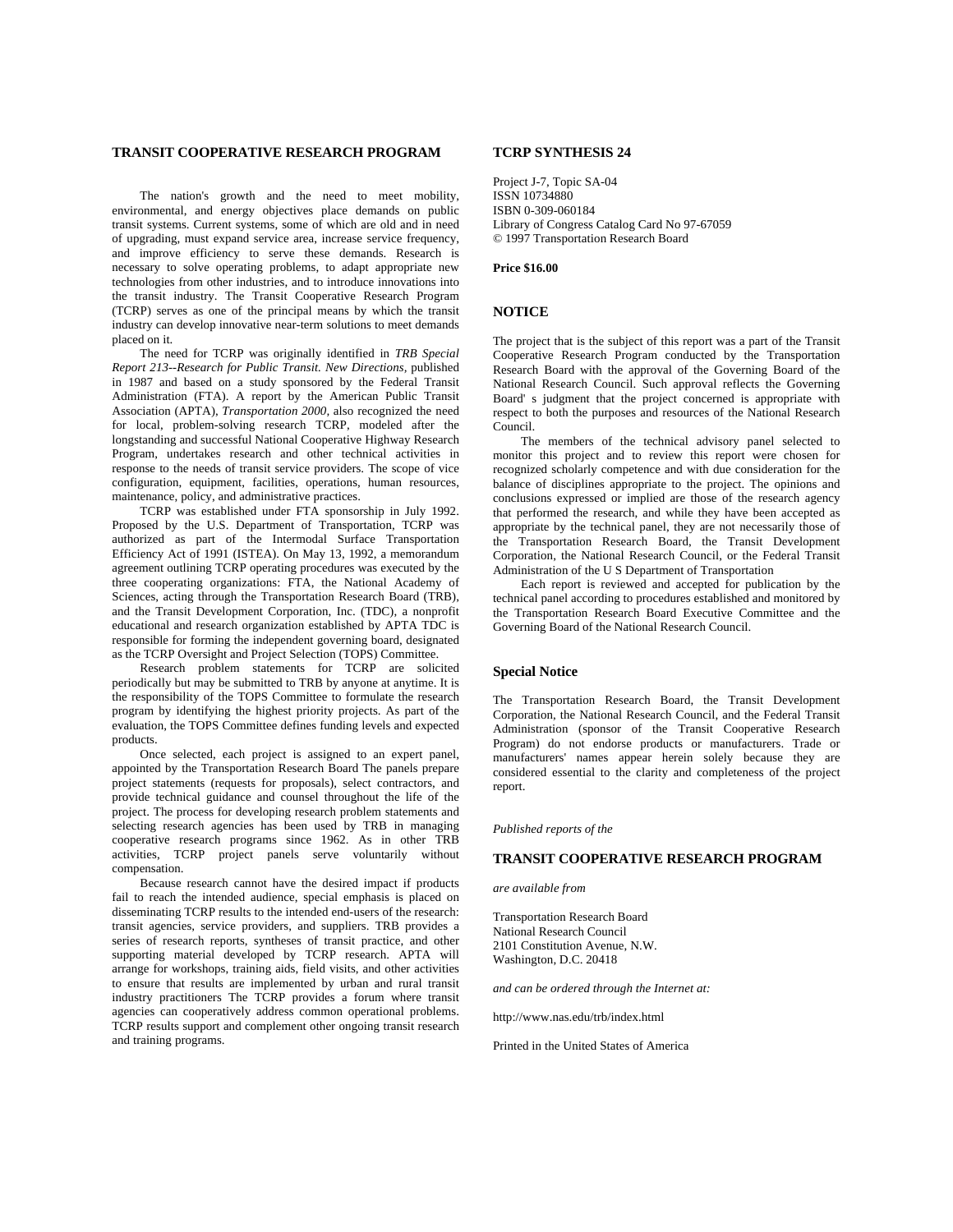#### **TRANSIT COOPERATIVE RESEARCH PROGRAM**

The nation's growth and the need to meet mobility, environmental, and energy objectives place demands on public transit systems. Current systems, some of which are old and in need of upgrading, must expand service area, increase service frequency, and improve efficiency to serve these demands. Research is necessary to solve operating problems, to adapt appropriate new technologies from other industries, and to introduce innovations into the transit industry. The Transit Cooperative Research Program (TCRP) serves as one of the principal means by which the transit industry can develop innovative near-term solutions to meet demands placed on it.

The need for TCRP was originally identified in *TRB Special Report 213--Research for Public Transit. New Directions,* published in 1987 and based on a study sponsored by the Federal Transit Administration (FTA). A report by the American Public Transit Association (APTA), *Transportation 2000,* also recognized the need for local, problem-solving research TCRP, modeled after the longstanding and successful National Cooperative Highway Research Program, undertakes research and other technical activities in response to the needs of transit service providers. The scope of vice configuration, equipment, facilities, operations, human resources, maintenance, policy, and administrative practices.

TCRP was established under FTA sponsorship in July 1992. Proposed by the U.S. Department of Transportation, TCRP was authorized as part of the Intermodal Surface Transportation Efficiency Act of 1991 (ISTEA). On May 13, 1992, a memorandum agreement outlining TCRP operating procedures was executed by the three cooperating organizations: FTA, the National Academy of Sciences, acting through the Transportation Research Board (TRB), and the Transit Development Corporation, Inc. (TDC), a nonprofit educational and research organization established by APTA TDC is responsible for forming the independent governing board, designated as the TCRP Oversight and Project Selection (TOPS) Committee.

Research problem statements for TCRP are solicited periodically but may be submitted to TRB by anyone at anytime. It is the responsibility of the TOPS Committee to formulate the research program by identifying the highest priority projects. As part of the evaluation, the TOPS Committee defines funding levels and expected products.

Once selected, each project is assigned to an expert panel, appointed by the Transportation Research Board The panels prepare project statements (requests for proposals), select contractors, and provide technical guidance and counsel throughout the life of the project. The process for developing research problem statements and selecting research agencies has been used by TRB in managing cooperative research programs since 1962. As in other TRB activities, TCRP project panels serve voluntarily without compensation.

Because research cannot have the desired impact if products fail to reach the intended audience, special emphasis is placed on disseminating TCRP results to the intended end-users of the research: transit agencies, service providers, and suppliers. TRB provides a series of research reports, syntheses of transit practice, and other supporting material developed by TCRP research. APTA will arrange for workshops, training aids, field visits, and other activities to ensure that results are implemented by urban and rural transit industry practitioners The TCRP provides a forum where transit agencies can cooperatively address common operational problems. TCRP results support and complement other ongoing transit research and training programs.

# **TCRP SYNTHESIS 24**

Project J-7, Topic SA-04 ISSN 10734880 ISBN 0-309-060184 Library of Congress Catalog Card No 97-67059 © 1997 Transportation Research Board

#### **Price \$16.00**

#### **NOTICE**

The project that is the subject of this report was a part of the Transit Cooperative Research Program conducted by the Transportation Research Board with the approval of the Governing Board of the National Research Council. Such approval reflects the Governing Board' s judgment that the project concerned is appropriate with respect to both the purposes and resources of the National Research Council.

The members of the technical advisory panel selected to monitor this project and to review this report were chosen for recognized scholarly competence and with due consideration for the balance of disciplines appropriate to the project. The opinions and conclusions expressed or implied are those of the research agency that performed the research, and while they have been accepted as appropriate by the technical panel, they are not necessarily those of the Transportation Research Board, the Transit Development Corporation, the National Research Council, or the Federal Transit Administration of the U S Department of Transportation

Each report is reviewed and accepted for publication by the technical panel according to procedures established and monitored by the Transportation Research Board Executive Committee and the Governing Board of the National Research Council.

#### **Special Notice**

The Transportation Research Board, the Transit Development Corporation, the National Research Council, and the Federal Transit Administration (sponsor of the Transit Cooperative Research Program) do not endorse products or manufacturers. Trade or manufacturers' names appear herein solely because they are considered essential to the clarity and completeness of the project report.

*Published reports of the*

#### **TRANSIT COOPERATIVE RESEARCH PROGRAM**

*are available from*

Transportation Research Board National Research Council 2101 Constitution Avenue, N.W. Washington, D.C. 20418

*and can be ordered through the Internet at:*

http://www.nas.edu/trb/index.html

Printed in the United States of America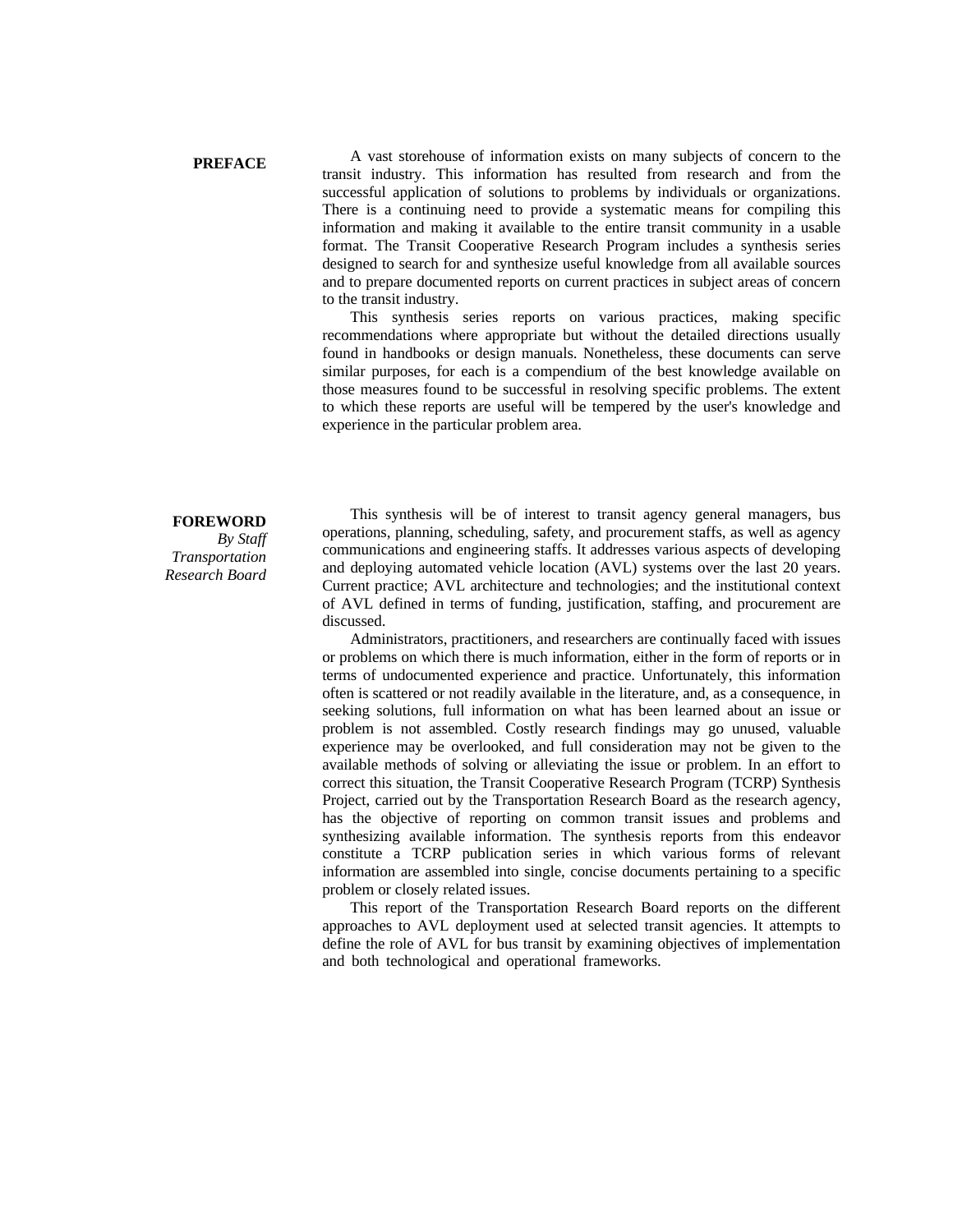A vast storehouse of information exists on many subjects of concern to the transit industry. This information has resulted from research and from the successful application of solutions to problems by individuals or organizations. There is a continuing need to provide a systematic means for compiling this information and making it available to the entire transit community in a usable format. The Transit Cooperative Research Program includes a synthesis series designed to search for and synthesize useful knowledge from all available sources and to prepare documented reports on current practices in subject areas of concern to the transit industry.

This synthesis series reports on various practices, making specific recommendations where appropriate but without the detailed directions usually found in handbooks or design manuals. Nonetheless, these documents can serve similar purposes, for each is a compendium of the best knowledge available on those measures found to be successful in resolving specific problems. The extent to which these reports are useful will be tempered by the user's knowledge and experience in the particular problem area.

### **FOREWORD**

*By Staff Transportation Research Board*

This synthesis will be of interest to transit agency general managers, bus operations, planning, scheduling, safety, and procurement staffs, as well as agency communications and engineering staffs. It addresses various aspects of developing and deploying automated vehicle location (AVL) systems over the last 20 years. Current practice; AVL architecture and technologies; and the institutional context of AVL defined in terms of funding, justification, staffing, and procurement are discussed.

Administrators, practitioners, and researchers are continually faced with issues or problems on which there is much information, either in the form of reports or in terms of undocumented experience and practice. Unfortunately, this information often is scattered or not readily available in the literature, and, as a consequence, in seeking solutions, full information on what has been learned about an issue or problem is not assembled. Costly research findings may go unused, valuable experience may be overlooked, and full consideration may not be given to the available methods of solving or alleviating the issue or problem. In an effort to correct this situation, the Transit Cooperative Research Program (TCRP) Synthesis Project, carried out by the Transportation Research Board as the research agency, has the objective of reporting on common transit issues and problems and synthesizing available information. The synthesis reports from this endeavor constitute a TCRP publication series in which various forms of relevant information are assembled into single, concise documents pertaining to a specific problem or closely related issues.

This report of the Transportation Research Board reports on the different approaches to AVL deployment used at selected transit agencies. It attempts to define the role of AVL for bus transit by examining objectives of implementation and both technological and operational frameworks.

#### **PREFACE**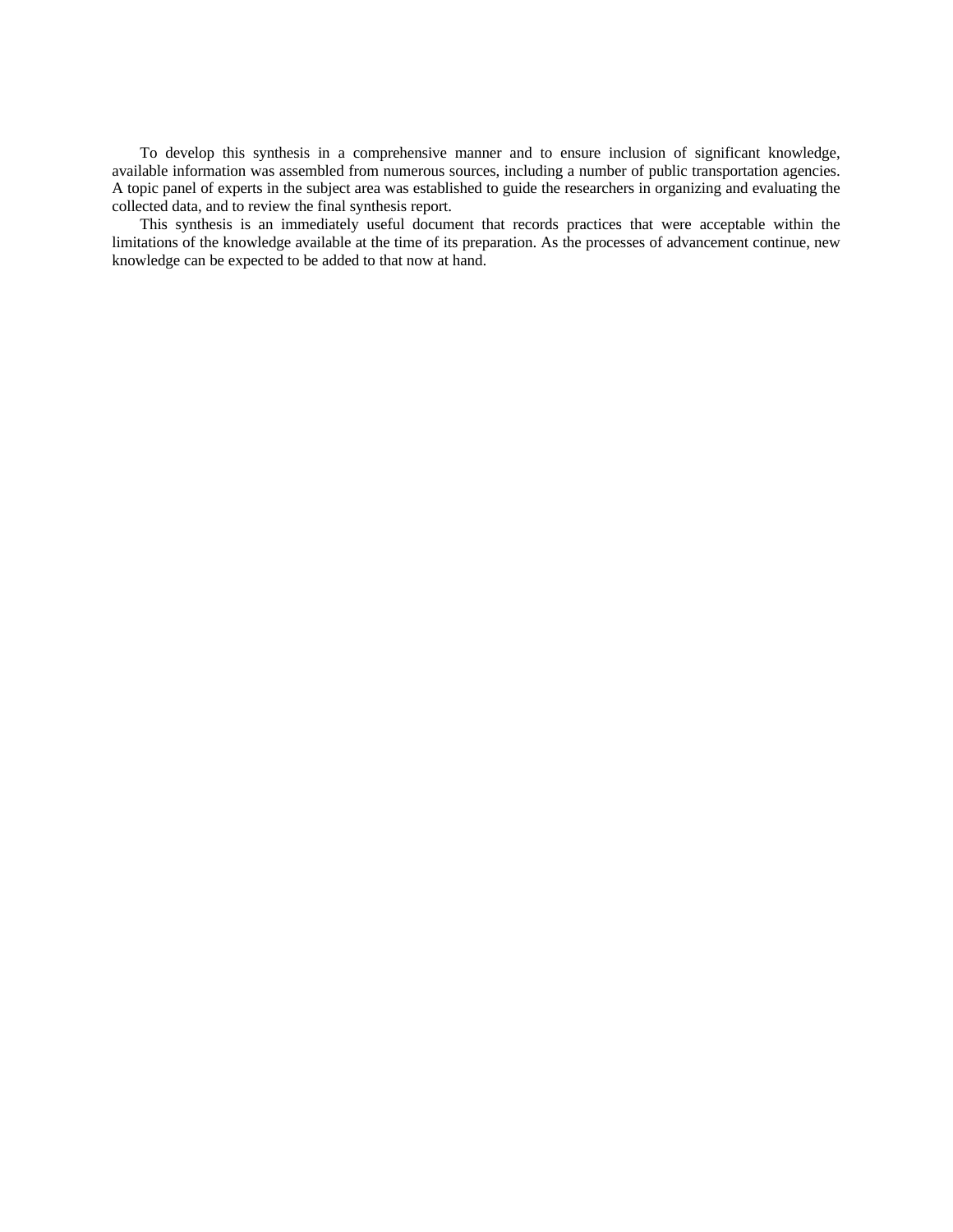To develop this synthesis in a comprehensive manner and to ensure inclusion of significant knowledge, available information was assembled from numerous sources, including a number of public transportation agencies. A topic panel of experts in the subject area was established to guide the researchers in organizing and evaluating the collected data, and to review the final synthesis report.

This synthesis is an immediately useful document that records practices that were acceptable within the limitations of the knowledge available at the time of its preparation. As the processes of advancement continue, new knowledge can be expected to be added to that now at hand.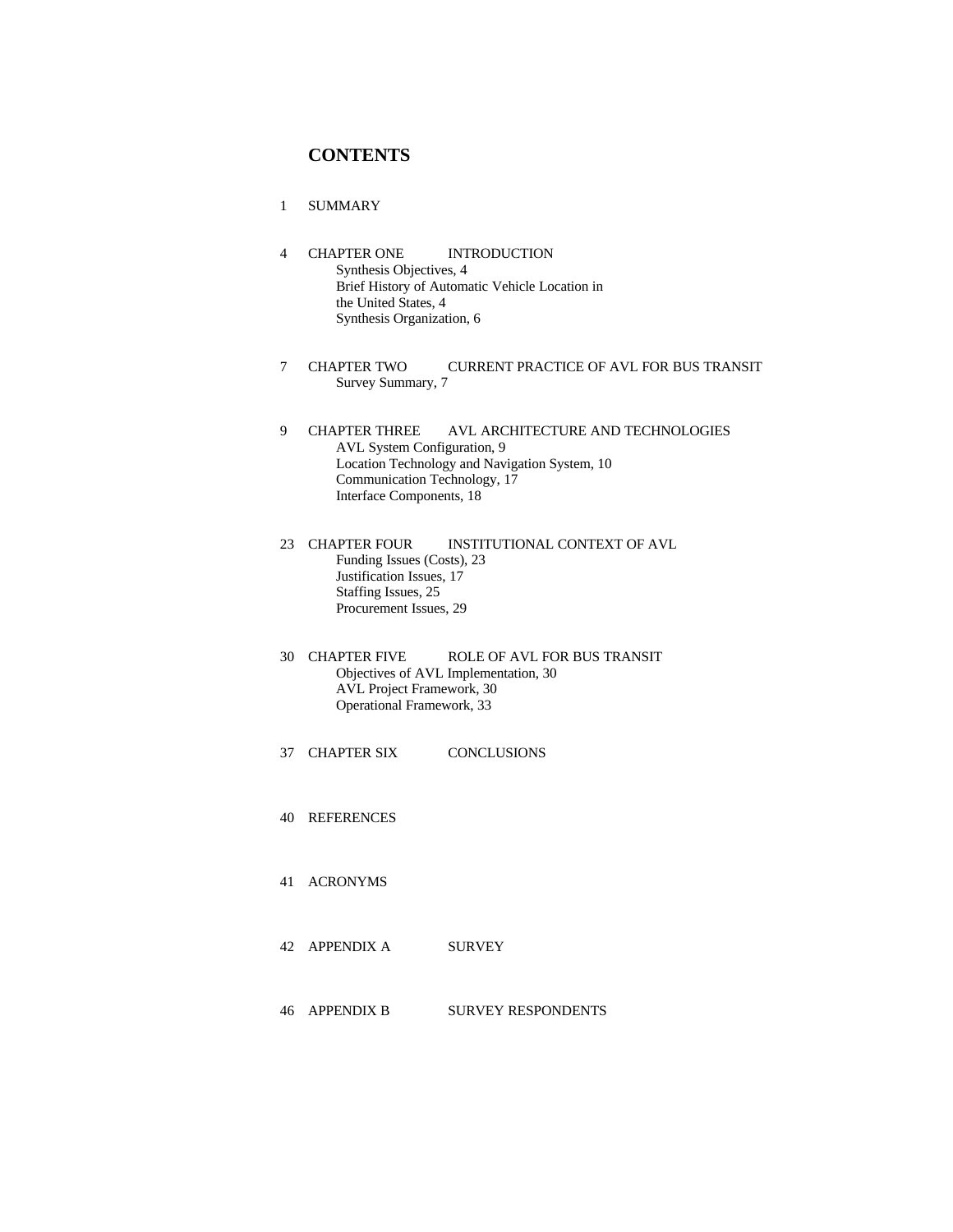# **CONTENTS**

- 1 SUMMARY
- 4 CHAPTER ONE INTRODUCTION Synthesis Objectives, 4 Brief History of Automatic Vehicle Location in the United States, 4 Synthesis Organization, 6
- 7 CHAPTER TWO CURRENT PRACTICE OF AVL FOR BUS TRANSIT Survey Summary, 7
- 9 CHAPTER THREE AVL ARCHITECTURE AND TECHNOLOGIES AVL System Configuration, 9 Location Technology and Navigation System, 10 Communication Technology, 17 Interface Components, 18

23 CHAPTER FOUR INSTITUTIONAL CONTEXT OF AVL Funding Issues (Costs), 23 Justification Issues, 17 Staffing Issues, 25 Procurement Issues, 29

- 30 CHAPTER FIVE ROLE OF AVL FOR BUS TRANSIT Objectives of AVL Implementation, 30 AVL Project Framework, 30 Operational Framework, 33
- 37 CHAPTER SIX CONCLUSIONS
- 40 REFERENCES
- 41 ACRONYMS
- 42 APPENDIX A SURVEY
- 46 APPENDIX B SURVEY RESPONDENTS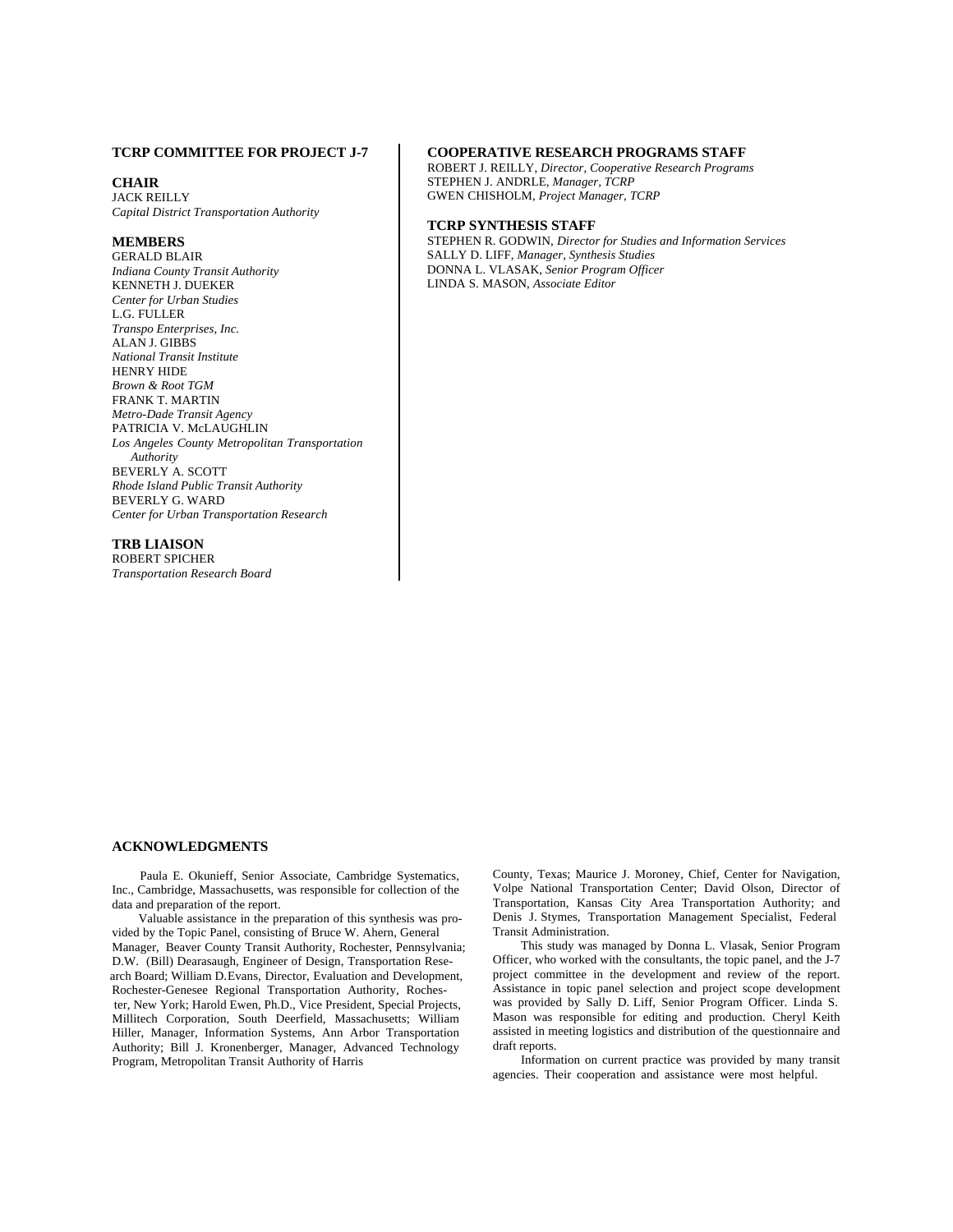#### **TCRP COMMITTEE FOR PROJECT J-7**

**CHAIR** JACK REILLY *Capital District Transportation Authority*

#### **MEMBERS**

GERALD BLAIR *Indiana County Transit Authority* KENNETH J. DUEKER *Center for Urban Studies* L.G. FULLER *Transpo Enterprises, Inc.* ALAN J. GIBBS *National Transit Institute* HENRY HIDE *Brown & Root TGM* FRANK T. MARTIN *Metro-Dade Transit Agency* PATRICIA V. McLAUGHLIN *Los Angeles County Metropolitan Transportation Authority* BEVERLY A. SCOTT *Rhode Island Public Transit Authority* BEVERLY G. WARD *Center for Urban Transportation Research*

# **TRB LIAISON**

ROBERT SPICHER *Transportation Research Board*

# **COOPERATIVE RESEARCH PROGRAMS STAFF**

ROBERT J. REILLY, *Director, Cooperative Research Programs* STEPHEN J. ANDRLE, *Manager, TCRP* GWEN CHISHOLM, *Project Manager, TCRP*

#### **TCRP SYNTHESIS STAFF**

STEPHEN R. GODWIN, *Director for Studies and Information Services* SALLY D. LIFF, *Manager, Synthesis Studies* DONNA L. VLASAK, *Senior Program Officer* LINDA S. MASON, *Associate Editor*

# **ACKNOWLEDGMENTS**

Paula E. Okunieff, Senior Associate, Cambridge Systematics, Inc., Cambridge, Massachusetts, was responsible for collection of the data and preparation of the report.

 Valuable assistance in the preparation of this synthesis was provided by the Topic Panel, consisting of Bruce W. Ahern, General Manager, Beaver County Transit Authority, Rochester, Pennsylvania; D.W. (Bill) Dearasaugh, Engineer of Design, Transportation Research Board; William D.Evans, Director, Evaluation and Development, Rochester-Genesee Regional Transportation Authority, Rochester, New York; Harold Ewen, Ph.D., Vice President, Special Projects, Millitech Corporation, South Deerfield, Massachusetts; William Hiller, Manager, Information Systems, Ann Arbor Transportation Authority; Bill J. Kronenberger, Manager, Advanced Technology Program, Metropolitan Transit Authority of Harris

County, Texas; Maurice J. Moroney, Chief, Center for Navigation, Volpe National Transportation Center; David Olson, Director of Transportation, Kansas City Area Transportation Authority; and Denis J. Stymes, Transportation Management Specialist, Federal Transit Administration.

This study was managed by Donna L. Vlasak, Senior Program Officer, who worked with the consultants, the topic panel, and the J-7 project committee in the development and review of the report. Assistance in topic panel selection and project scope development was provided by Sally D. Liff, Senior Program Officer. Linda S. Mason was responsible for editing and production. Cheryl Keith assisted in meeting logistics and distribution of the questionnaire and draft reports.

Information on current practice was provided by many transit agencies. Their cooperation and assistance were most helpful.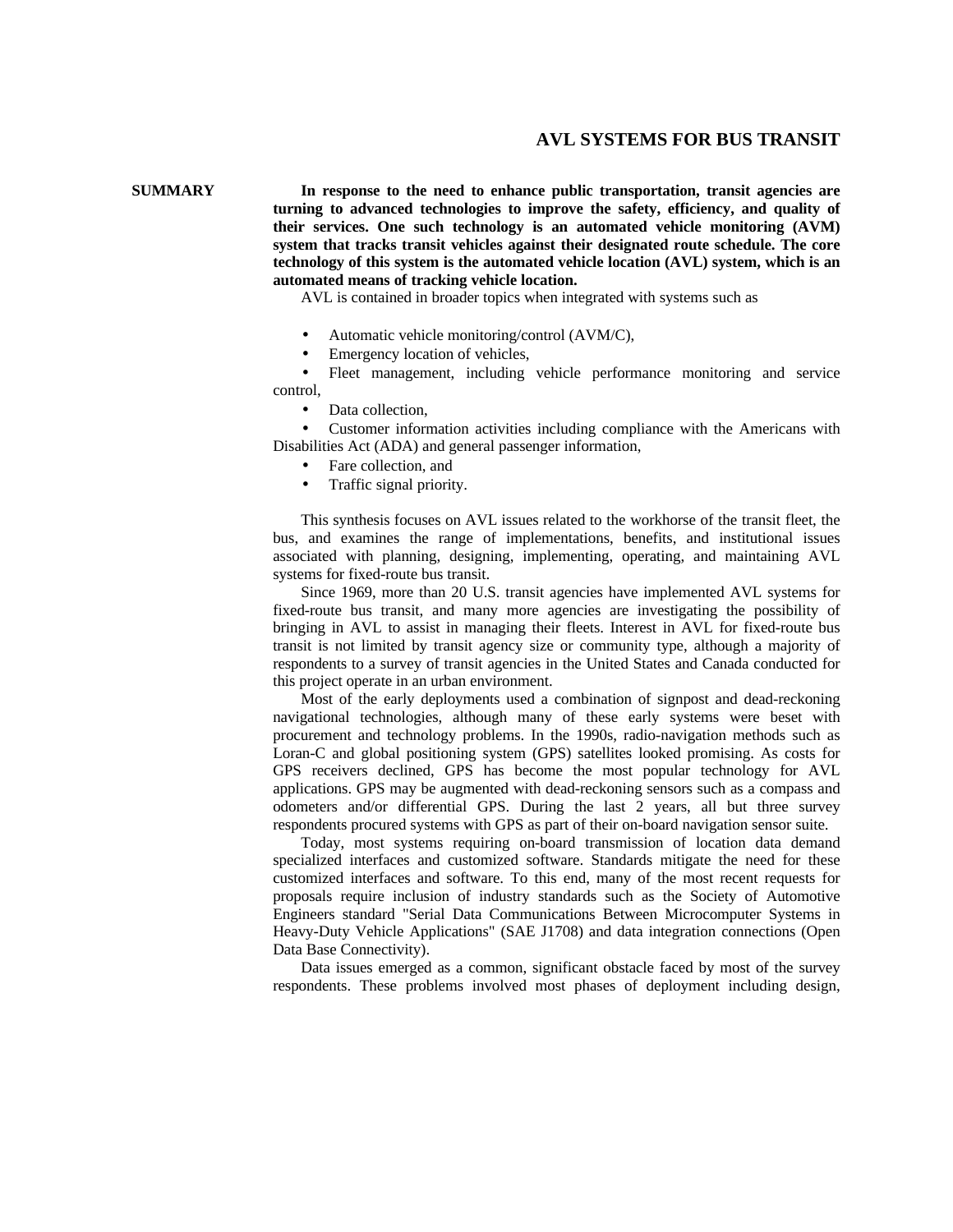# **AVL SYSTEMS FOR BUS TRANSIT**

 **SUMMARY In response to the need to enhance public transportation, transit agencies are turning to advanced technologies to improve the safety, efficiency, and quality of their services. One such technology is an automated vehicle monitoring (AVM) system that tracks transit vehicles against their designated route schedule. The core technology of this system is the automated vehicle location (AVL) system, which is an automated means of tracking vehicle location.**

AVL is contained in broader topics when integrated with systems such as

- Automatic vehicle monitoring/control (AVM/C),
- Emergency location of vehicles,

• Fleet management, including vehicle performance monitoring and service control,

Data collection,

• Customer information activities including compliance with the Americans with Disabilities Act (ADA) and general passenger information,

- Fare collection, and
- Traffic signal priority.

This synthesis focuses on AVL issues related to the workhorse of the transit fleet, the bus, and examines the range of implementations, benefits, and institutional issues associated with planning, designing, implementing, operating, and maintaining AVL systems for fixed-route bus transit.

Since 1969, more than 20 U.S. transit agencies have implemented AVL systems for fixed-route bus transit, and many more agencies are investigating the possibility of bringing in AVL to assist in managing their fleets. Interest in AVL for fixed-route bus transit is not limited by transit agency size or community type, although a majority of respondents to a survey of transit agencies in the United States and Canada conducted for this project operate in an urban environment.

Most of the early deployments used a combination of signpost and dead-reckoning navigational technologies, although many of these early systems were beset with procurement and technology problems. In the 1990s, radio-navigation methods such as Loran-C and global positioning system (GPS) satellites looked promising. As costs for GPS receivers declined, GPS has become the most popular technology for AVL applications. GPS may be augmented with dead-reckoning sensors such as a compass and odometers and/or differential GPS. During the last 2 years, all but three survey respondents procured systems with GPS as part of their on-board navigation sensor suite.

Today, most systems requiring on-board transmission of location data demand specialized interfaces and customized software. Standards mitigate the need for these customized interfaces and software. To this end, many of the most recent requests for proposals require inclusion of industry standards such as the Society of Automotive Engineers standard "Serial Data Communications Between Microcomputer Systems in Heavy-Duty Vehicle Applications" (SAE J1708) and data integration connections (Open Data Base Connectivity).

Data issues emerged as a common, significant obstacle faced by most of the survey respondents. These problems involved most phases of deployment including design,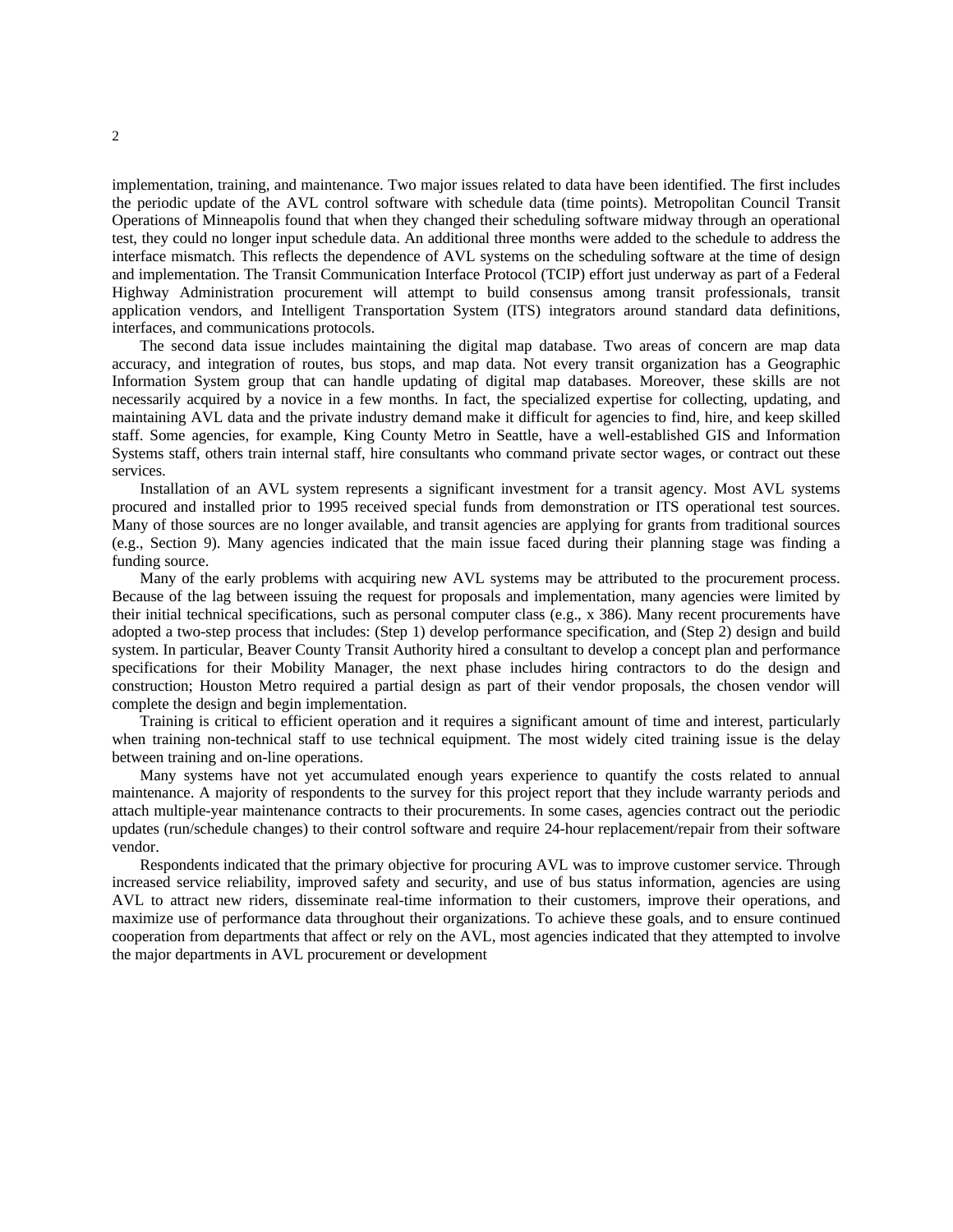implementation, training, and maintenance. Two major issues related to data have been identified. The first includes the periodic update of the AVL control software with schedule data (time points). Metropolitan Council Transit Operations of Minneapolis found that when they changed their scheduling software midway through an operational test, they could no longer input schedule data. An additional three months were added to the schedule to address the interface mismatch. This reflects the dependence of AVL systems on the scheduling software at the time of design and implementation. The Transit Communication Interface Protocol (TCIP) effort just underway as part of a Federal Highway Administration procurement will attempt to build consensus among transit professionals, transit application vendors, and Intelligent Transportation System (ITS) integrators around standard data definitions, interfaces, and communications protocols.

The second data issue includes maintaining the digital map database. Two areas of concern are map data accuracy, and integration of routes, bus stops, and map data. Not every transit organization has a Geographic Information System group that can handle updating of digital map databases. Moreover, these skills are not necessarily acquired by a novice in a few months. In fact, the specialized expertise for collecting, updating, and maintaining AVL data and the private industry demand make it difficult for agencies to find, hire, and keep skilled staff. Some agencies, for example, King County Metro in Seattle, have a well-established GIS and Information Systems staff, others train internal staff, hire consultants who command private sector wages, or contract out these services.

Installation of an AVL system represents a significant investment for a transit agency. Most AVL systems procured and installed prior to 1995 received special funds from demonstration or ITS operational test sources. Many of those sources are no longer available, and transit agencies are applying for grants from traditional sources (e.g., Section 9). Many agencies indicated that the main issue faced during their planning stage was finding a funding source.

Many of the early problems with acquiring new AVL systems may be attributed to the procurement process. Because of the lag between issuing the request for proposals and implementation, many agencies were limited by their initial technical specifications, such as personal computer class (e.g., x 386). Many recent procurements have adopted a two-step process that includes: (Step 1) develop performance specification, and (Step 2) design and build system. In particular, Beaver County Transit Authority hired a consultant to develop a concept plan and performance specifications for their Mobility Manager, the next phase includes hiring contractors to do the design and construction; Houston Metro required a partial design as part of their vendor proposals, the chosen vendor will complete the design and begin implementation.

Training is critical to efficient operation and it requires a significant amount of time and interest, particularly when training non-technical staff to use technical equipment. The most widely cited training issue is the delay between training and on-line operations.

Many systems have not yet accumulated enough years experience to quantify the costs related to annual maintenance. A majority of respondents to the survey for this project report that they include warranty periods and attach multiple-year maintenance contracts to their procurements. In some cases, agencies contract out the periodic updates (run/schedule changes) to their control software and require 24-hour replacement/repair from their software vendor.

Respondents indicated that the primary objective for procuring AVL was to improve customer service. Through increased service reliability, improved safety and security, and use of bus status information, agencies are using AVL to attract new riders, disseminate real-time information to their customers, improve their operations, and maximize use of performance data throughout their organizations. To achieve these goals, and to ensure continued cooperation from departments that affect or rely on the AVL, most agencies indicated that they attempted to involve the major departments in AVL procurement or development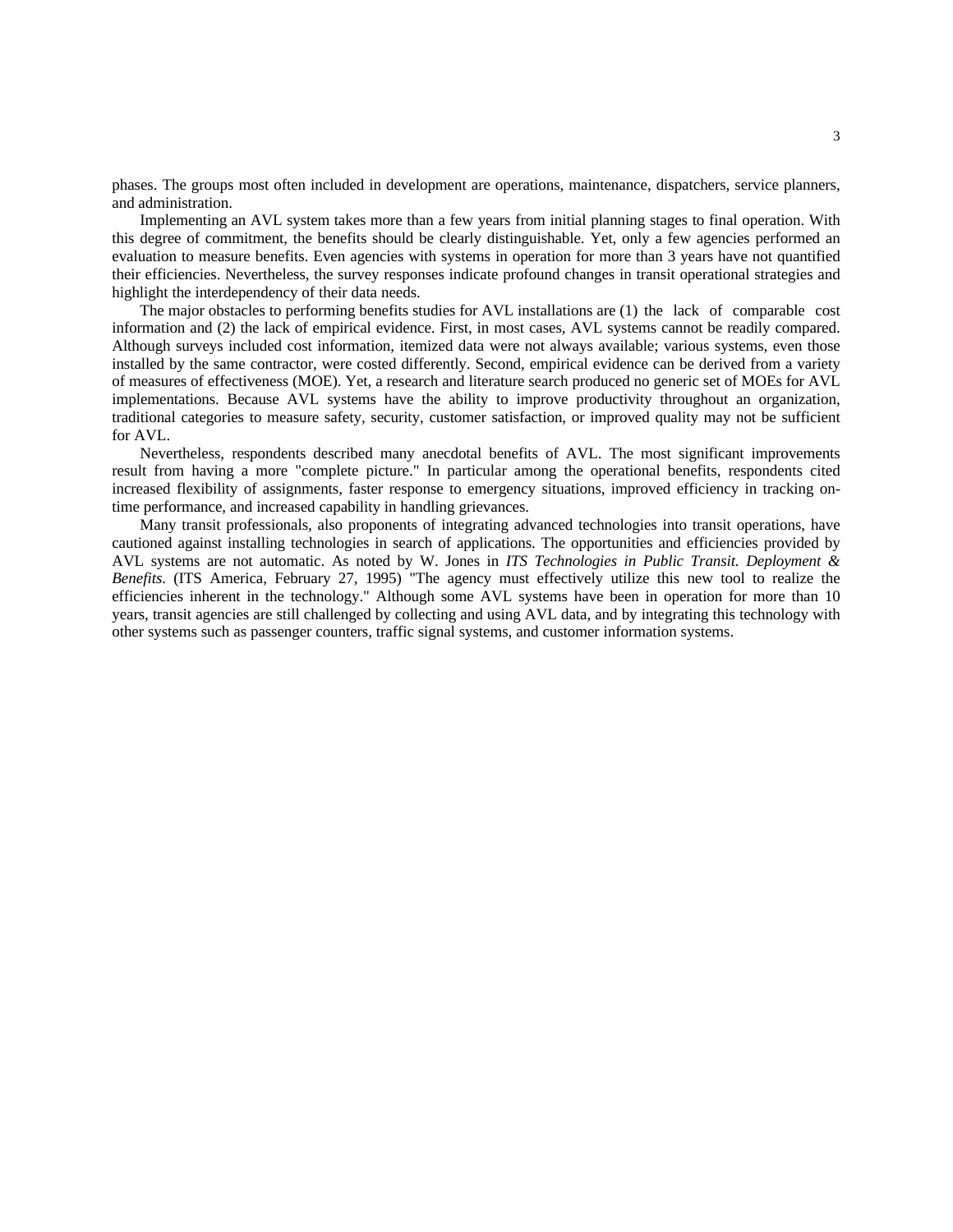phases. The groups most often included in development are operations, maintenance, dispatchers, service planners, and administration.

Implementing an AVL system takes more than a few years from initial planning stages to final operation. With this degree of commitment, the benefits should be clearly distinguishable. Yet, only a few agencies performed an evaluation to measure benefits. Even agencies with systems in operation for more than 3 years have not quantified their efficiencies. Nevertheless, the survey responses indicate profound changes in transit operational strategies and highlight the interdependency of their data needs.

The major obstacles to performing benefits studies for AVL installations are (1) the lack of comparable cost information and (2) the lack of empirical evidence. First, in most cases, AVL systems cannot be readily compared. Although surveys included cost information, itemized data were not always available; various systems, even those installed by the same contractor, were costed differently. Second, empirical evidence can be derived from a variety of measures of effectiveness (MOE). Yet, a research and literature search produced no generic set of MOEs for AVL implementations. Because AVL systems have the ability to improve productivity throughout an organization, traditional categories to measure safety, security, customer satisfaction, or improved quality may not be sufficient for AVL.

Nevertheless, respondents described many anecdotal benefits of AVL. The most significant improvements result from having a more "complete picture." In particular among the operational benefits, respondents cited increased flexibility of assignments, faster response to emergency situations, improved efficiency in tracking ontime performance, and increased capability in handling grievances.

Many transit professionals, also proponents of integrating advanced technologies into transit operations, have cautioned against installing technologies in search of applications. The opportunities and efficiencies provided by AVL systems are not automatic. As noted by W. Jones in *ITS Technologies in Public Transit. Deployment & Benefits.* (ITS America, February 27, 1995) "The agency must effectively utilize this new tool to realize the efficiencies inherent in the technology." Although some AVL systems have been in operation for more than 10 years, transit agencies are still challenged by collecting and using AVL data, and by integrating this technology with other systems such as passenger counters, traffic signal systems, and customer information systems.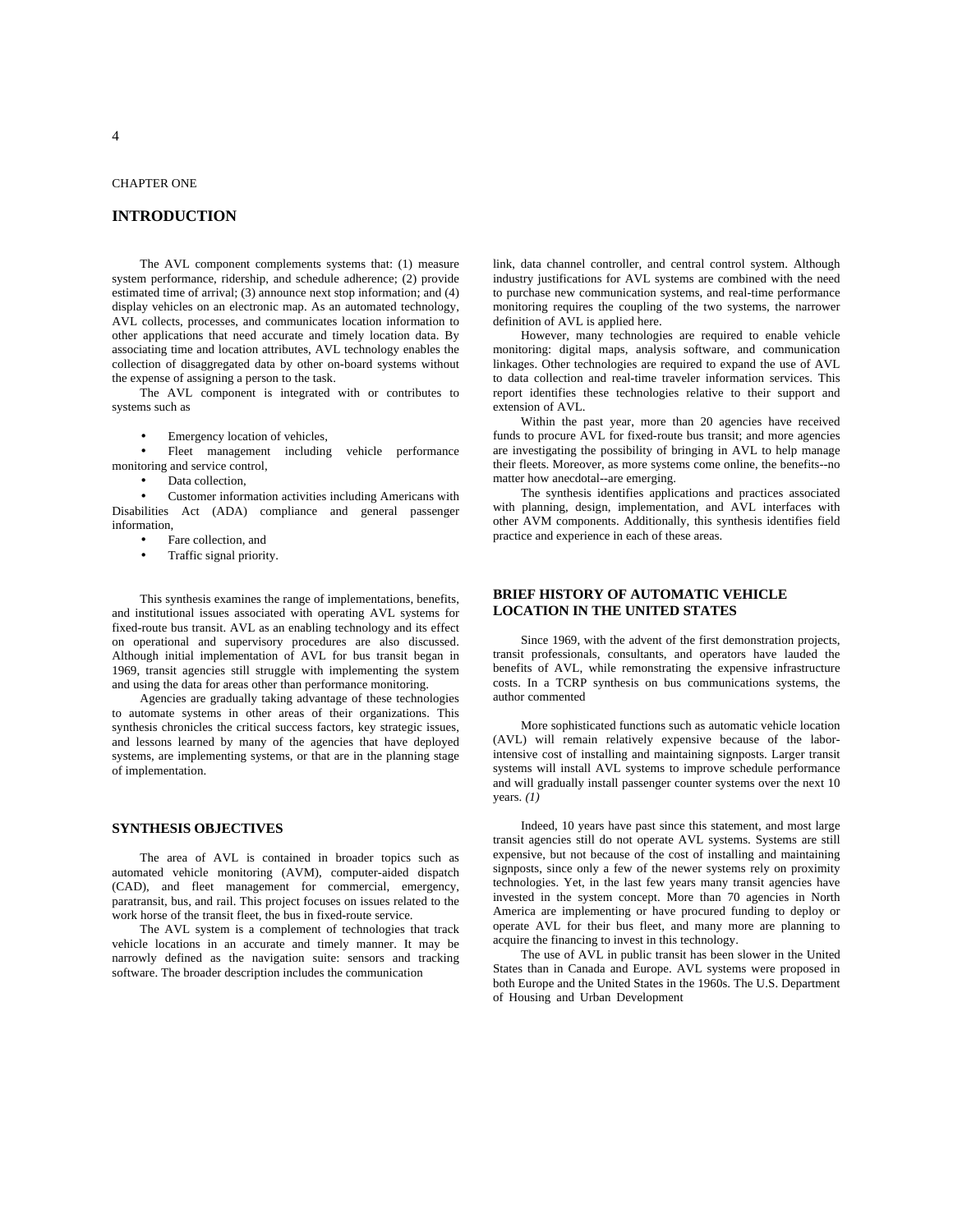#### CHAPTER ONE

# **INTRODUCTION**

The AVL component complements systems that: (1) measure system performance, ridership, and schedule adherence; (2) provide estimated time of arrival; (3) announce next stop information; and (4) display vehicles on an electronic map. As an automated technology, AVL collects, processes, and communicates location information to other applications that need accurate and timely location data. By associating time and location attributes, AVL technology enables the collection of disaggregated data by other on-board systems without the expense of assigning a person to the task.

The AVL component is integrated with or contributes to systems such as

Emergency location of vehicles,

Fleet management including vehicle performance monitoring and service control,

Data collection,

• Customer information activities including Americans with Disabilities Act (ADA) compliance and general passenger information,

- Fare collection, and
- Traffic signal priority.

This synthesis examines the range of implementations, benefits, and institutional issues associated with operating AVL systems for fixed-route bus transit. AVL as an enabling technology and its effect on operational and supervisory procedures are also discussed. Although initial implementation of AVL for bus transit began in 1969, transit agencies still struggle with implementing the system and using the data for areas other than performance monitoring.

Agencies are gradually taking advantage of these technologies to automate systems in other areas of their organizations. This synthesis chronicles the critical success factors, key strategic issues, and lessons learned by many of the agencies that have deployed systems, are implementing systems, or that are in the planning stage of implementation.

#### **SYNTHESIS OBJECTIVES**

The area of AVL is contained in broader topics such as automated vehicle monitoring (AVM), computer-aided dispatch (CAD), and fleet management for commercial, emergency, paratransit, bus, and rail. This project focuses on issues related to the work horse of the transit fleet, the bus in fixed-route service.

The AVL system is a complement of technologies that track vehicle locations in an accurate and timely manner. It may be narrowly defined as the navigation suite: sensors and tracking software. The broader description includes the communication

link, data channel controller, and central control system. Although industry justifications for AVL systems are combined with the need to purchase new communication systems, and real-time performance monitoring requires the coupling of the two systems, the narrower definition of AVL is applied here.

However, many technologies are required to enable vehicle monitoring: digital maps, analysis software, and communication linkages. Other technologies are required to expand the use of AVL to data collection and real-time traveler information services. This report identifies these technologies relative to their support and extension of AVL.

Within the past year, more than 20 agencies have received funds to procure AVL for fixed-route bus transit; and more agencies are investigating the possibility of bringing in AVL to help manage their fleets. Moreover, as more systems come online, the benefits--no matter how anecdotal--are emerging.

The synthesis identifies applications and practices associated with planning, design, implementation, and AVL interfaces with other AVM components. Additionally, this synthesis identifies field practice and experience in each of these areas.

#### **BRIEF HISTORY OF AUTOMATIC VEHICLE LOCATION IN THE UNITED STATES**

Since 1969, with the advent of the first demonstration projects, transit professionals, consultants, and operators have lauded the benefits of AVL, while remonstrating the expensive infrastructure costs. In a TCRP synthesis on bus communications systems, the author commented

More sophisticated functions such as automatic vehicle location (AVL) will remain relatively expensive because of the laborintensive cost of installing and maintaining signposts. Larger transit systems will install AVL systems to improve schedule performance and will gradually install passenger counter systems over the next 10 years. *(1)*

Indeed, 10 years have past since this statement, and most large transit agencies still do not operate AVL systems. Systems are still expensive, but not because of the cost of installing and maintaining signposts, since only a few of the newer systems rely on proximity technologies. Yet, in the last few years many transit agencies have invested in the system concept. More than 70 agencies in North America are implementing or have procured funding to deploy or operate AVL for their bus fleet, and many more are planning to acquire the financing to invest in this technology.

The use of AVL in public transit has been slower in the United States than in Canada and Europe. AVL systems were proposed in both Europe and the United States in the 1960s. The U.S. Department of Housing and Urban Development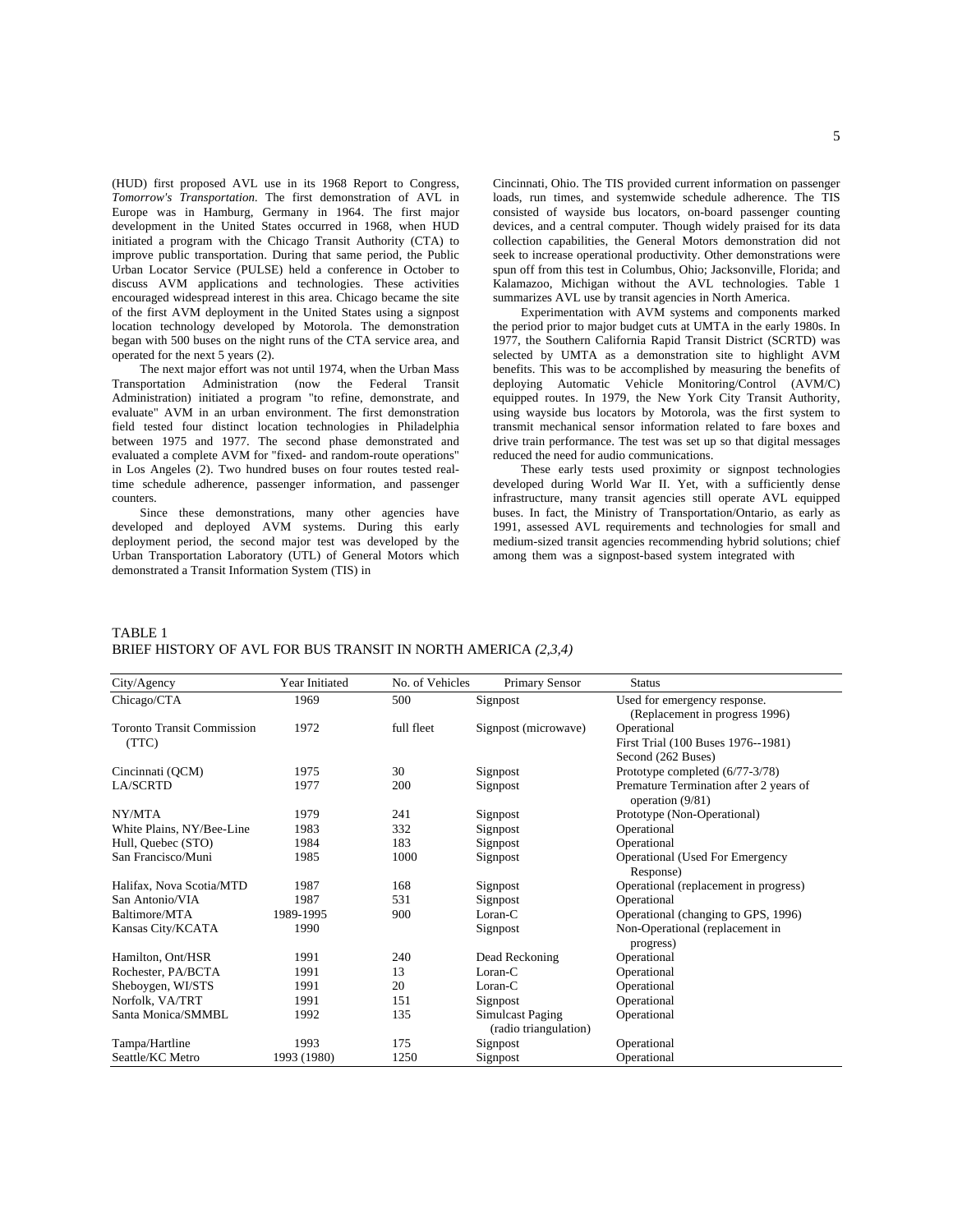(HUD) first proposed AVL use in its 1968 Report to Congress, *Tomorrow's Transportation.* The first demonstration of AVL in Europe was in Hamburg, Germany in 1964. The first major development in the United States occurred in 1968, when HUD initiated a program with the Chicago Transit Authority (CTA) to improve public transportation. During that same period, the Public Urban Locator Service (PULSE) held a conference in October to discuss AVM applications and technologies. These activities encouraged widespread interest in this area. Chicago became the site of the first AVM deployment in the United States using a signpost location technology developed by Motorola. The demonstration began with 500 buses on the night runs of the CTA service area, and operated for the next 5 years (2).

The next major effort was not until 1974, when the Urban Mass Transportation Administration (now the Federal Transit Administration) initiated a program "to refine, demonstrate, and evaluate" AVM in an urban environment. The first demonstration field tested four distinct location technologies in Philadelphia between 1975 and 1977. The second phase demonstrated and evaluated a complete AVM for "fixed- and random-route operations" in Los Angeles (2). Two hundred buses on four routes tested realtime schedule adherence, passenger information, and passenger counters.

Since these demonstrations, many other agencies have developed and deployed AVM systems. During this early deployment period, the second major test was developed by the Urban Transportation Laboratory (UTL) of General Motors which demonstrated a Transit Information System (TIS) in

Cincinnati, Ohio. The TIS provided current information on passenger loads, run times, and systemwide schedule adherence. The TIS consisted of wayside bus locators, on-board passenger counting devices, and a central computer. Though widely praised for its data collection capabilities, the General Motors demonstration did not seek to increase operational productivity. Other demonstrations were spun off from this test in Columbus, Ohio; Jacksonville, Florida; and Kalamazoo, Michigan without the AVL technologies. Table 1 summarizes AVL use by transit agencies in North America.

Experimentation with AVM systems and components marked the period prior to major budget cuts at UMTA in the early 1980s. In 1977, the Southern California Rapid Transit District (SCRTD) was selected by UMTA as a demonstration site to highlight AVM benefits. This was to be accomplished by measuring the benefits of deploying Automatic Vehicle Monitoring/Control (AVM/C) equipped routes. In 1979, the New York City Transit Authority, using wayside bus locators by Motorola, was the first system to transmit mechanical sensor information related to fare boxes and drive train performance. The test was set up so that digital messages reduced the need for audio communications.

These early tests used proximity or signpost technologies developed during World War II. Yet, with a sufficiently dense infrastructure, many transit agencies still operate AVL equipped buses. In fact, the Ministry of Transportation/Ontario, as early as 1991, assessed AVL requirements and technologies for small and medium-sized transit agencies recommending hybrid solutions; chief among them was a signpost-based system integrated with

# TABLE 1 BRIEF HISTORY OF AVL FOR BUS TRANSIT IN NORTH AMERICA *(2,3,4)*

| City/Agency                       | Year Initiated | No. of Vehicles | Primary Sensor                            | <b>Status</b>                                                |
|-----------------------------------|----------------|-----------------|-------------------------------------------|--------------------------------------------------------------|
| Chicago/CTA                       | 1969           | 500             | Signpost                                  | Used for emergency response.                                 |
|                                   |                |                 |                                           | (Replacement in progress 1996)                               |
| <b>Toronto Transit Commission</b> | 1972           | full fleet      | Signpost (microwave)                      | Operational                                                  |
| (TTC)                             |                |                 |                                           | First Trial (100 Buses 1976--1981)                           |
|                                   |                |                 |                                           | Second (262 Buses)                                           |
| Cincinnati (QCM)                  | 1975           | 30              | Signpost                                  | Prototype completed (6/77-3/78)                              |
| <b>LA/SCRTD</b>                   | 1977           | 200             | Signpost                                  | Premature Termination after 2 years of<br>operation $(9/81)$ |
| NY/MTA                            | 1979           | 241             | Signpost                                  | Prototype (Non-Operational)                                  |
| White Plains, NY/Bee-Line         | 1983           | 332             | Signpost                                  | Operational                                                  |
| Hull, Quebec (STO)                | 1984           | 183             | Signpost                                  | Operational                                                  |
| San Francisco/Muni                | 1985           | 1000            | Signpost                                  | <b>Operational (Used For Emergency</b><br>Response)          |
| Halifax. Nova Scotia/MTD          | 1987           | 168             | Signpost                                  | Operational (replacement in progress)                        |
| San Antonio/VIA                   | 1987           | 531             | Signpost                                  | Operational                                                  |
| Baltimore/MTA                     | 1989-1995      | 900             | $Loran-C$                                 | Operational (changing to GPS, 1996)                          |
| Kansas City/KCATA                 | 1990           |                 | Signpost                                  | Non-Operational (replacement in<br>progress)                 |
| Hamilton, Ont/HSR                 | 1991           | 240             | Dead Reckoning                            | Operational                                                  |
| Rochester, PA/BCTA                | 1991           | 13              | $Loran-C$                                 | Operational                                                  |
| Sheboygen, WI/STS                 | 1991           | 20              | $Loran-C$                                 | Operational                                                  |
| Norfolk, VA/TRT                   | 1991           | 151             | Signpost                                  | Operational                                                  |
| Santa Monica/SMMBL                | 1992           | 135             | Simulcast Paging<br>(radio triangulation) | Operational                                                  |
| Tampa/Hartline                    | 1993           | 175             | Signpost                                  | Operational                                                  |
| Seattle/KC Metro                  | 1993 (1980)    | 1250            | Signpost                                  | Operational                                                  |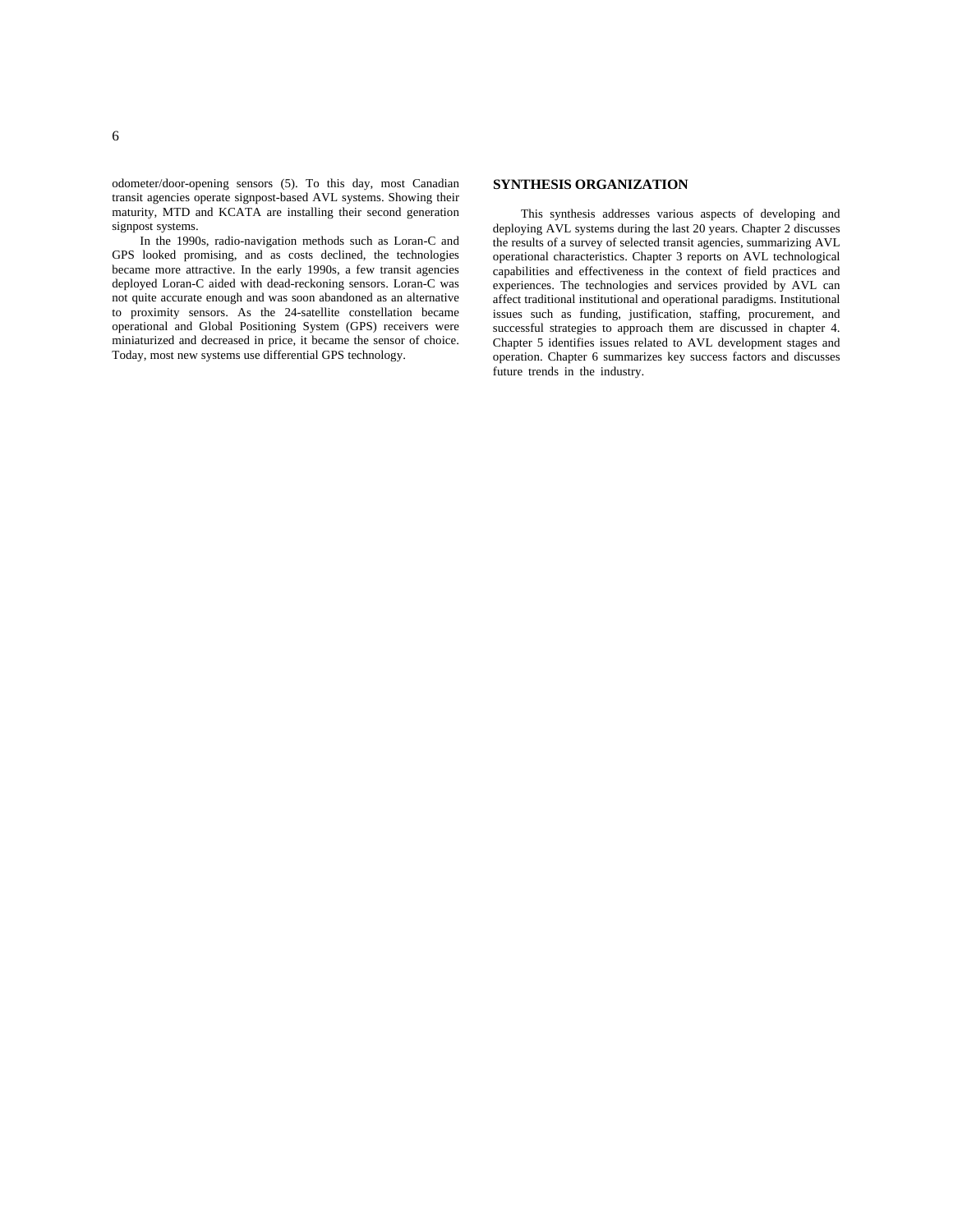odometer/door-opening sensors (5). To this day, most Canadian transit agencies operate signpost-based AVL systems. Showing their maturity, MTD and KCATA are installing their second generation signpost systems.

In the 1990s, radio-navigation methods such as Loran-C and GPS looked promising, and as costs declined, the technologies became more attractive. In the early 1990s, a few transit agencies deployed Loran-C aided with dead-reckoning sensors. Loran-C was not quite accurate enough and was soon abandoned as an alternative to proximity sensors. As the 24-satellite constellation became operational and Global Positioning System (GPS) receivers were miniaturized and decreased in price, it became the sensor of choice. Today, most new systems use differential GPS technology.

### **SYNTHESIS ORGANIZATION**

This synthesis addresses various aspects of developing and deploying AVL systems during the last 20 years. Chapter 2 discusses the results of a survey of selected transit agencies, summarizing AVL operational characteristics. Chapter 3 reports on AVL technological capabilities and effectiveness in the context of field practices and experiences. The technologies and services provided by AVL can affect traditional institutional and operational paradigms. Institutional issues such as funding, justification, staffing, procurement, and successful strategies to approach them are discussed in chapter 4. Chapter 5 identifies issues related to AVL development stages and operation. Chapter 6 summarizes key success factors and discusses future trends in the industry.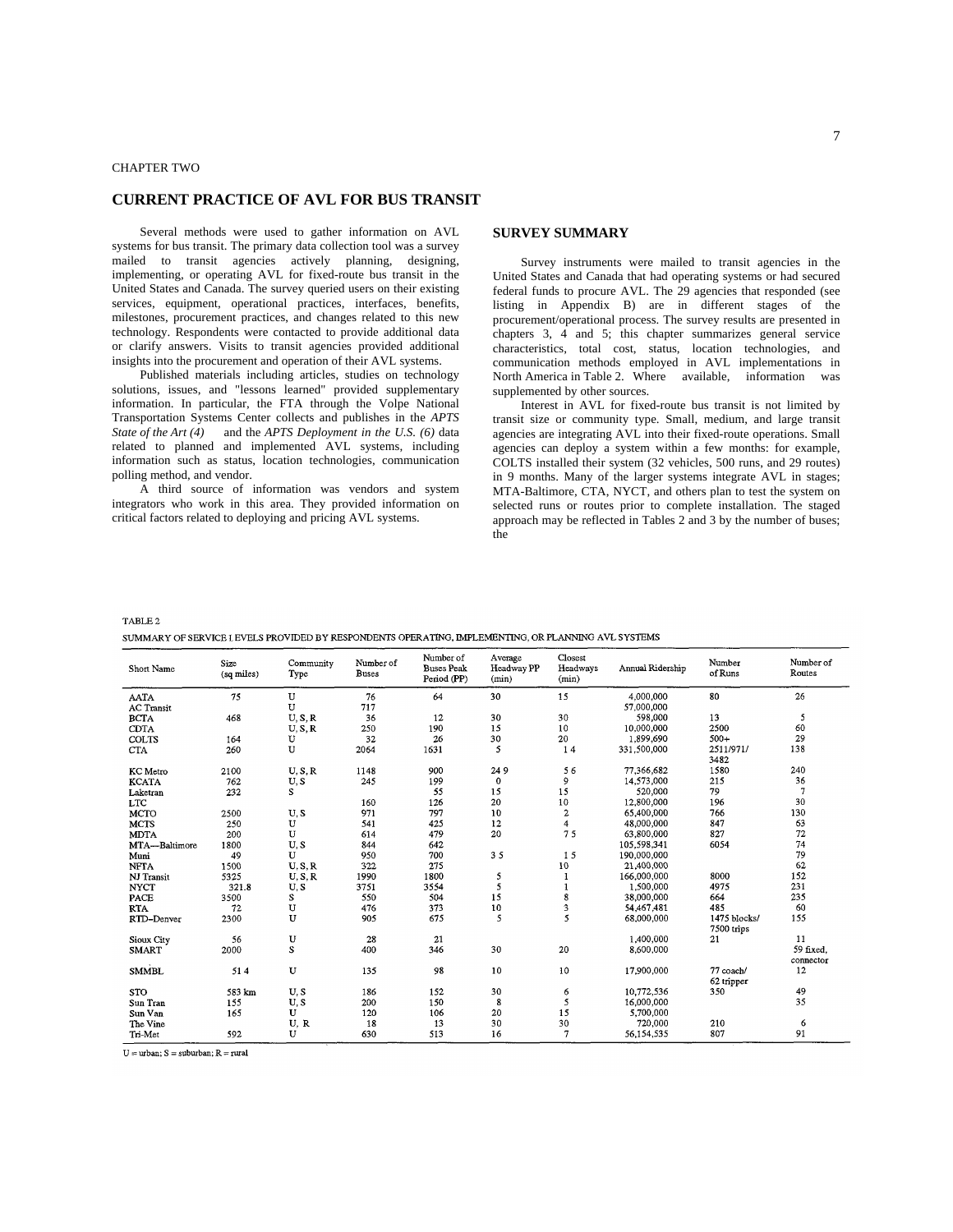# **CURRENT PRACTICE OF AVL FOR BUS TRANSIT**

Several methods were used to gather information on AVL systems for bus transit. The primary data collection tool was a survey mailed to transit agencies actively planning, designing, implementing, or operating AVL for fixed-route bus transit in the United States and Canada. The survey queried users on their existing services, equipment, operational practices, interfaces, benefits, milestones, procurement practices, and changes related to this new technology. Respondents were contacted to provide additional data or clarify answers. Visits to transit agencies provided additional insights into the procurement and operation of their AVL systems.

Published materials including articles, studies on technology solutions, issues, and "lessons learned" provided supplementary information. In particular, the FTA through the Volpe National Transportation Systems Center collects and publishes in the *APTS State of the Art (4)* and the *APTS Deployment in the U.S. (6)* data related to planned and implemented AVL systems, including information such as status, location technologies, communication polling method, and vendor.

A third source of information was vendors and system integrators who work in this area. They provided information on critical factors related to deploying and pricing AVL systems.

#### **SURVEY SUMMARY**

Survey instruments were mailed to transit agencies in the United States and Canada that had operating systems or had secured federal funds to procure AVL. The 29 agencies that responded (see listing in Appendix B) are in different stages of the procurement/operational process. The survey results are presented in chapters 3, 4 and 5; this chapter summarizes general service characteristics, total cost, status, location technologies, and communication methods employed in AVL implementations in North America in Table 2. Where available, information was supplemented by other sources.

Interest in AVL for fixed-route bus transit is not limited by transit size or community type. Small, medium, and large transit agencies are integrating AVL into their fixed-route operations. Small agencies can deploy a system within a few months: for example, COLTS installed their system (32 vehicles, 500 runs, and 29 routes) in 9 months. Many of the larger systems integrate AVL in stages; MTA-Baltimore, CTA, NYCT, and others plan to test the system on selected runs or routes prior to complete installation. The staged approach may be reflected in Tables 2 and 3 by the number of buses; the

| TABLE <sub>2</sub>                                                                                  |
|-----------------------------------------------------------------------------------------------------|
| SUMMARY OF SERVICE I EVELS PROVIDED BY RESPONDENTS OPERATING, IMPLEMENTING, OR PLANNING AVL SYSTEMS |

| Short Name                       | Size<br>(sq miles) | Community<br>Type | Number of<br><b>Buses</b> | Number of<br><b>Buses Peak</b><br>Period (PP) | Average<br>Headway PP<br>(min) | Closest<br>Headways<br>(min) | Annual Ridership        | Number<br>of Runs          | Number of<br>Routes    |
|----------------------------------|--------------------|-------------------|---------------------------|-----------------------------------------------|--------------------------------|------------------------------|-------------------------|----------------------------|------------------------|
| <b>AATA</b><br><b>AC</b> Transit | 75                 | $\mathbf{U}$<br>U | 76<br>717                 | 64                                            | 30                             | 15                           | 4.000.000<br>57,000,000 | 80                         | 26                     |
| <b>BCTA</b>                      | 468                | U, S, R           | 36                        | 12                                            | 30                             | 30                           | 598,000                 | 13                         | 5                      |
| <b>CDTA</b>                      |                    | U, S, R           | 250                       | 190                                           | 15                             | 10                           | 10.000.000              | 2500                       | 60                     |
| <b>COLTS</b>                     | 164                | U                 | 32                        | 26                                            | 30                             | 20                           | 1,899,690               | $500+$                     | 29                     |
| <b>CTA</b>                       | 260                | $\mathbf{U}$      | 2064                      | 1631                                          | 5                              | 14                           | 331,500,000             | 2511/971/<br>3482          | 138                    |
| <b>KC</b> Metro                  | 2100               | U, S, R           | 1148                      | 900                                           | 249                            | 56                           | 77,366,682              | 1580                       | 240                    |
| <b>KCATA</b>                     | 762                | U, S              | 245                       | 199                                           | 0                              | 9                            | 14,573,000              | 215                        | 36                     |
| Laketran                         | 232                | S.                |                           | 55                                            | 15                             | 15                           | 520,000                 | 79                         | $\overline{7}$         |
| <b>LTC</b>                       |                    |                   | 160                       | 126                                           | 20                             | 10                           | 12,800,000              | 196                        | 30                     |
| MCTO                             | 2500               | U, S              | 971                       | 797                                           | 10                             | $\mathbf 2$                  | 65,400,000              | 766                        | 130                    |
| MCTS                             | 250                | U                 | 541                       | 425                                           | 12                             | 4                            | 48.000.000              | 847                        | 63                     |
| <b>MDTA</b>                      | 200                | U                 | 614                       | 479                                           | 20                             | 75                           | 63.800.000              | 827                        | 72                     |
| MTA-Baltimore                    | 1800               | U, S              | 844                       | 642                                           |                                |                              | 105.598.341             | 6054                       | 74                     |
| Muni                             | 49                 | U                 | 950                       | 700                                           | 35                             | 15                           | 190,000,000             |                            | 79                     |
| <b>NFTA</b>                      | 1500               | U, S, R           | 322                       | 275                                           |                                | 10                           | 21,400,000              |                            | 62                     |
| NJ Transit                       | 5325               | U, S, R           | 1990                      | 1800                                          | 5                              | 1                            | 166,000,000             | 8000                       | 152                    |
| <b>NYCT</b>                      | 321.8              | U, S              | 3751                      | 3554                                          | 5                              | 1                            | 1.500,000               | 4975                       | 231                    |
| PACE                             | 3500               | s                 | 550                       | 504                                           | 15                             | 8                            | 38,000,000              | 664                        | 235                    |
| <b>RTA</b>                       | 72                 | U                 | 476                       | 373                                           | 10                             | 3                            | 54.467.481              | 485                        | 60                     |
| RTD-Denver                       | 2300               | $\mathbf{U}$      | 905                       | 675                                           | 5                              | 5                            | 68,000,000              | 1475 blocks/<br>7500 trips | 155                    |
| Sioux City                       | 56                 | U                 | 28                        | 21                                            |                                |                              | 1.400.000               | 21                         | 11                     |
| SMART                            | 2000               | s                 | 400                       | 346                                           | 30                             | 20                           | 8.600,000               |                            | 59 fixed,<br>connector |
| <b>SMMBL</b>                     | 514                | Ŭ                 | 135                       | 98                                            | 10                             | 10                           | 17,900,000              | 77 coach/<br>62 tripper    | 12                     |
| STO                              | 583 km             | U, S              | 186                       | 152                                           | 30                             | 6                            | 10,772,536              | 350                        | 49                     |
| Sun Tran                         | 155                | U, S              | 200                       | 150                                           | 8                              | 5                            | 16.000,000              |                            | 35                     |
| Sun Van                          | 165                | U                 | 120                       | 106                                           | 20                             | 15                           | 5,700,000               |                            |                        |
| The Vine                         |                    | U, R              | 18                        | 13                                            | 30                             | 30                           | 720,000                 | 210                        | 6                      |
| Tri-Met                          | 592                | U                 | 630                       | 513                                           | 16                             | 7                            | 56,154,535              | 807                        | 91                     |

 $U =$ urban; S = suburban; R = rural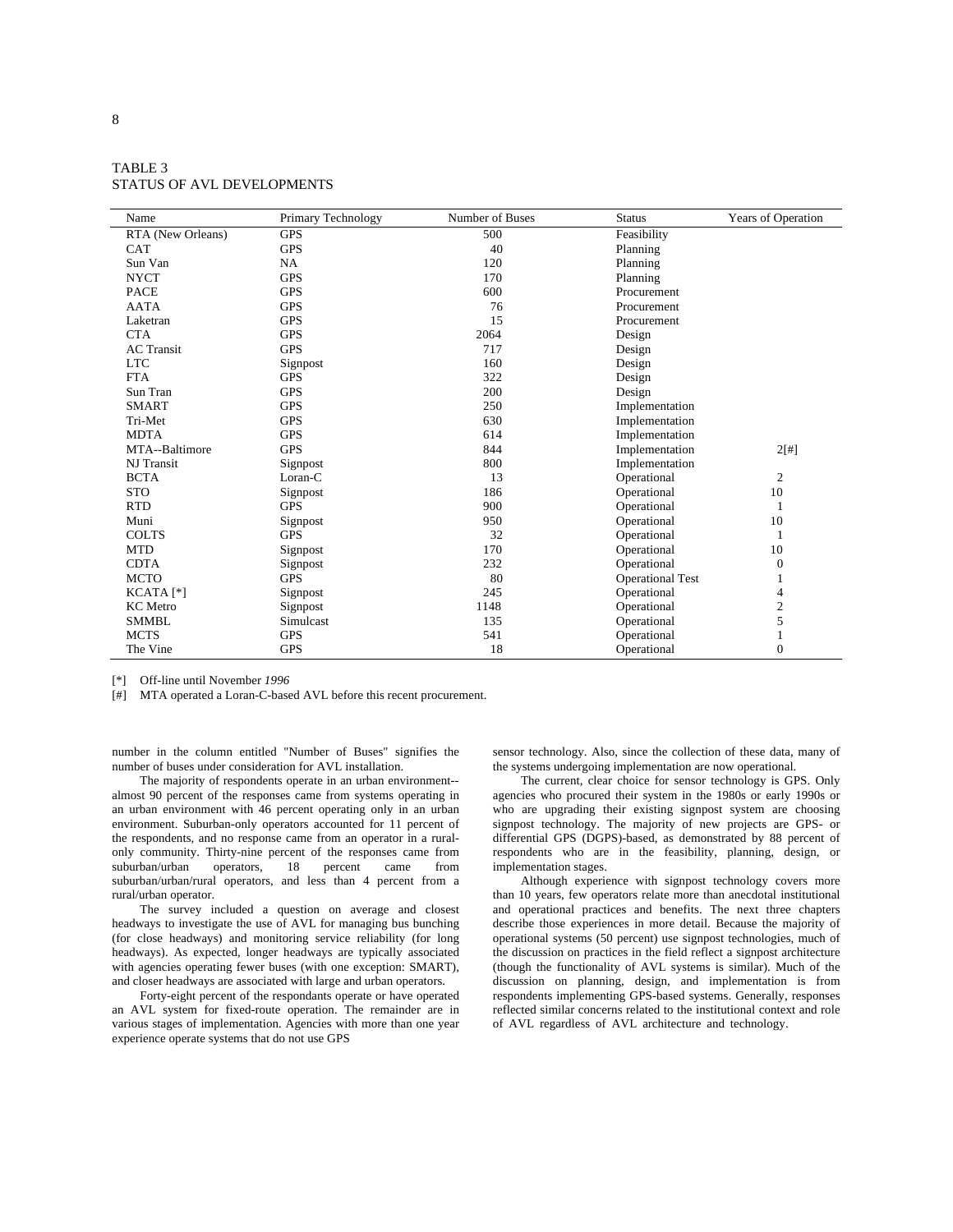| Name                 | Primary Technology | Number of Buses | <b>Status</b>           | Years of Operation |
|----------------------|--------------------|-----------------|-------------------------|--------------------|
| RTA (New Orleans)    | <b>GPS</b>         | 500             | Feasibility             |                    |
| <b>CAT</b>           | <b>GPS</b>         | 40              | Planning                |                    |
| Sun Van              | NA                 | 120             | Planning                |                    |
| <b>NYCT</b>          | <b>GPS</b>         | 170             | Planning                |                    |
| <b>PACE</b>          | <b>GPS</b>         | 600             | Procurement             |                    |
| <b>AATA</b>          | <b>GPS</b>         | 76              | Procurement             |                    |
| Laketran             | <b>GPS</b>         | 15              | Procurement             |                    |
| <b>CTA</b>           | <b>GPS</b>         | 2064            | Design                  |                    |
| <b>AC</b> Transit    | <b>GPS</b>         | 717             | Design                  |                    |
| <b>LTC</b>           | Signpost           | 160             | Design                  |                    |
| <b>FTA</b>           | <b>GPS</b>         | 322             | Design                  |                    |
| Sun Tran             | <b>GPS</b>         | 200             | Design                  |                    |
| <b>SMART</b>         | <b>GPS</b>         | 250             | Implementation          |                    |
| Tri-Met              | <b>GPS</b>         | 630             | Implementation          |                    |
| <b>MDTA</b>          | <b>GPS</b>         | 614             | Implementation          |                    |
| MTA--Baltimore       | <b>GPS</b>         | 844             | Implementation          | 2[#]               |
| NJ Transit           | Signpost           | 800             | Implementation          |                    |
| <b>BCTA</b>          | $Loran-C$          | 13              | Operational             | 2                  |
| <b>STO</b>           | Signpost           | 186             | Operational             | 10                 |
| <b>RTD</b>           | <b>GPS</b>         | 900             | Operational             | 1                  |
| Muni                 | Signpost           | 950             | Operational             | 10                 |
| <b>COLTS</b>         | <b>GPS</b>         | 32              | Operational             | 1                  |
| <b>MTD</b>           | Signpost           | 170             | Operational             | 10                 |
| <b>CDTA</b>          | Signpost           | 232             | Operational             | $\boldsymbol{0}$   |
| <b>MCTO</b>          | <b>GPS</b>         | 80              | <b>Operational Test</b> | 1                  |
| KCATA <sup>[*]</sup> | Signpost           | 245             | Operational             | 4                  |
| <b>KC</b> Metro      | Signpost           | 1148            | Operational             | $\overline{c}$     |
| <b>SMMBL</b>         | Simulcast          | 135             | Operational             | 5                  |
| <b>MCTS</b>          | <b>GPS</b>         | 541             | Operational             | $\mathbf{1}$       |
| The Vine             | <b>GPS</b>         | 18              | Operational             | $\mathbf{0}$       |

TABLE 3 STATUS OF AVL DEVELOPMENTS

[\*] Off-line until November *1996*

[#] MTA operated a Loran-C-based AVL before this recent procurement.

number in the column entitled "Number of Buses" signifies the number of buses under consideration for AVL installation.

The majority of respondents operate in an urban environment- almost 90 percent of the responses came from systems operating in an urban environment with 46 percent operating only in an urban environment. Suburban-only operators accounted for 11 percent of the respondents, and no response came from an operator in a ruralonly community. Thirty-nine percent of the responses came from suburban/urban operators, 18 percent came from suburban/urban operators, 18 percent came from suburban/urban/rural operators, and less than 4 percent from a rural/urban operator.

The survey included a question on average and closest headways to investigate the use of AVL for managing bus bunching (for close headways) and monitoring service reliability (for long headways). As expected, longer headways are typically associated with agencies operating fewer buses (with one exception: SMART), and closer headways are associated with large and urban operators.

Forty-eight percent of the respondants operate or have operated an AVL system for fixed-route operation. The remainder are in various stages of implementation. Agencies with more than one year experience operate systems that do not use GPS

sensor technology. Also, since the collection of these data, many of the systems undergoing implementation are now operational.

The current, clear choice for sensor technology is GPS. Only agencies who procured their system in the 1980s or early 1990s or who are upgrading their existing signpost system are choosing signpost technology. The majority of new projects are GPS- or differential GPS (DGPS)-based, as demonstrated by 88 percent of respondents who are in the feasibility, planning, design, or implementation stages.

Although experience with signpost technology covers more than 10 years, few operators relate more than anecdotal institutional and operational practices and benefits. The next three chapters describe those experiences in more detail. Because the majority of operational systems (50 percent) use signpost technologies, much of the discussion on practices in the field reflect a signpost architecture (though the functionality of AVL systems is similar). Much of the discussion on planning, design, and implementation is from respondents implementing GPS-based systems. Generally, responses reflected similar concerns related to the institutional context and role of AVL regardless of AVL architecture and technology.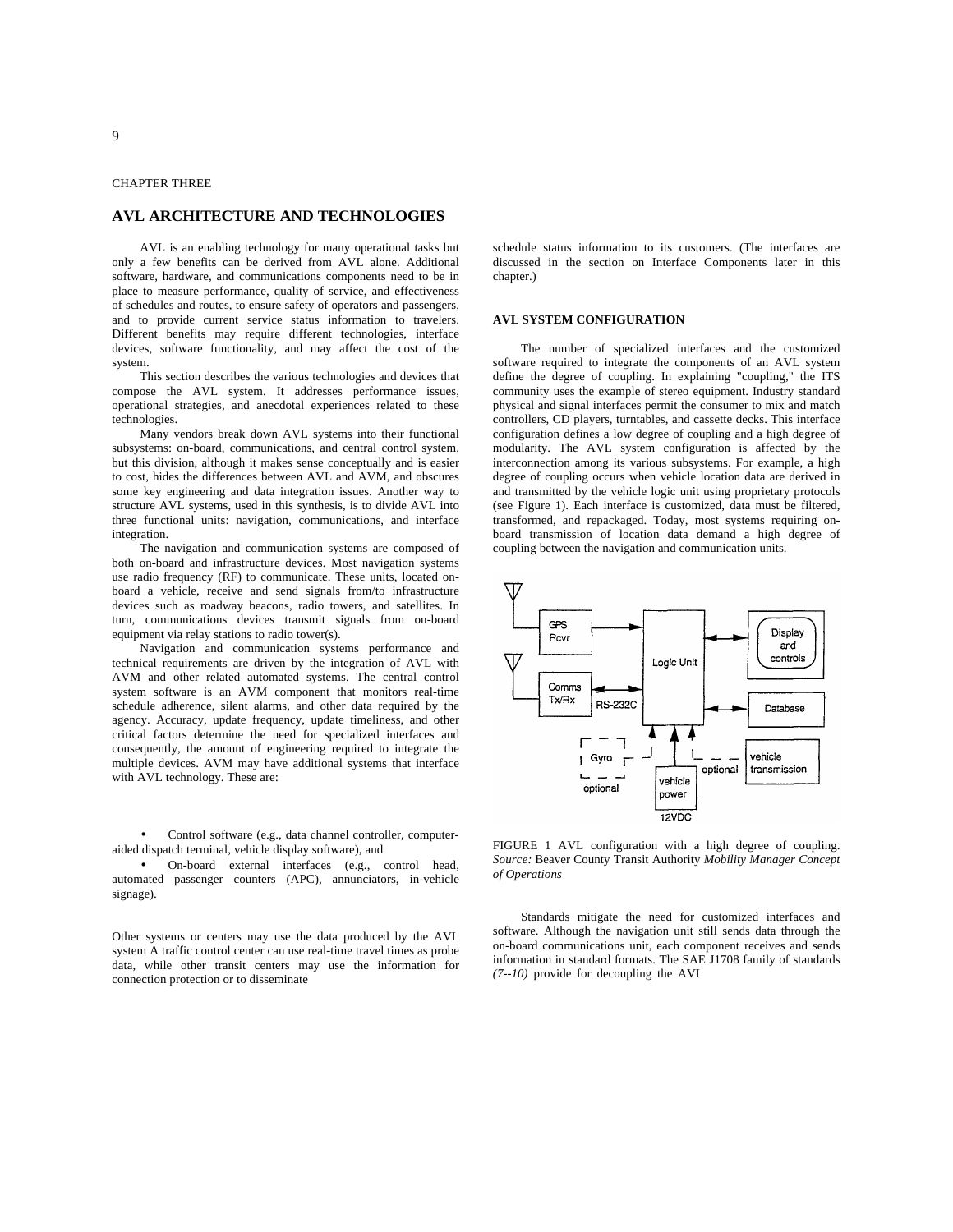# **AVL ARCHITECTURE AND TECHNOLOGIES**

AVL is an enabling technology for many operational tasks but only a few benefits can be derived from AVL alone. Additional software, hardware, and communications components need to be in place to measure performance, quality of service, and effectiveness of schedules and routes, to ensure safety of operators and passengers, and to provide current service status information to travelers. Different benefits may require different technologies, interface devices, software functionality, and may affect the cost of the system.

This section describes the various technologies and devices that compose the AVL system. It addresses performance issues, operational strategies, and anecdotal experiences related to these technologies.

Many vendors break down AVL systems into their functional subsystems: on-board, communications, and central control system, but this division, although it makes sense conceptually and is easier to cost, hides the differences between AVL and AVM, and obscures some key engineering and data integration issues. Another way to structure AVL systems, used in this synthesis, is to divide AVL into three functional units: navigation, communications, and interface integration.

The navigation and communication systems are composed of both on-board and infrastructure devices. Most navigation systems use radio frequency (RF) to communicate. These units, located onboard a vehicle, receive and send signals from/to infrastructure devices such as roadway beacons, radio towers, and satellites. In turn, communications devices transmit signals from on-board equipment via relay stations to radio tower(s).

Navigation and communication systems performance and technical requirements are driven by the integration of AVL with AVM and other related automated systems. The central control system software is an AVM component that monitors real-time schedule adherence, silent alarms, and other data required by the agency. Accuracy, update frequency, update timeliness, and other critical factors determine the need for specialized interfaces and consequently, the amount of engineering required to integrate the multiple devices. AVM may have additional systems that interface with AVL technology. These are:

• Control software (e.g., data channel controller, computeraided dispatch terminal, vehicle display software), and

• On-board external interfaces (e.g., control head, automated passenger counters (APC), annunciators, in-vehicle signage).

Other systems or centers may use the data produced by the AVL system A traffic control center can use real-time travel times as probe data, while other transit centers may use the information for connection protection or to disseminate

schedule status information to its customers. (The interfaces are discussed in the section on Interface Components later in this chapter.)

#### **AVL SYSTEM CONFIGURATION**

The number of specialized interfaces and the customized software required to integrate the components of an AVL system define the degree of coupling. In explaining "coupling," the ITS community uses the example of stereo equipment. Industry standard physical and signal interfaces permit the consumer to mix and match controllers, CD players, turntables, and cassette decks. This interface configuration defines a low degree of coupling and a high degree of modularity. The AVL system configuration is affected by the interconnection among its various subsystems. For example, a high degree of coupling occurs when vehicle location data are derived in and transmitted by the vehicle logic unit using proprietary protocols (see Figure 1). Each interface is customized, data must be filtered, transformed, and repackaged. Today, most systems requiring onboard transmission of location data demand a high degree of coupling between the navigation and communication units.



FIGURE 1 AVL configuration with a high degree of coupling. *Source:* Beaver County Transit Authority *Mobility Manager Concept of Operations*

Standards mitigate the need for customized interfaces and software. Although the navigation unit still sends data through the on-board communications unit, each component receives and sends information in standard formats. The SAE J1708 family of standards *(7--10)* provide for decoupling the AVL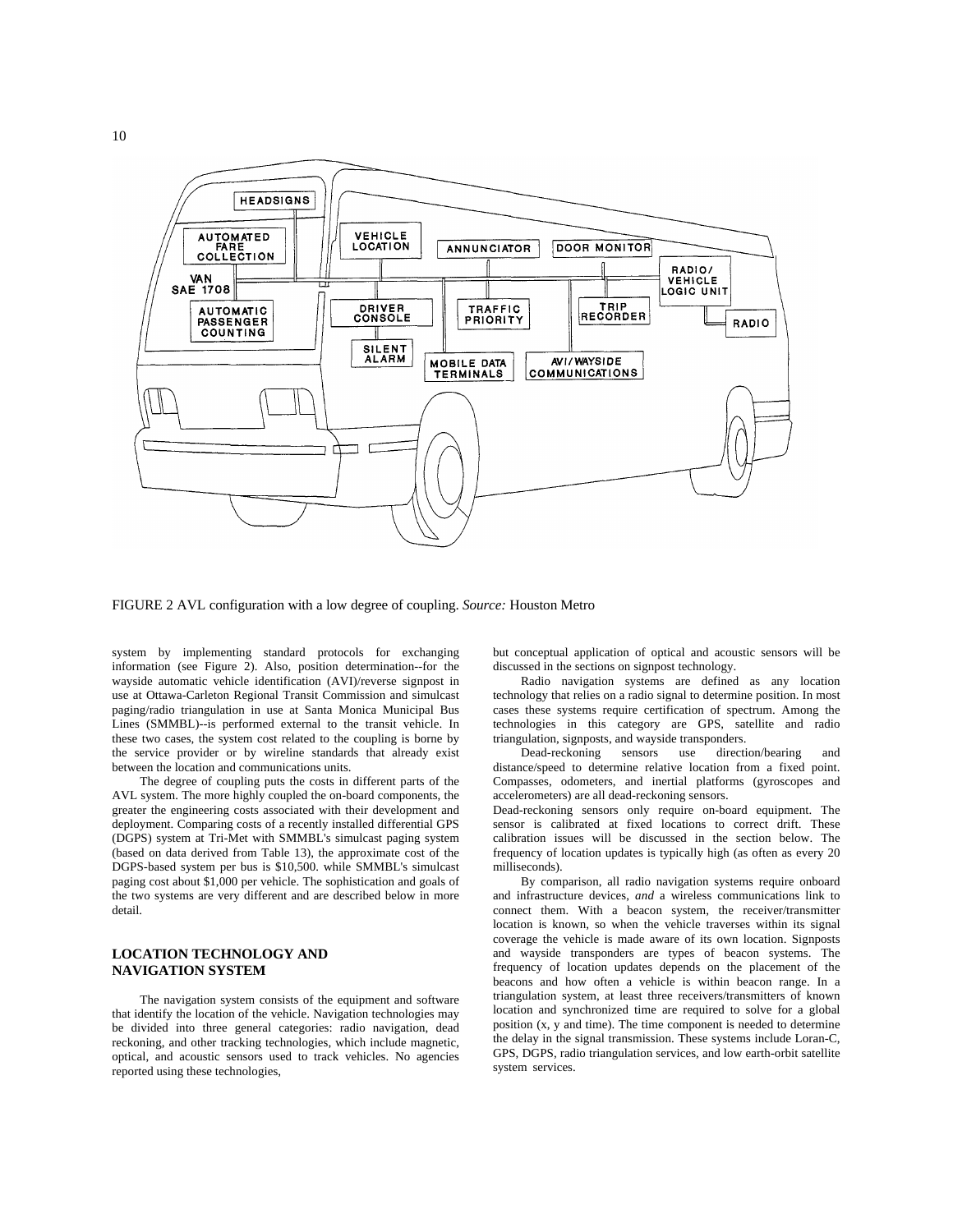

FIGURE 2 AVL configuration with a low degree of coupling. *Source:* Houston Metro

system by implementing standard protocols for exchanging information (see Figure 2). Also, position determination--for the wayside automatic vehicle identification (AVI)/reverse signpost in use at Ottawa-Carleton Regional Transit Commission and simulcast paging/radio triangulation in use at Santa Monica Municipal Bus Lines (SMMBL)--is performed external to the transit vehicle. In these two cases, the system cost related to the coupling is borne by the service provider or by wireline standards that already exist between the location and communications units.

The degree of coupling puts the costs in different parts of the AVL system. The more highly coupled the on-board components, the greater the engineering costs associated with their development and deployment. Comparing costs of a recently installed differential GPS (DGPS) system at Tri-Met with SMMBL's simulcast paging system (based on data derived from Table 13), the approximate cost of the DGPS-based system per bus is \$10,500. while SMMBL's simulcast paging cost about \$1,000 per vehicle. The sophistication and goals of the two systems are very different and are described below in more detail.

#### **LOCATION TECHNOLOGY AND NAVIGATION SYSTEM**

The navigation system consists of the equipment and software that identify the location of the vehicle. Navigation technologies may be divided into three general categories: radio navigation, dead reckoning, and other tracking technologies, which include magnetic, optical, and acoustic sensors used to track vehicles. No agencies reported using these technologies,

but conceptual application of optical and acoustic sensors will be discussed in the sections on signpost technology.

Radio navigation systems are defined as any location technology that relies on a radio signal to determine position. In most cases these systems require certification of spectrum. Among the technologies in this category are GPS, satellite and radio triangulation, signposts, and wayside transponders.

Dead-reckoning sensors use direction/bearing and distance/speed to determine relative location from a fixed point. Compasses, odometers, and inertial platforms (gyroscopes and accelerometers) are all dead-reckoning sensors.

Dead-reckoning sensors only require on-board equipment. The sensor is calibrated at fixed locations to correct drift. These calibration issues will be discussed in the section below. The frequency of location updates is typically high (as often as every 20 milliseconds).

By comparison, all radio navigation systems require onboard and infrastructure devices, *and* a wireless communications link to connect them. With a beacon system, the receiver/transmitter location is known, so when the vehicle traverses within its signal coverage the vehicle is made aware of its own location. Signposts and wayside transponders are types of beacon systems. The frequency of location updates depends on the placement of the beacons and how often a vehicle is within beacon range. In a triangulation system, at least three receivers/transmitters of known location and synchronized time are required to solve for a global position (x, y and time). The time component is needed to determine the delay in the signal transmission. These systems include Loran-C, GPS, DGPS, radio triangulation services, and low earth-orbit satellite system services.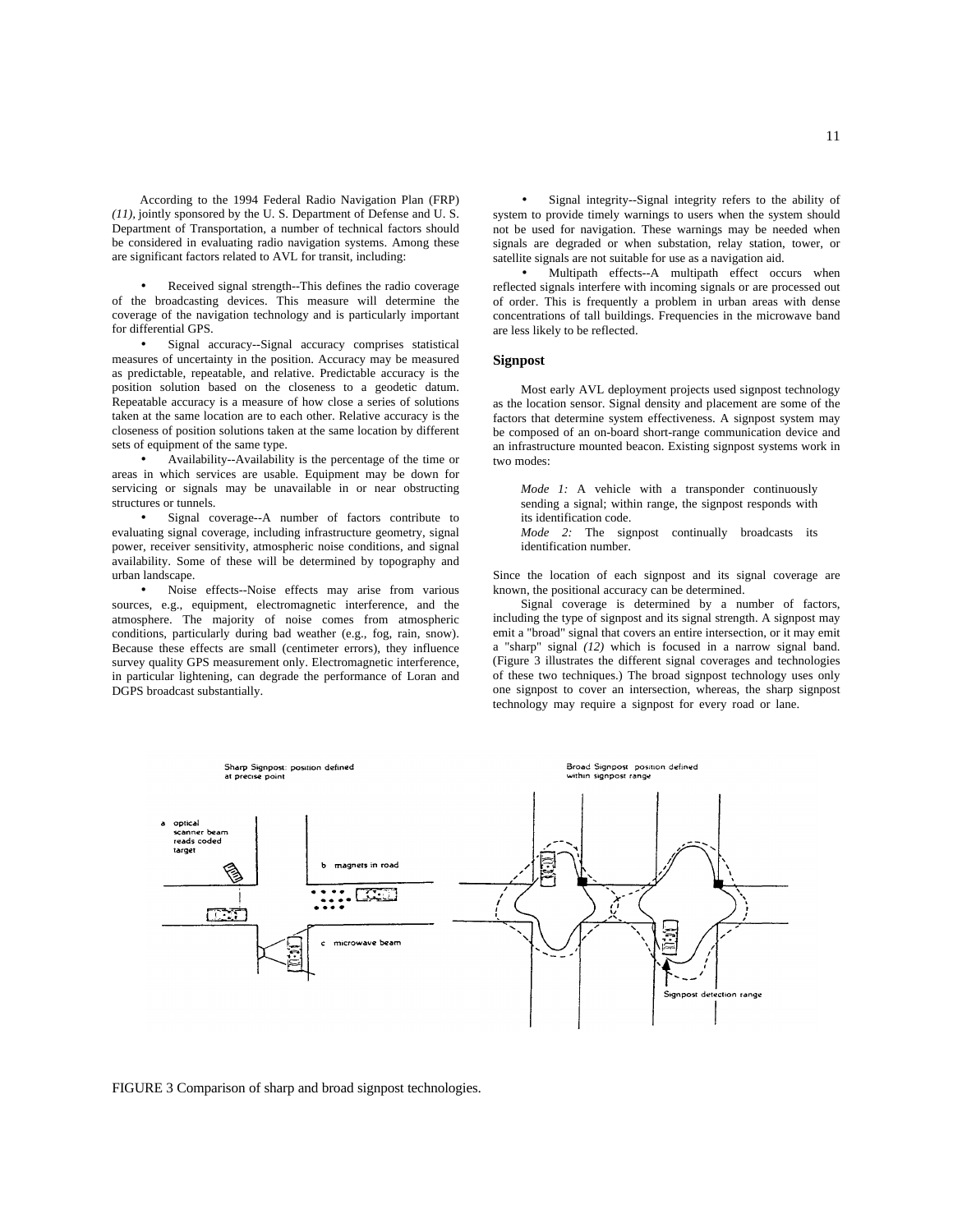According to the 1994 Federal Radio Navigation Plan (FRP) *(11),* jointly sponsored by the U. S. Department of Defense and U. S. Department of Transportation, a number of technical factors should be considered in evaluating radio navigation systems. Among these are significant factors related to AVL for transit, including:

Received signal strength--This defines the radio coverage of the broadcasting devices. This measure will determine the coverage of the navigation technology and is particularly important for differential GPS.

• Signal accuracy--Signal accuracy comprises statistical measures of uncertainty in the position. Accuracy may be measured as predictable, repeatable, and relative. Predictable accuracy is the position solution based on the closeness to a geodetic datum. Repeatable accuracy is a measure of how close a series of solutions taken at the same location are to each other. Relative accuracy is the closeness of position solutions taken at the same location by different sets of equipment of the same type.

• Availability--Availability is the percentage of the time or areas in which services are usable. Equipment may be down for servicing or signals may be unavailable in or near obstructing structures or tunnels.

Signal coverage--A number of factors contribute to evaluating signal coverage, including infrastructure geometry, signal power, receiver sensitivity, atmospheric noise conditions, and signal availability. Some of these will be determined by topography and urban landscape.

• Noise effects--Noise effects may arise from various sources, e.g., equipment, electromagnetic interference, and the atmosphere. The majority of noise comes from atmospheric conditions, particularly during bad weather (e.g., fog, rain, snow). Because these effects are small (centimeter errors), they influence survey quality GPS measurement only. Electromagnetic interference, in particular lightening, can degrade the performance of Loran and DGPS broadcast substantially.

Signal integrity--Signal integrity refers to the ability of system to provide timely warnings to users when the system should not be used for navigation. These warnings may be needed when signals are degraded or when substation, relay station, tower, or satellite signals are not suitable for use as a navigation aid.

Multipath effects--A multipath effect occurs when reflected signals interfere with incoming signals or are processed out of order. This is frequently a problem in urban areas with dense concentrations of tall buildings. Frequencies in the microwave band are less likely to be reflected.

#### **Signpost**

Most early AVL deployment projects used signpost technology as the location sensor. Signal density and placement are some of the factors that determine system effectiveness. A signpost system may be composed of an on-board short-range communication device and an infrastructure mounted beacon. Existing signpost systems work in two modes:

*Mode 1:* A vehicle with a transponder continuously sending a signal; within range, the signpost responds with its identification code.

*Mode 2:* The signpost continually broadcasts its identification number.

Since the location of each signpost and its signal coverage are known, the positional accuracy can be determined.

Signal coverage is determined by a number of factors, including the type of signpost and its signal strength. A signpost may emit a "broad" signal that covers an entire intersection, or it may emit a "sharp" signal *(12)* which is focused in a narrow signal band. (Figure 3 illustrates the different signal coverages and technologies of these two techniques.) The broad signpost technology uses only one signpost to cover an intersection, whereas, the sharp signpost technology may require a signpost for every road or lane.



FIGURE 3 Comparison of sharp and broad signpost technologies.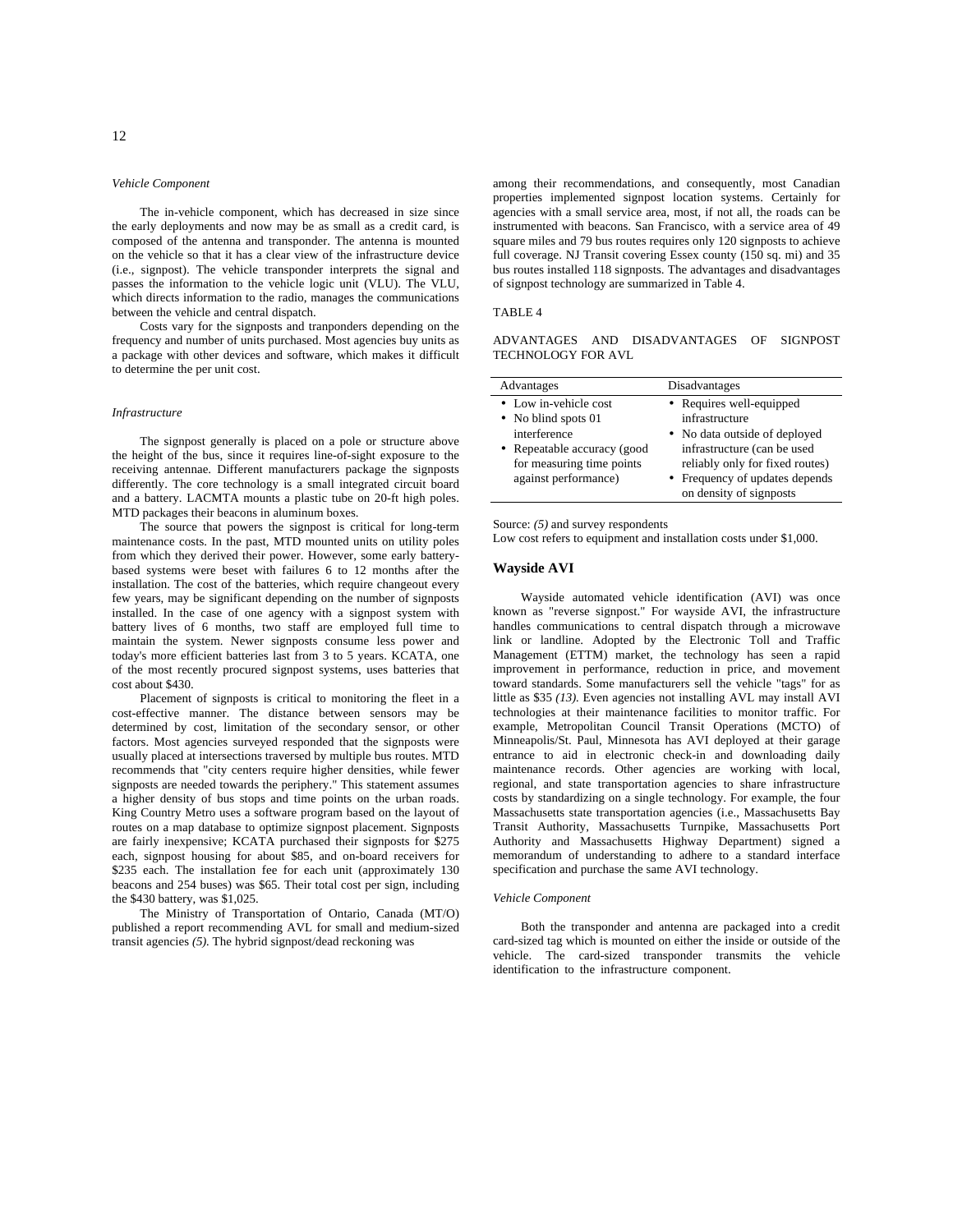#### *Vehicle Component*

The in-vehicle component, which has decreased in size since the early deployments and now may be as small as a credit card, is composed of the antenna and transponder. The antenna is mounted on the vehicle so that it has a clear view of the infrastructure device (i.e., signpost). The vehicle transponder interprets the signal and passes the information to the vehicle logic unit (VLU). The VLU, which directs information to the radio, manages the communications between the vehicle and central dispatch.

Costs vary for the signposts and tranponders depending on the frequency and number of units purchased. Most agencies buy units as a package with other devices and software, which makes it difficult to determine the per unit cost.

#### *Infrastructure*

The signpost generally is placed on a pole or structure above the height of the bus, since it requires line-of-sight exposure to the receiving antennae. Different manufacturers package the signposts differently. The core technology is a small integrated circuit board and a battery. LACMTA mounts a plastic tube on 20-ft high poles. MTD packages their beacons in aluminum boxes.

The source that powers the signpost is critical for long-term maintenance costs. In the past, MTD mounted units on utility poles from which they derived their power. However, some early batterybased systems were beset with failures 6 to 12 months after the installation. The cost of the batteries, which require changeout every few years, may be significant depending on the number of signposts installed. In the case of one agency with a signpost system with battery lives of 6 months, two staff are employed full time to maintain the system. Newer signposts consume less power and today's more efficient batteries last from 3 to 5 years. KCATA, one of the most recently procured signpost systems, uses batteries that cost about \$430.

Placement of signposts is critical to monitoring the fleet in a cost-effective manner. The distance between sensors may be determined by cost, limitation of the secondary sensor, or other factors. Most agencies surveyed responded that the signposts were usually placed at intersections traversed by multiple bus routes. MTD recommends that "city centers require higher densities, while fewer signposts are needed towards the periphery." This statement assumes a higher density of bus stops and time points on the urban roads. King Country Metro uses a software program based on the layout of routes on a map database to optimize signpost placement. Signposts are fairly inexpensive; KCATA purchased their signposts for \$275 each, signpost housing for about \$85, and on-board receivers for \$235 each. The installation fee for each unit (approximately 130) beacons and 254 buses) was \$65. Their total cost per sign, including the \$430 battery, was \$1,025.

The Ministry of Transportation of Ontario, Canada (MT/O) published a report recommending AVL for small and medium-sized transit agencies *(5).* The hybrid signpost/dead reckoning was

among their recommendations, and consequently, most Canadian properties implemented signpost location systems. Certainly for agencies with a small service area, most, if not all, the roads can be instrumented with beacons. San Francisco, with a service area of 49 square miles and 79 bus routes requires only 120 signposts to achieve full coverage. NJ Transit covering Essex county (150 sq. mi) and 35 bus routes installed 118 signposts. The advantages and disadvantages of signpost technology are summarized in Table 4.

#### TABLE 4

ADVANTAGES AND DISADVANTAGES OF SIGNPOST TECHNOLOGY FOR AVL

| • Low in-vehicle cost<br>• Requires well-equipped<br>infrastructure<br>• No blind spots 01<br>interference<br>• No data outside of deployed<br>infrastructure (can be used<br>• Repeatable accuracy (good<br>for measuring time points<br>reliably only for fixed routes)<br>against performance)<br>• Frequency of updates depends<br>on density of signposts | Advantages | Disadvantages |
|----------------------------------------------------------------------------------------------------------------------------------------------------------------------------------------------------------------------------------------------------------------------------------------------------------------------------------------------------------------|------------|---------------|
|                                                                                                                                                                                                                                                                                                                                                                |            |               |

Source: (5) and survey respondents

Low cost refers to equipment and installation costs under \$1,000.

# **Wayside AVI**

Wayside automated vehicle identification (AVI) was once known as "reverse signpost." For wayside AVI, the infrastructure handles communications to central dispatch through a microwave link or landline. Adopted by the Electronic Toll and Traffic Management (ETTM) market, the technology has seen a rapid improvement in performance, reduction in price, and movement toward standards. Some manufacturers sell the vehicle "tags" for as little as \$35 *(13).* Even agencies not installing AVL may install AVI technologies at their maintenance facilities to monitor traffic. For example, Metropolitan Council Transit Operations (MCTO) of Minneapolis/St. Paul, Minnesota has AVI deployed at their garage entrance to aid in electronic check-in and downloading daily maintenance records. Other agencies are working with local, regional, and state transportation agencies to share infrastructure costs by standardizing on a single technology. For example, the four Massachusetts state transportation agencies (i.e., Massachusetts Bay Transit Authority, Massachusetts Turnpike, Massachusetts Port Authority and Massachusetts Highway Department) signed a memorandum of understanding to adhere to a standard interface specification and purchase the same AVI technology.

#### *Vehicle Component*

Both the transponder and antenna are packaged into a credit card-sized tag which is mounted on either the inside or outside of the vehicle. The card-sized transponder transmits the vehicle identification to the infrastructure component.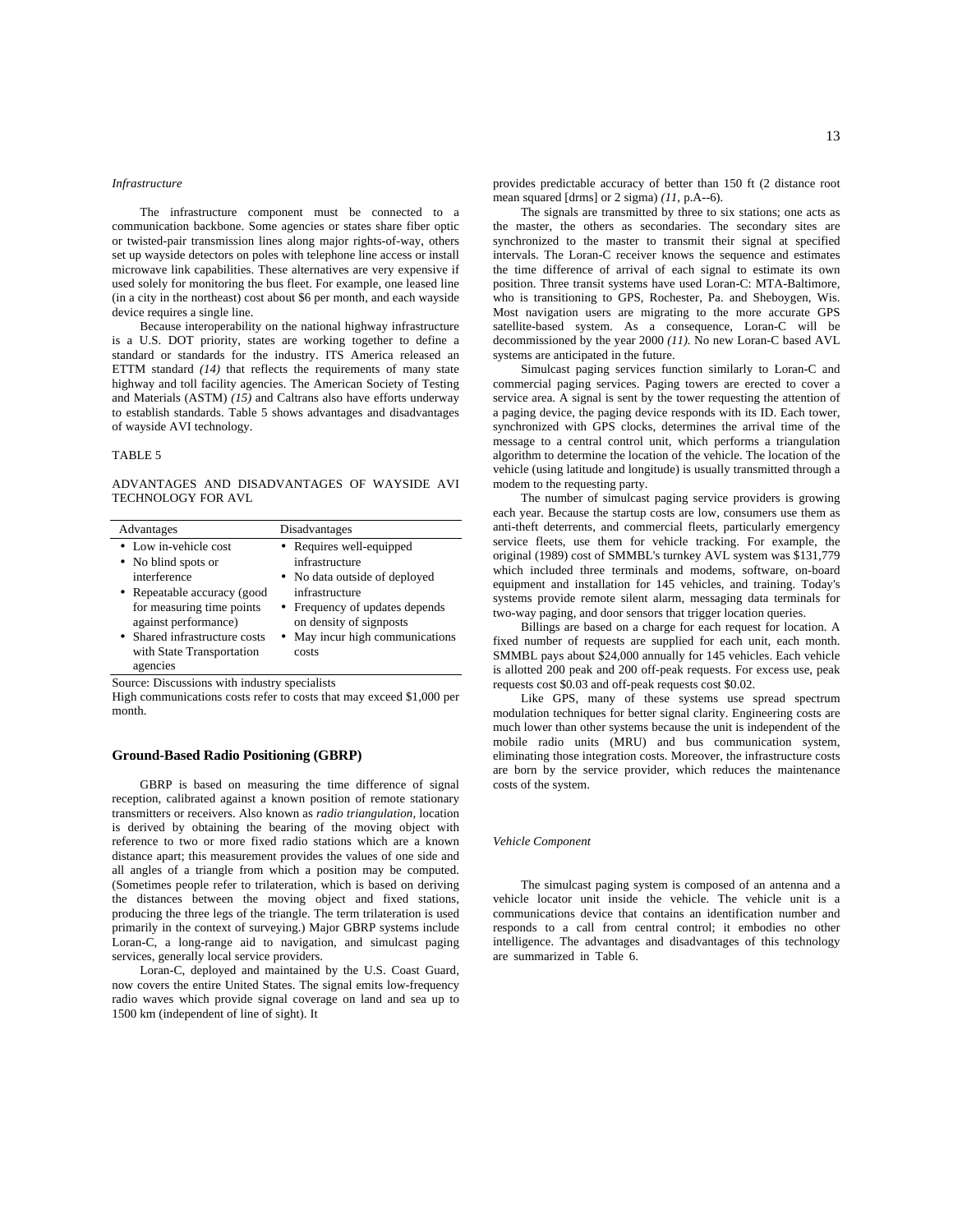#### *Infrastructure*

The infrastructure component must be connected to a communication backbone. Some agencies or states share fiber optic or twisted-pair transmission lines along major rights-of-way, others set up wayside detectors on poles with telephone line access or install microwave link capabilities. These alternatives are very expensive if used solely for monitoring the bus fleet. For example, one leased line (in a city in the northeast) cost about \$6 per month, and each wayside device requires a single line.

Because interoperability on the national highway infrastructure is a U.S. DOT priority, states are working together to define a standard or standards for the industry. ITS America released an ETTM standard *(14)* that reflects the requirements of many state highway and toll facility agencies. The American Society of Testing and Materials (ASTM) *(15)* and Caltrans also have efforts underway to establish standards. Table 5 shows advantages and disadvantages of wayside AVI technology.

TABLE 5

#### ADVANTAGES AND DISADVANTAGES OF WAYSIDE AVI TECHNOLOGY FOR AVL

| Advantages                    | Disadvantages                  |
|-------------------------------|--------------------------------|
| • Low in-vehicle cost         | • Requires well-equipped       |
| • No blind spots or           | infrastructure                 |
| interference                  | • No data outside of deployed  |
| • Repeatable accuracy (good   | infrastructure                 |
| for measuring time points     | • Frequency of updates depends |
| against performance)          | on density of signposts        |
| • Shared infrastructure costs | May incur high communications  |
| with State Transportation     | costs                          |
| agencies                      |                                |

Source: Discussions with industry specialists

High communications costs refer to costs that may exceed \$1,000 per month.

#### **Ground-Based Radio Positioning (GBRP)**

GBRP is based on measuring the time difference of signal reception, calibrated against a known position of remote stationary transmitters or receivers. Also known as *radio triangulation,* location is derived by obtaining the bearing of the moving object with reference to two or more fixed radio stations which are a known distance apart; this measurement provides the values of one side and all angles of a triangle from which a position may be computed. (Sometimes people refer to trilateration, which is based on deriving the distances between the moving object and fixed stations, producing the three legs of the triangle. The term trilateration is used primarily in the context of surveying.) Major GBRP systems include Loran-C, a long-range aid to navigation, and simulcast paging services, generally local service providers.

Loran-C, deployed and maintained by the U.S. Coast Guard, now covers the entire United States. The signal emits low-frequency radio waves which provide signal coverage on land and sea up to 1500 km (independent of line of sight). It

provides predictable accuracy of better than 150 ft (2 distance root mean squared [drms] or 2 sigma) *(11,* p.A--6).

The signals are transmitted by three to six stations; one acts as the master, the others as secondaries. The secondary sites are synchronized to the master to transmit their signal at specified intervals. The Loran-C receiver knows the sequence and estimates the time difference of arrival of each signal to estimate its own position. Three transit systems have used Loran-C: MTA-Baltimore, who is transitioning to GPS, Rochester, Pa. and Sheboygen, Wis. Most navigation users are migrating to the more accurate GPS satellite-based system. As a consequence, Loran-C will be decommissioned by the year 2000 *(11).* No new Loran-C based AVL systems are anticipated in the future.

Simulcast paging services function similarly to Loran-C and commercial paging services. Paging towers are erected to cover a service area. A signal is sent by the tower requesting the attention of a paging device, the paging device responds with its ID. Each tower, synchronized with GPS clocks, determines the arrival time of the message to a central control unit, which performs a triangulation algorithm to determine the location of the vehicle. The location of the vehicle (using latitude and longitude) is usually transmitted through a modem to the requesting party.

The number of simulcast paging service providers is growing each year. Because the startup costs are low, consumers use them as anti-theft deterrents, and commercial fleets, particularly emergency service fleets, use them for vehicle tracking. For example, the original (1989) cost of SMMBL's turnkey AVL system was \$131,779 which included three terminals and modems, software, on-board equipment and installation for 145 vehicles, and training. Today's systems provide remote silent alarm, messaging data terminals for two-way paging, and door sensors that trigger location queries.

Billings are based on a charge for each request for location. A fixed number of requests are supplied for each unit, each month. SMMBL pays about \$24,000 annually for 145 vehicles. Each vehicle is allotted 200 peak and 200 off-peak requests. For excess use, peak requests cost \$0.03 and off-peak requests cost \$0.02.

Like GPS, many of these systems use spread spectrum modulation techniques for better signal clarity. Engineering costs are much lower than other systems because the unit is independent of the mobile radio units (MRU) and bus communication system, eliminating those integration costs. Moreover, the infrastructure costs are born by the service provider, which reduces the maintenance costs of the system.

#### *Vehicle Component*

The simulcast paging system is composed of an antenna and a vehicle locator unit inside the vehicle. The vehicle unit is a communications device that contains an identification number and responds to a call from central control; it embodies no other intelligence. The advantages and disadvantages of this technology are summarized in Table 6.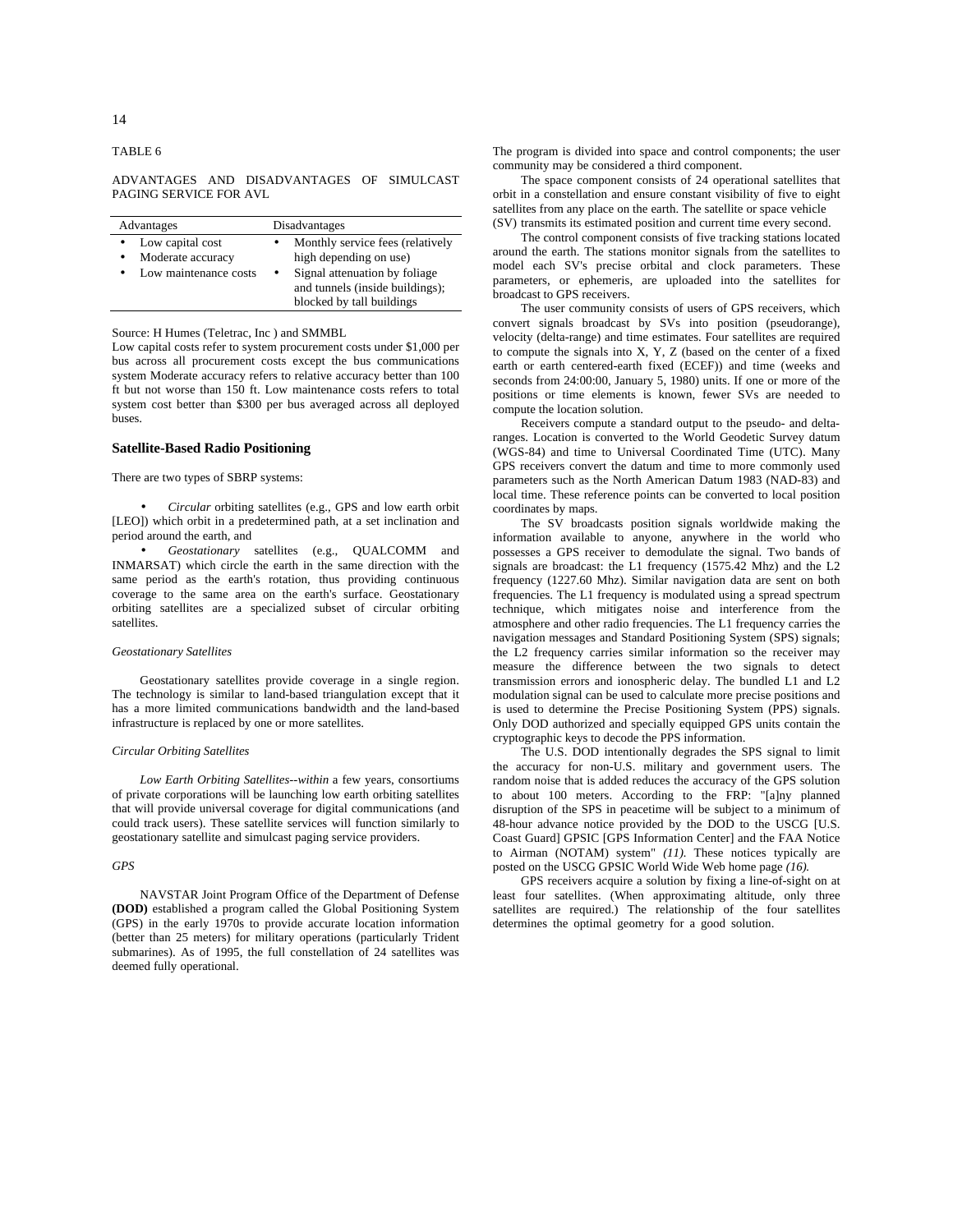TABLE 6

ADVANTAGES AND DISADVANTAGES OF SIMULCAST PAGING SERVICE FOR AVL

| Advantages                                                          |           | Disadvantages                                                                                                                                               |
|---------------------------------------------------------------------|-----------|-------------------------------------------------------------------------------------------------------------------------------------------------------------|
| Low capital cost<br>Moderate accuracy<br>٠<br>Low maintenance costs | $\bullet$ | Monthly service fees (relatively<br>high depending on use)<br>Signal attenuation by foliage<br>and tunnels (inside buildings);<br>blocked by tall buildings |

#### Source: H Humes (Teletrac, Inc ) and SMMBL

Low capital costs refer to system procurement costs under \$1,000 per bus across all procurement costs except the bus communications system Moderate accuracy refers to relative accuracy better than 100 ft but not worse than 150 ft. Low maintenance costs refers to total system cost better than \$300 per bus averaged across all deployed buses.

#### **Satellite-Based Radio Positioning**

There are two types of SBRP systems:

• *Circular* orbiting satellites (e.g., GPS and low earth orbit [LEO]) which orbit in a predetermined path, at a set inclination and period around the earth, and

• *Geostationary* satellites (e.g., QUALCOMM and INMARSAT) which circle the earth in the same direction with the same period as the earth's rotation, thus providing continuous coverage to the same area on the earth's surface. Geostationary orbiting satellites are a specialized subset of circular orbiting satellites.

#### *Geostationary Satellites*

Geostationary satellites provide coverage in a single region. The technology is similar to land-based triangulation except that it has a more limited communications bandwidth and the land-based infrastructure is replaced by one or more satellites.

#### *Circular Orbiting Satellites*

*Low Earth Orbiting Satellites--within* a few years, consortiums of private corporations will be launching low earth orbiting satellites that will provide universal coverage for digital communications (and could track users). These satellite services will function similarly to geostationary satellite and simulcast paging service providers.

#### *GPS*

NAVSTAR Joint Program Office of the Department of Defense **(DOD)** established a program called the Global Positioning System (GPS) in the early 1970s to provide accurate location information (better than 25 meters) for military operations (particularly Trident submarines). As of 1995, the full constellation of 24 satellites was deemed fully operational.

The program is divided into space and control components; the user community may be considered a third component.

The space component consists of 24 operational satellites that orbit in a constellation and ensure constant visibility of five to eight satellites from any place on the earth. The satellite or space vehicle (SV) transmits its estimated position and current time every second.

The control component consists of five tracking stations located around the earth. The stations monitor signals from the satellites to model each SV's precise orbital and clock parameters. These parameters, or ephemeris, are uploaded into the satellites for broadcast to GPS receivers.

The user community consists of users of GPS receivers, which convert signals broadcast by SVs into position (pseudorange), velocity (delta-range) and time estimates. Four satellites are required to compute the signals into X, Y, Z (based on the center of a fixed earth or earth centered-earth fixed (ECEF)) and time (weeks and seconds from 24:00:00, January 5, 1980) units. If one or more of the positions or time elements is known, fewer SVs are needed to compute the location solution.

Receivers compute a standard output to the pseudo- and deltaranges. Location is converted to the World Geodetic Survey datum (WGS-84) and time to Universal Coordinated Time (UTC). Many GPS receivers convert the datum and time to more commonly used parameters such as the North American Datum 1983 (NAD-83) and local time. These reference points can be converted to local position coordinates by maps.

The SV broadcasts position signals worldwide making the information available to anyone, anywhere in the world who possesses a GPS receiver to demodulate the signal. Two bands of signals are broadcast: the L1 frequency (1575.42 Mhz) and the L2 frequency (1227.60 Mhz). Similar navigation data are sent on both frequencies. The L1 frequency is modulated using a spread spectrum technique, which mitigates noise and interference from the atmosphere and other radio frequencies. The L1 frequency carries the navigation messages and Standard Positioning System (SPS) signals; the L2 frequency carries similar information so the receiver may measure the difference between the two signals to detect transmission errors and ionospheric delay. The bundled L1 and L2 modulation signal can be used to calculate more precise positions and is used to determine the Precise Positioning System (PPS) signals. Only DOD authorized and specially equipped GPS units contain the cryptographic keys to decode the PPS information.

The U.S. DOD intentionally degrades the SPS signal to limit the accuracy for non-U.S. military and government users. The random noise that is added reduces the accuracy of the GPS solution to about 100 meters. According to the FRP: "[a]ny planned disruption of the SPS in peacetime will be subject to a minimum of 48-hour advance notice provided by the DOD to the USCG [U.S. Coast Guard] GPSIC [GPS Information Center] and the FAA Notice to Airman (NOTAM) system" *(11).* These notices typically are posted on the USCG GPSIC World Wide Web home page *(16).*

GPS receivers acquire a solution by fixing a line-of-sight on at least four satellites. (When approximating altitude, only three satellites are required.) The relationship of the four satellites determines the optimal geometry for a good solution.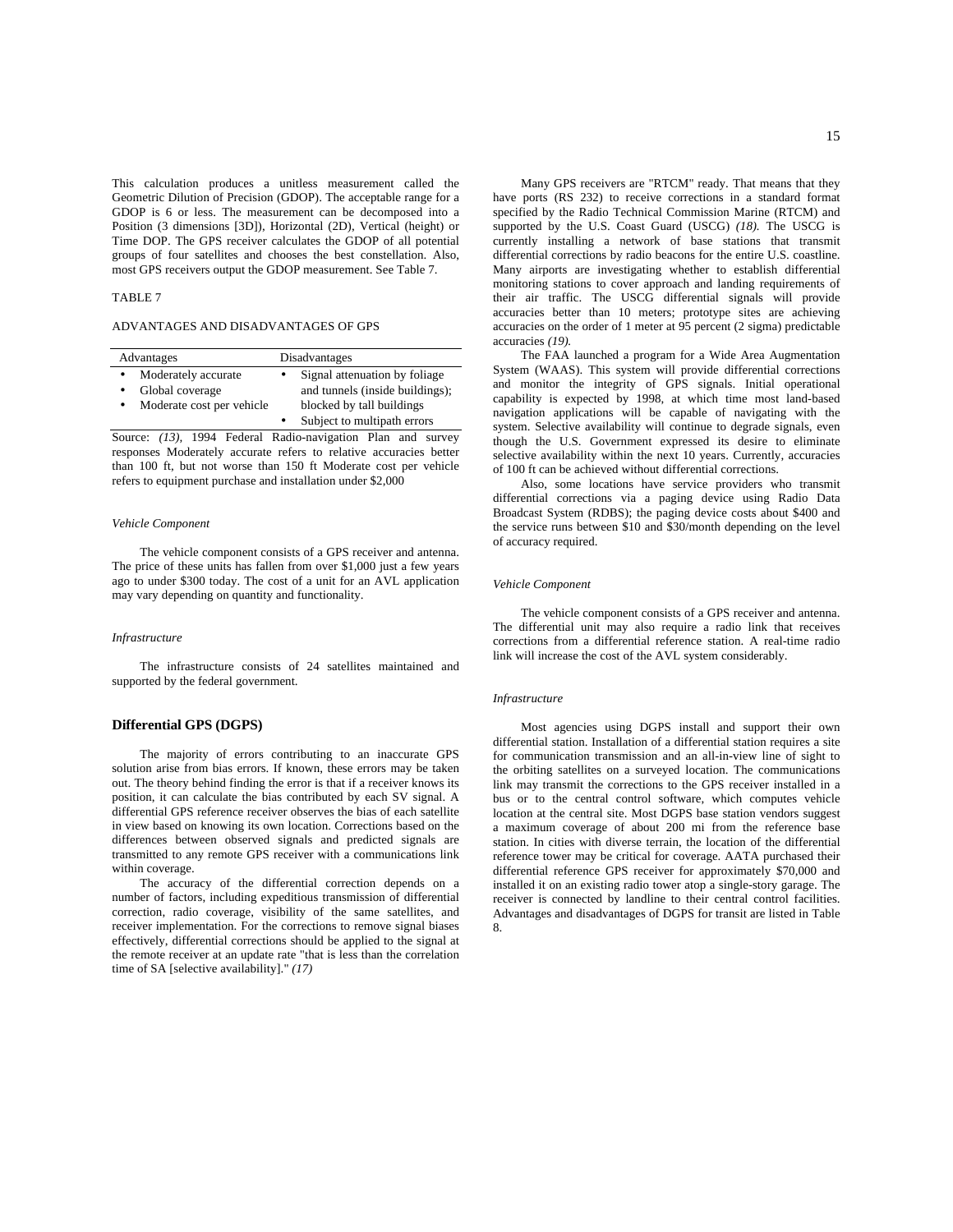This calculation produces a unitless measurement called the Geometric Dilution of Precision (GDOP). The acceptable range for a GDOP is 6 or less. The measurement can be decomposed into a Position (3 dimensions [3D]), Horizontal (2D), Vertical (height) or Time DOP. The GPS receiver calculates the GDOP of all potential groups of four satellites and chooses the best constellation. Also, most GPS receivers output the GDOP measurement. See Table 7.

#### TABLE 7

#### ADVANTAGES AND DISADVANTAGES OF GPS

| Advantages |                           | Disadvantages |                                 |
|------------|---------------------------|---------------|---------------------------------|
| ٠          | Moderately accurate       | $\bullet$     | Signal attenuation by foliage   |
|            | Global coverage           |               | and tunnels (inside buildings); |
| $\bullet$  | Moderate cost per vehicle |               | blocked by tall buildings       |
|            |                           | ٠             | Subject to multipath errors     |

Source: (13), 1994 Federal Radio-navigation Plan and survey responses Moderately accurate refers to relative accuracies better than 100 ft, but not worse than 150 ft Moderate cost per vehicle refers to equipment purchase and installation under \$2,000

#### *Vehicle Component*

The vehicle component consists of a GPS receiver and antenna. The price of these units has fallen from over \$1,000 just a few years ago to under \$300 today. The cost of a unit for an AVL application may vary depending on quantity and functionality.

#### *Infrastructure*

The infrastructure consists of 24 satellites maintained and supported by the federal government.

#### **Differential GPS (DGPS)**

The majority of errors contributing to an inaccurate GPS solution arise from bias errors. If known, these errors may be taken out. The theory behind finding the error is that if a receiver knows its position, it can calculate the bias contributed by each SV signal. A differential GPS reference receiver observes the bias of each satellite in view based on knowing its own location. Corrections based on the differences between observed signals and predicted signals are transmitted to any remote GPS receiver with a communications link within coverage.

The accuracy of the differential correction depends on a number of factors, including expeditious transmission of differential correction, radio coverage, visibility of the same satellites, and receiver implementation. For the corrections to remove signal biases effectively, differential corrections should be applied to the signal at the remote receiver at an update rate "that is less than the correlation time of SA [selective availability]." *(17)*

Many GPS receivers are "RTCM" ready. That means that they have ports (RS 232) to receive corrections in a standard format specified by the Radio Technical Commission Marine (RTCM) and supported by the U.S. Coast Guard (USCG) *(18).* The USCG is currently installing a network of base stations that transmit differential corrections by radio beacons for the entire U.S. coastline. Many airports are investigating whether to establish differential monitoring stations to cover approach and landing requirements of their air traffic. The USCG differential signals will provide accuracies better than 10 meters; prototype sites are achieving accuracies on the order of 1 meter at 95 percent (2 sigma) predictable accuracies *(19).*

The FAA launched a program for a Wide Area Augmentation System (WAAS). This system will provide differential corrections and monitor the integrity of GPS signals. Initial operational capability is expected by 1998, at which time most land-based navigation applications will be capable of navigating with the system. Selective availability will continue to degrade signals, even though the U.S. Government expressed its desire to eliminate selective availability within the next 10 years. Currently, accuracies of 100 ft can be achieved without differential corrections.

Also, some locations have service providers who transmit differential corrections via a paging device using Radio Data Broadcast System (RDBS); the paging device costs about \$400 and the service runs between \$10 and \$30/month depending on the level of accuracy required.

#### *Vehicle Component*

The vehicle component consists of a GPS receiver and antenna. The differential unit may also require a radio link that receives corrections from a differential reference station. A real-time radio link will increase the cost of the AVL system considerably.

#### *Infrastructure*

Most agencies using DGPS install and support their own differential station. Installation of a differential station requires a site for communication transmission and an all-in-view line of sight to the orbiting satellites on a surveyed location. The communications link may transmit the corrections to the GPS receiver installed in a bus or to the central control software, which computes vehicle location at the central site. Most DGPS base station vendors suggest a maximum coverage of about 200 mi from the reference base station. In cities with diverse terrain, the location of the differential reference tower may be critical for coverage. AATA purchased their differential reference GPS receiver for approximately \$70,000 and installed it on an existing radio tower atop a single-story garage. The receiver is connected by landline to their central control facilities. Advantages and disadvantages of DGPS for transit are listed in Table 8.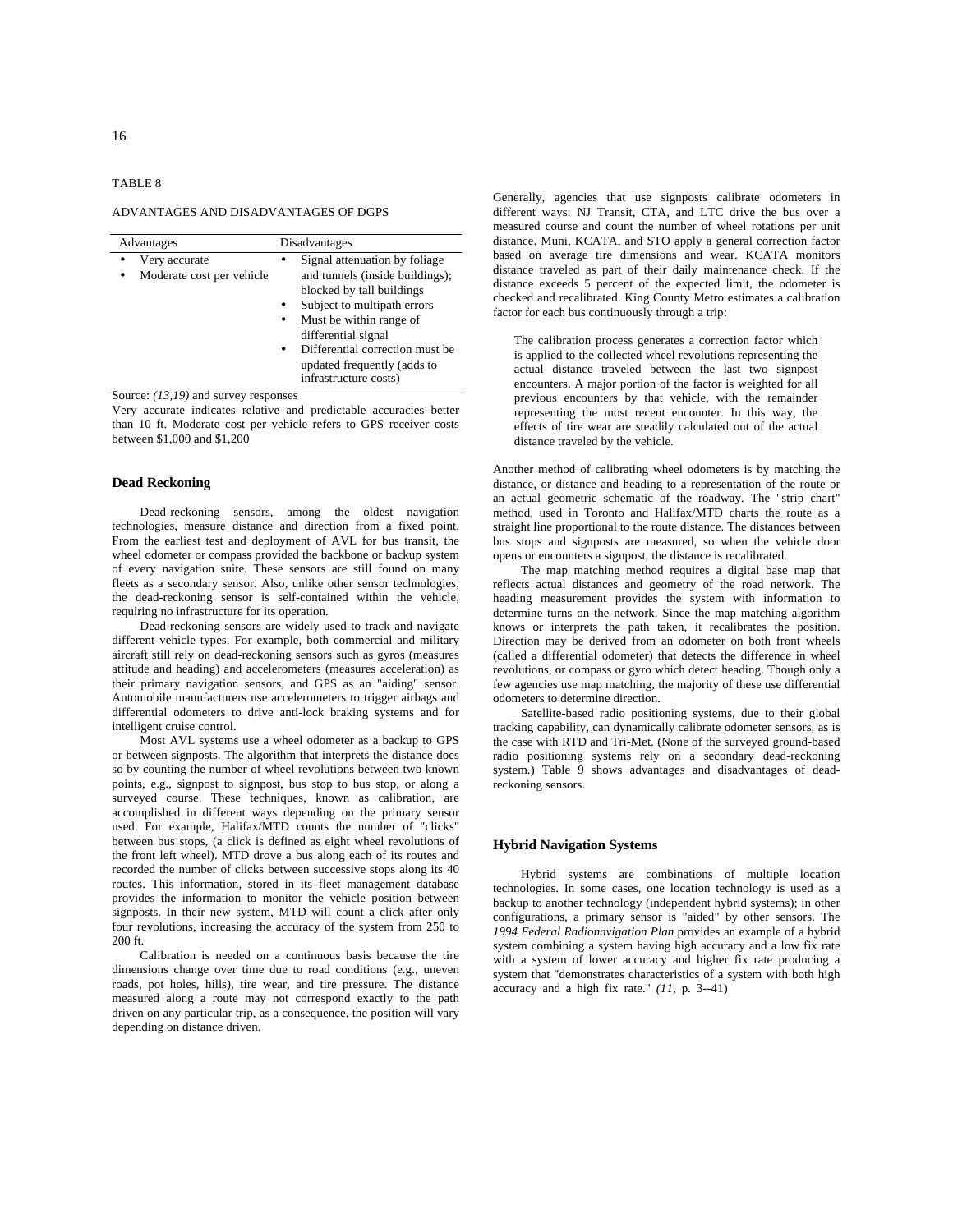TABLE 8

#### ADVANTAGES AND DISADVANTAGES OF DGPS

| Advantages                                 | Disadvantages                                                                                                                                                                                                                                                                  |  |
|--------------------------------------------|--------------------------------------------------------------------------------------------------------------------------------------------------------------------------------------------------------------------------------------------------------------------------------|--|
| Very accurate<br>Moderate cost per vehicle | Signal attenuation by foliage<br>and tunnels (inside buildings);<br>blocked by tall buildings<br>Subject to multipath errors<br>٠<br>Must be within range of<br>differential signal<br>Differential correction must be<br>updated frequently (adds to<br>infrastructure costs) |  |

Source:  $(13,19)$  and survey responses

Very accurate indicates relative and predictable accuracies better than 10 ft. Moderate cost per vehicle refers to GPS receiver costs between \$1,000 and \$1,200

#### **Dead Reckoning**

Dead-reckoning sensors, among the oldest navigation technologies, measure distance and direction from a fixed point. From the earliest test and deployment of AVL for bus transit, the wheel odometer or compass provided the backbone or backup system of every navigation suite. These sensors are still found on many fleets as a secondary sensor. Also, unlike other sensor technologies, the dead-reckoning sensor is self-contained within the vehicle, requiring no infrastructure for its operation.

Dead-reckoning sensors are widely used to track and navigate different vehicle types. For example, both commercial and military aircraft still rely on dead-reckoning sensors such as gyros (measures attitude and heading) and accelerometers (measures acceleration) as their primary navigation sensors, and GPS as an "aiding" sensor. Automobile manufacturers use accelerometers to trigger airbags and differential odometers to drive anti-lock braking systems and for intelligent cruise control.

Most AVL systems use a wheel odometer as a backup to GPS or between signposts. The algorithm that interprets the distance does so by counting the number of wheel revolutions between two known points, e.g., signpost to signpost, bus stop to bus stop, or along a surveyed course. These techniques, known as calibration, are accomplished in different ways depending on the primary sensor used. For example, Halifax/MTD counts the number of "clicks" between bus stops, (a click is defined as eight wheel revolutions of the front left wheel). MTD drove a bus along each of its routes and recorded the number of clicks between successive stops along its 40 routes. This information, stored in its fleet management database provides the information to monitor the vehicle position between signposts. In their new system, MTD will count a click after only four revolutions, increasing the accuracy of the system from 250 to 200 ft.

Calibration is needed on a continuous basis because the tire dimensions change over time due to road conditions (e.g., uneven roads, pot holes, hills), tire wear, and tire pressure. The distance measured along a route may not correspond exactly to the path driven on any particular trip, as a consequence, the position will vary depending on distance driven.

Generally, agencies that use signposts calibrate odometers in different ways: NJ Transit, CTA, and LTC drive the bus over a measured course and count the number of wheel rotations per unit distance. Muni, KCATA, and STO apply a general correction factor based on average tire dimensions and wear. KCATA monitors distance traveled as part of their daily maintenance check. If the distance exceeds 5 percent of the expected limit, the odometer is checked and recalibrated. King County Metro estimates a calibration factor for each bus continuously through a trip:

The calibration process generates a correction factor which is applied to the collected wheel revolutions representing the actual distance traveled between the last two signpost encounters. A major portion of the factor is weighted for all previous encounters by that vehicle, with the remainder representing the most recent encounter. In this way, the effects of tire wear are steadily calculated out of the actual distance traveled by the vehicle.

Another method of calibrating wheel odometers is by matching the distance, or distance and heading to a representation of the route or an actual geometric schematic of the roadway. The "strip chart" method, used in Toronto and Halifax/MTD charts the route as a straight line proportional to the route distance. The distances between bus stops and signposts are measured, so when the vehicle door opens or encounters a signpost, the distance is recalibrated.

The map matching method requires a digital base map that reflects actual distances and geometry of the road network. The heading measurement provides the system with information to determine turns on the network. Since the map matching algorithm knows or interprets the path taken, it recalibrates the position. Direction may be derived from an odometer on both front wheels (called a differential odometer) that detects the difference in wheel revolutions, or compass or gyro which detect heading. Though only a few agencies use map matching, the majority of these use differential odometers to determine direction.

Satellite-based radio positioning systems, due to their global tracking capability, can dynamically calibrate odometer sensors, as is the case with RTD and Tri-Met. (None of the surveyed ground-based radio positioning systems rely on a secondary dead-reckoning system.) Table 9 shows advantages and disadvantages of deadreckoning sensors.

#### **Hybrid Navigation Systems**

Hybrid systems are combinations of multiple location technologies. In some cases, one location technology is used as a backup to another technology (independent hybrid systems); in other configurations, a primary sensor is "aided" by other sensors. The *1994 Federal Radionavigation Plan* provides an example of a hybrid system combining a system having high accuracy and a low fix rate with a system of lower accuracy and higher fix rate producing a system that "demonstrates characteristics of a system with both high accuracy and a high fix rate." *(11,* p*.* 3--41)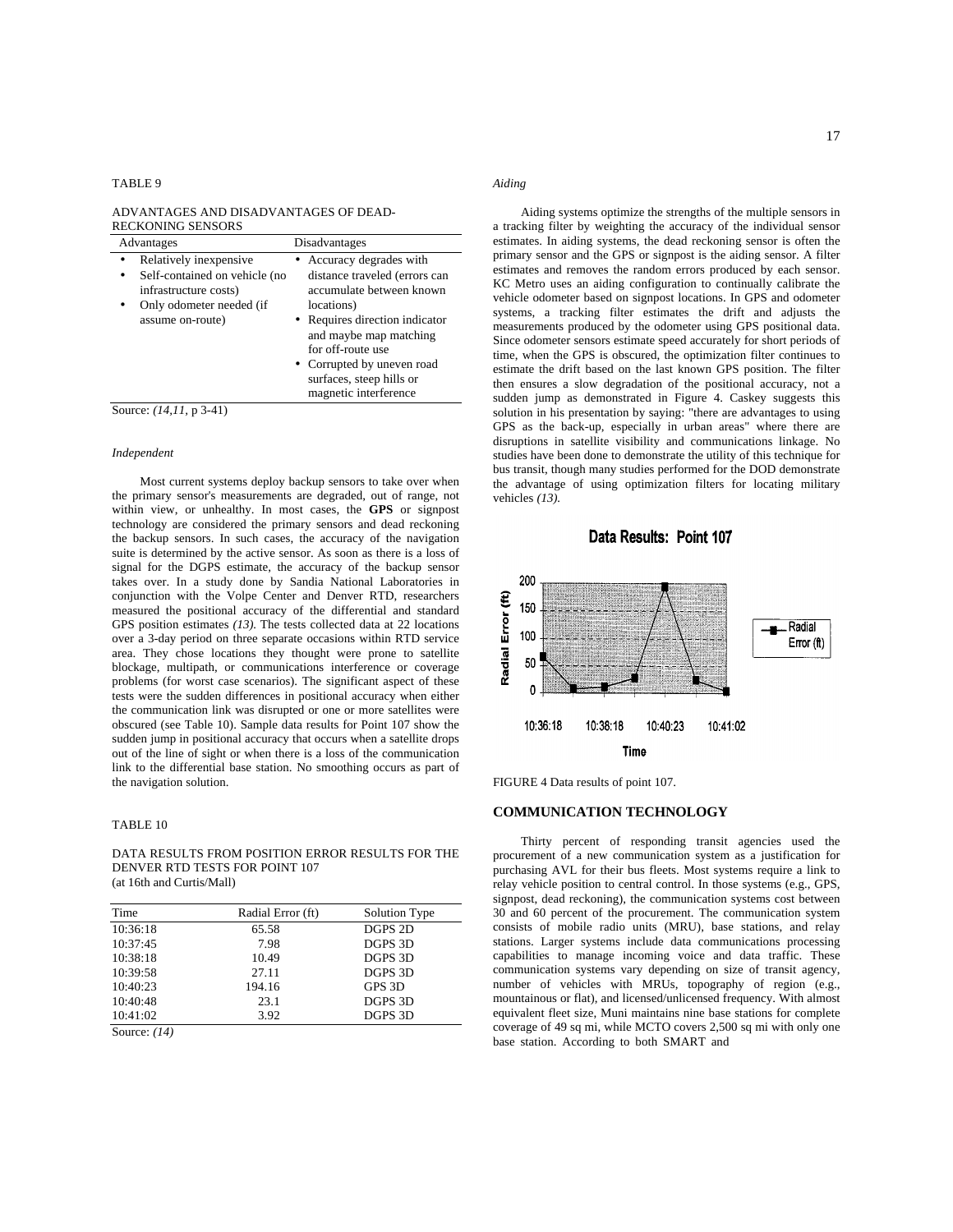#### TABLE 9

ADVANTAGES AND DISADVANTAGES OF DEAD-RECKONING SENSORS

| Advantages                                                                                                                            | Disadvantages                                                                                                                                                                                                                                                           |
|---------------------------------------------------------------------------------------------------------------------------------------|-------------------------------------------------------------------------------------------------------------------------------------------------------------------------------------------------------------------------------------------------------------------------|
| Relatively inexpensive<br>Self-contained on vehicle (no<br>٠<br>infrastructure costs)<br>Only odometer needed (if<br>assume on-route) | • Accuracy degrades with<br>distance traveled (errors can<br>accumulate between known<br>locations)<br>• Requires direction indicator<br>and maybe map matching<br>for off-route use<br>• Corrupted by uneven road<br>surfaces, steep hills or<br>magnetic interference |
| Source: (14,11, p 3-41)                                                                                                               |                                                                                                                                                                                                                                                                         |

#### *Independent*

Most current systems deploy backup sensors to take over when the primary sensor's measurements are degraded, out of range, not within view, or unhealthy. In most cases, the **GPS** or signpost technology are considered the primary sensors and dead reckoning the backup sensors. In such cases, the accuracy of the navigation suite is determined by the active sensor. As soon as there is a loss of signal for the DGPS estimate, the accuracy of the backup sensor takes over. In a study done by Sandia National Laboratories in conjunction with the Volpe Center and Denver RTD, researchers measured the positional accuracy of the differential and standard GPS position estimates *(13).* The tests collected data at 22 locations over a 3-day period on three separate occasions within RTD service area. They chose locations they thought were prone to satellite blockage, multipath, or communications interference or coverage problems (for worst case scenarios). The significant aspect of these tests were the sudden differences in positional accuracy when either the communication link was disrupted or one or more satellites were obscured (see Table 10). Sample data results for Point 107 show the sudden jump in positional accuracy that occurs when a satellite drops out of the line of sight or when there is a loss of the communication link to the differential base station. No smoothing occurs as part of the navigation solution.

#### TABLE 10

#### DATA RESULTS FROM POSITION ERROR RESULTS FOR THE DENVER RTD TESTS FOR POINT 107 (at 16th and Curtis/Mall)

| Time     | Radial Error (ft) | Solution Type |
|----------|-------------------|---------------|
| 10:36:18 | 65.58             | DGPS 2D       |
| 10:37:45 | 7.98              | DGPS 3D       |
| 10:38:18 | 10.49             | DGPS 3D       |
| 10:39:58 | 27.11             | DGPS 3D       |
| 10:40:23 | 194.16            | GPS 3D        |
| 10:40:48 | 23.1              | DGPS 3D       |
| 10:41:02 | 3.92              | DGPS 3D       |

Source: *(14)*

#### *Aiding*

Aiding systems optimize the strengths of the multiple sensors in a tracking filter by weighting the accuracy of the individual sensor estimates. In aiding systems, the dead reckoning sensor is often the primary sensor and the GPS or signpost is the aiding sensor. A filter estimates and removes the random errors produced by each sensor. KC Metro uses an aiding configuration to continually calibrate the vehicle odometer based on signpost locations. In GPS and odometer systems, a tracking filter estimates the drift and adjusts the measurements produced by the odometer using GPS positional data. Since odometer sensors estimate speed accurately for short periods of time, when the GPS is obscured, the optimization filter continues to estimate the drift based on the last known GPS position. The filter then ensures a slow degradation of the positional accuracy, not a sudden jump as demonstrated in Figure 4. Caskey suggests this solution in his presentation by saying: "there are advantages to using GPS as the back-up, especially in urban areas" where there are disruptions in satellite visibility and communications linkage. No studies have been done to demonstrate the utility of this technique for bus transit, though many studies performed for the DOD demonstrate the advantage of using optimization filters for locating military vehicles *(13).*





FIGURE 4 Data results of point 107.

# **COMMUNICATION TECHNOLOGY**

Thirty percent of responding transit agencies used the procurement of a new communication system as a justification for purchasing AVL for their bus fleets. Most systems require a link to relay vehicle position to central control. In those systems (e.g., GPS, signpost, dead reckoning), the communication systems cost between 30 and 60 percent of the procurement. The communication system consists of mobile radio units (MRU), base stations, and relay stations. Larger systems include data communications processing capabilities to manage incoming voice and data traffic. These communication systems vary depending on size of transit agency, number of vehicles with MRUs, topography of region (e.g., mountainous or flat), and licensed/unlicensed frequency. With almost equivalent fleet size, Muni maintains nine base stations for complete coverage of 49 sq mi, while MCTO covers 2,500 sq mi with only one base station. According to both SMART and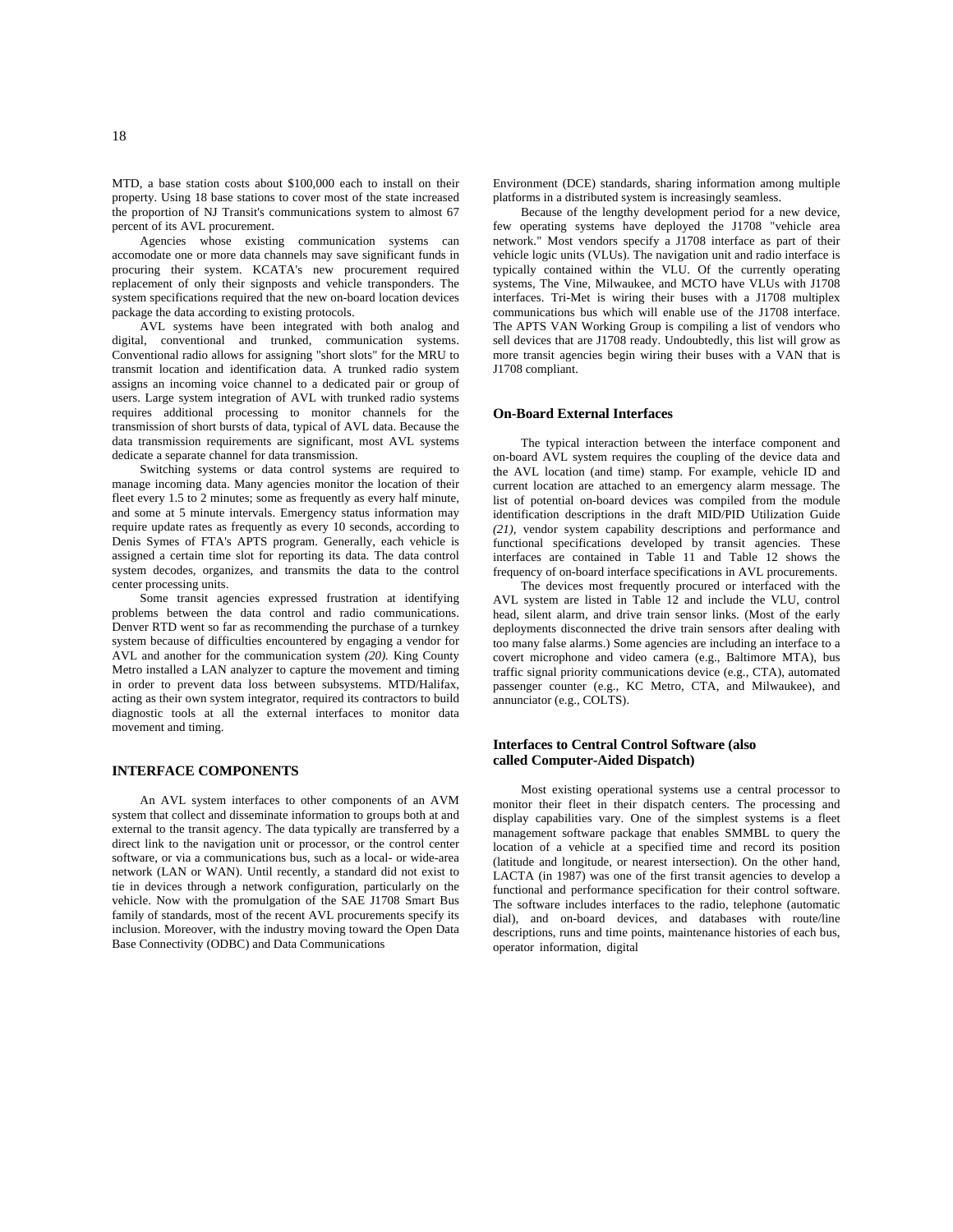MTD, a base station costs about \$100,000 each to install on their property. Using 18 base stations to cover most of the state increased the proportion of NJ Transit's communications system to almost 67 percent of its AVL procurement.

Agencies whose existing communication systems can accomodate one or more data channels may save significant funds in procuring their system. KCATA's new procurement required replacement of only their signposts and vehicle transponders. The system specifications required that the new on-board location devices package the data according to existing protocols.

AVL systems have been integrated with both analog and digital, conventional and trunked, communication systems. Conventional radio allows for assigning "short slots" for the MRU to transmit location and identification data. A trunked radio system assigns an incoming voice channel to a dedicated pair or group of users. Large system integration of AVL with trunked radio systems requires additional processing to monitor channels for the transmission of short bursts of data, typical of AVL data. Because the data transmission requirements are significant, most AVL systems dedicate a separate channel for data transmission.

Switching systems or data control systems are required to manage incoming data. Many agencies monitor the location of their fleet every 1.5 to 2 minutes; some as frequently as every half minute, and some at 5 minute intervals. Emergency status information may require update rates as frequently as every 10 seconds, according to Denis Symes of FTA's APTS program. Generally, each vehicle is assigned a certain time slot for reporting its data. The data control system decodes, organizes, and transmits the data to the control center processing units.

Some transit agencies expressed frustration at identifying problems between the data control and radio communications. Denver RTD went so far as recommending the purchase of a turnkey system because of difficulties encountered by engaging a vendor for AVL and another for the communication system *(20).* King County Metro installed a LAN analyzer to capture the movement and timing in order to prevent data loss between subsystems. MTD/Halifax, acting as their own system integrator, required its contractors to build diagnostic tools at all the external interfaces to monitor data movement and timing.

#### **INTERFACE COMPONENTS**

An AVL system interfaces to other components of an AVM system that collect and disseminate information to groups both at and external to the transit agency. The data typically are transferred by a direct link to the navigation unit or processor, or the control center software, or via a communications bus, such as a local- or wide-area network (LAN or WAN). Until recently, a standard did not exist to tie in devices through a network configuration, particularly on the vehicle. Now with the promulgation of the SAE J1708 Smart Bus family of standards, most of the recent AVL procurements specify its inclusion. Moreover, with the industry moving toward the Open Data Base Connectivity (ODBC) and Data Communications

Environment (DCE) standards, sharing information among multiple platforms in a distributed system is increasingly seamless.

Because of the lengthy development period for a new device, few operating systems have deployed the J1708 "vehicle area network." Most vendors specify a J1708 interface as part of their vehicle logic units (VLUs). The navigation unit and radio interface is typically contained within the VLU. Of the currently operating systems, The Vine, Milwaukee, and MCTO have VLUs with J1708 interfaces. Tri-Met is wiring their buses with a J1708 multiplex communications bus which will enable use of the J1708 interface. The APTS VAN Working Group is compiling a list of vendors who sell devices that are J1708 ready. Undoubtedly, this list will grow as more transit agencies begin wiring their buses with a VAN that is J1708 compliant.

#### **On-Board External Interfaces**

The typical interaction between the interface component and on-board AVL system requires the coupling of the device data and the AVL location (and time) stamp. For example, vehicle ID and current location are attached to an emergency alarm message. The list of potential on-board devices was compiled from the module identification descriptions in the draft MID/PID Utilization Guide *(21),* vendor system capability descriptions and performance and functional specifications developed by transit agencies. These interfaces are contained in Table 11 and Table 12 shows the frequency of on-board interface specifications in AVL procurements.

The devices most frequently procured or interfaced with the AVL system are listed in Table 12 and include the VLU, control head, silent alarm, and drive train sensor links. (Most of the early deployments disconnected the drive train sensors after dealing with too many false alarms.) Some agencies are including an interface to a covert microphone and video camera (e.g., Baltimore MTA), bus traffic signal priority communications device (e.g., CTA), automated passenger counter (e.g., KC Metro, CTA, and Milwaukee), and annunciator (e.g., COLTS).

#### **Interfaces to Central Control Software (also called Computer-Aided Dispatch)**

Most existing operational systems use a central processor to monitor their fleet in their dispatch centers. The processing and display capabilities vary. One of the simplest systems is a fleet management software package that enables SMMBL to query the location of a vehicle at a specified time and record its position (latitude and longitude, or nearest intersection). On the other hand, LACTA (in 1987) was one of the first transit agencies to develop a functional and performance specification for their control software. The software includes interfaces to the radio, telephone (automatic dial), and on-board devices, and databases with route/line descriptions, runs and time points, maintenance histories of each bus, operator information, digital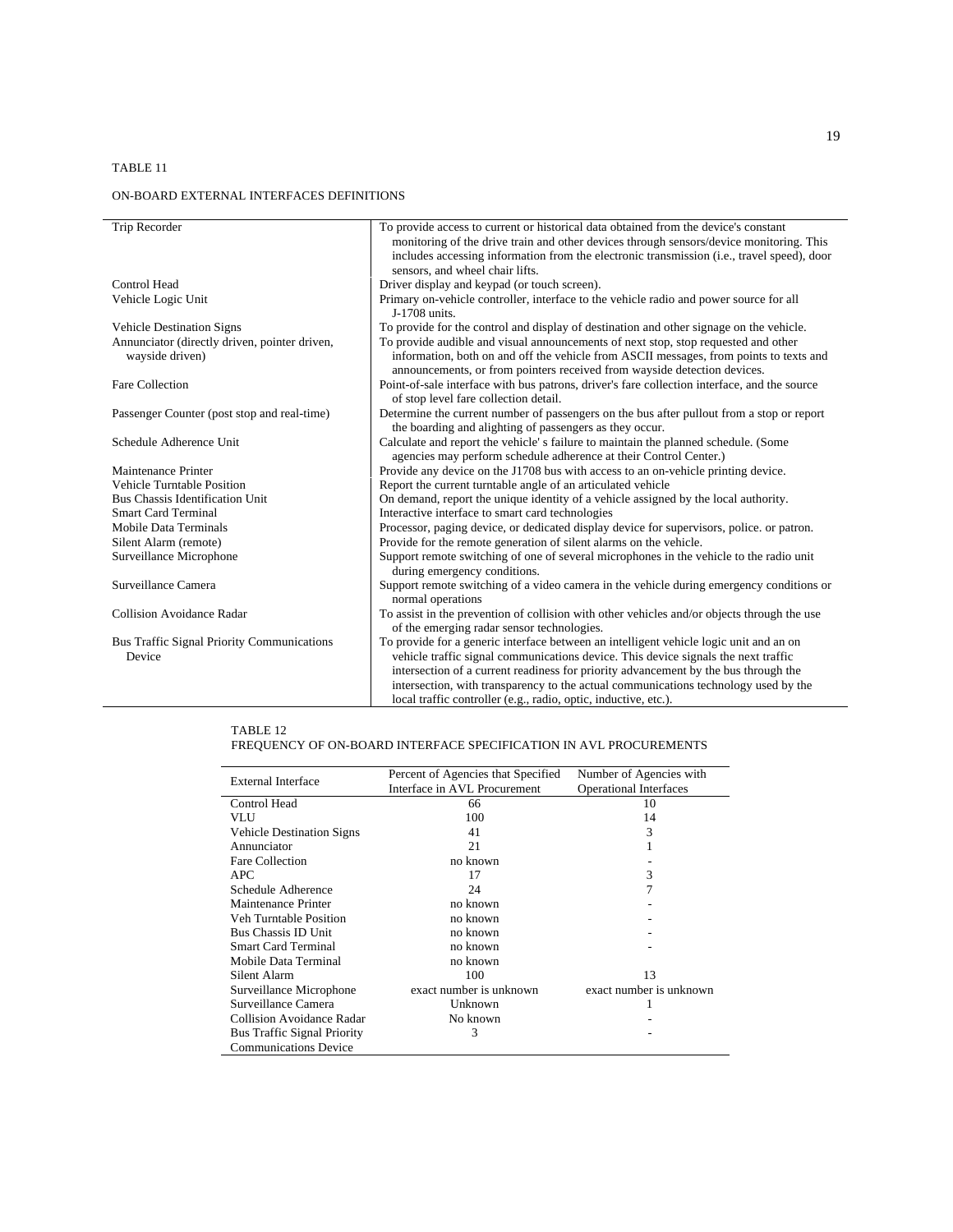TABLE 11

# ON-BOARD EXTERNAL INTERFACES DEFINITIONS

| Trip Recorder                                               | To provide access to current or historical data obtained from the device's constant<br>monitoring of the drive train and other devices through sensors/device monitoring. This<br>includes accessing information from the electronic transmission (i.e., travel speed), door<br>sensors, and wheel chair lifts.                                                                                                               |
|-------------------------------------------------------------|-------------------------------------------------------------------------------------------------------------------------------------------------------------------------------------------------------------------------------------------------------------------------------------------------------------------------------------------------------------------------------------------------------------------------------|
| Control Head                                                | Driver display and keypad (or touch screen).                                                                                                                                                                                                                                                                                                                                                                                  |
| Vehicle Logic Unit                                          | Primary on-vehicle controller, interface to the vehicle radio and power source for all<br>J-1708 units.                                                                                                                                                                                                                                                                                                                       |
| <b>Vehicle Destination Signs</b>                            | To provide for the control and display of destination and other signage on the vehicle.                                                                                                                                                                                                                                                                                                                                       |
| Annunciator (directly driven, pointer driven,               | To provide audible and visual announcements of next stop, stop requested and other                                                                                                                                                                                                                                                                                                                                            |
| wayside driven)                                             | information, both on and off the vehicle from ASCII messages, from points to texts and<br>announcements, or from pointers received from wayside detection devices.                                                                                                                                                                                                                                                            |
| Fare Collection                                             | Point-of-sale interface with bus patrons, driver's fare collection interface, and the source<br>of stop level fare collection detail.                                                                                                                                                                                                                                                                                         |
| Passenger Counter (post stop and real-time)                 | Determine the current number of passengers on the bus after pullout from a stop or report<br>the boarding and alighting of passengers as they occur.                                                                                                                                                                                                                                                                          |
| Schedule Adherence Unit                                     | Calculate and report the vehicle's failure to maintain the planned schedule. (Some<br>agencies may perform schedule adherence at their Control Center.)                                                                                                                                                                                                                                                                       |
| Maintenance Printer                                         | Provide any device on the J1708 bus with access to an on-vehicle printing device.                                                                                                                                                                                                                                                                                                                                             |
| <b>Vehicle Turntable Position</b>                           | Report the current turntable angle of an articulated vehicle                                                                                                                                                                                                                                                                                                                                                                  |
| <b>Bus Chassis Identification Unit</b>                      | On demand, report the unique identity of a vehicle assigned by the local authority.                                                                                                                                                                                                                                                                                                                                           |
| <b>Smart Card Terminal</b>                                  | Interactive interface to smart card technologies                                                                                                                                                                                                                                                                                                                                                                              |
| <b>Mobile Data Terminals</b>                                | Processor, paging device, or dedicated display device for supervisors, police. or patron.                                                                                                                                                                                                                                                                                                                                     |
| Silent Alarm (remote)                                       | Provide for the remote generation of silent alarms on the vehicle.                                                                                                                                                                                                                                                                                                                                                            |
| Surveillance Microphone                                     | Support remote switching of one of several microphones in the vehicle to the radio unit<br>during emergency conditions.                                                                                                                                                                                                                                                                                                       |
| Surveillance Camera                                         | Support remote switching of a video camera in the vehicle during emergency conditions or<br>normal operations                                                                                                                                                                                                                                                                                                                 |
| <b>Collision Avoidance Radar</b>                            | To assist in the prevention of collision with other vehicles and/or objects through the use<br>of the emerging radar sensor technologies.                                                                                                                                                                                                                                                                                     |
| <b>Bus Traffic Signal Priority Communications</b><br>Device | To provide for a generic interface between an intelligent vehicle logic unit and an on<br>vehicle traffic signal communications device. This device signals the next traffic<br>intersection of a current readiness for priority advancement by the bus through the<br>intersection, with transparency to the actual communications technology used by the<br>local traffic controller (e.g., radio, optic, inductive, etc.). |

#### TABLE 12 FREQUENCY OF ON-BOARD INTERFACE SPECIFICATION IN AVL PROCUREMENTS

| External Interface                 | Percent of Agencies that Specified | Number of Agencies with       |
|------------------------------------|------------------------------------|-------------------------------|
|                                    | Interface in AVL Procurement       | <b>Operational Interfaces</b> |
| Control Head                       | 66                                 | 10                            |
| VLU                                | 100                                | 14                            |
| <b>Vehicle Destination Signs</b>   | 41                                 | 3                             |
| Annunciator                        | 21                                 |                               |
| Fare Collection                    | no known                           |                               |
| APC.                               | 17                                 | 3                             |
| Schedule Adherence                 | 24                                 | 7                             |
| Maintenance Printer                | no known                           |                               |
| Veh Turntable Position             | no known                           |                               |
| <b>Bus Chassis ID Unit</b>         | no known                           |                               |
| <b>Smart Card Terminal</b>         | no known                           |                               |
| Mobile Data Terminal               | no known                           |                               |
| Silent Alarm                       | 100                                | 13                            |
| Surveillance Microphone            | exact number is unknown            | exact number is unknown       |
| Surveillance Camera                | Unknown                            |                               |
| Collision Avoidance Radar          | No known                           |                               |
| <b>Bus Traffic Signal Priority</b> | 3                                  |                               |
| <b>Communications Device</b>       |                                    |                               |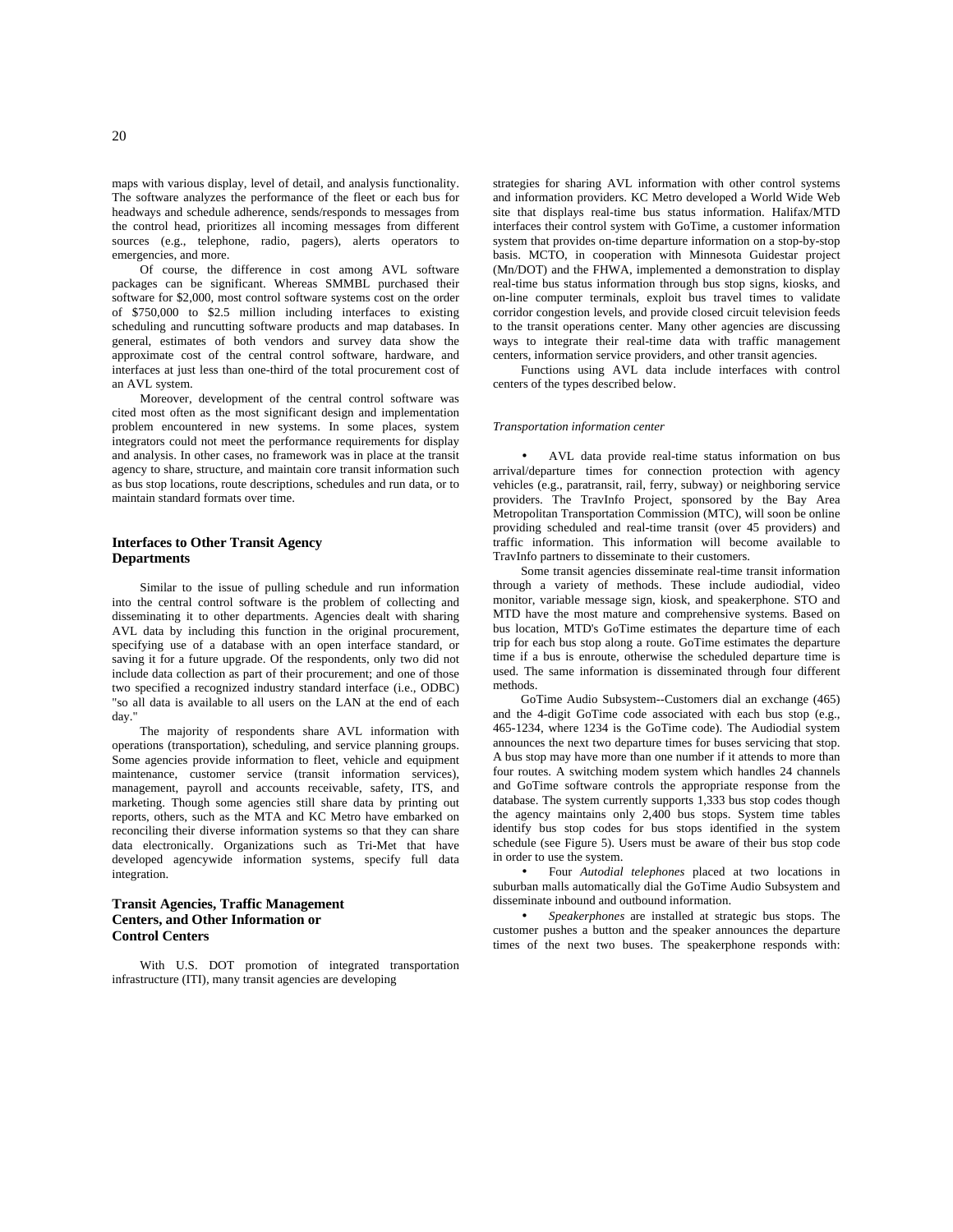maps with various display, level of detail, and analysis functionality. The software analyzes the performance of the fleet or each bus for headways and schedule adherence, sends/responds to messages from the control head, prioritizes all incoming messages from different sources (e.g., telephone, radio, pagers), alerts operators to emergencies, and more.

Of course, the difference in cost among AVL software packages can be significant. Whereas SMMBL purchased their software for \$2,000, most control software systems cost on the order of \$750,000 to \$2.5 million including interfaces to existing scheduling and runcutting software products and map databases. In general, estimates of both vendors and survey data show the approximate cost of the central control software, hardware, and interfaces at just less than one-third of the total procurement cost of an AVL system.

Moreover, development of the central control software was cited most often as the most significant design and implementation problem encountered in new systems. In some places, system integrators could not meet the performance requirements for display and analysis. In other cases, no framework was in place at the transit agency to share, structure, and maintain core transit information such as bus stop locations, route descriptions, schedules and run data, or to maintain standard formats over time.

#### **Interfaces to Other Transit Agency Departments**

Similar to the issue of pulling schedule and run information into the central control software is the problem of collecting and disseminating it to other departments. Agencies dealt with sharing AVL data by including this function in the original procurement, specifying use of a database with an open interface standard, or saving it for a future upgrade. Of the respondents, only two did not include data collection as part of their procurement; and one of those two specified a recognized industry standard interface (i.e., ODBC) "so all data is available to all users on the LAN at the end of each day.'

The majority of respondents share AVL information with operations (transportation), scheduling, and service planning groups. Some agencies provide information to fleet, vehicle and equipment maintenance, customer service (transit information services), management, payroll and accounts receivable, safety, ITS, and marketing. Though some agencies still share data by printing out reports, others, such as the MTA and KC Metro have embarked on reconciling their diverse information systems so that they can share data electronically. Organizations such as Tri-Met that have developed agencywide information systems, specify full data integration.

#### **Transit Agencies, Traffic Management Centers, and Other Information or Control Centers**

With U.S. DOT promotion of integrated transportation infrastructure (ITI), many transit agencies are developing

strategies for sharing AVL information with other control systems and information providers. KC Metro developed a World Wide Web site that displays real-time bus status information. Halifax/MTD interfaces their control system with GoTime, a customer information system that provides on-time departure information on a stop-by-stop basis. MCTO, in cooperation with Minnesota Guidestar project (Mn/DOT) and the FHWA, implemented a demonstration to display real-time bus status information through bus stop signs, kiosks, and on-line computer terminals, exploit bus travel times to validate corridor congestion levels, and provide closed circuit television feeds to the transit operations center. Many other agencies are discussing ways to integrate their real-time data with traffic management centers, information service providers, and other transit agencies.

Functions using AVL data include interfaces with control centers of the types described below.

#### *Transportation information center*

• AVL data provide real-time status information on bus arrival/departure times for connection protection with agency vehicles (e.g., paratransit, rail, ferry, subway) or neighboring service providers. The TravInfo Project, sponsored by the Bay Area Metropolitan Transportation Commission (MTC), will soon be online providing scheduled and real-time transit (over 45 providers) and traffic information. This information will become available to TravInfo partners to disseminate to their customers.

Some transit agencies disseminate real-time transit information through a variety of methods. These include audiodial, video monitor, variable message sign, kiosk, and speakerphone. STO and MTD have the most mature and comprehensive systems. Based on bus location, MTD's GoTime estimates the departure time of each trip for each bus stop along a route. GoTime estimates the departure time if a bus is enroute, otherwise the scheduled departure time is used. The same information is disseminated through four different methods.

GoTime Audio Subsystem--Customers dial an exchange (465) and the 4-digit GoTime code associated with each bus stop (e.g., 465-1234, where 1234 is the GoTime code). The Audiodial system announces the next two departure times for buses servicing that stop. A bus stop may have more than one number if it attends to more than four routes. A switching modem system which handles 24 channels and GoTime software controls the appropriate response from the database. The system currently supports 1,333 bus stop codes though the agency maintains only 2,400 bus stops. System time tables identify bus stop codes for bus stops identified in the system schedule (see Figure 5). Users must be aware of their bus stop code in order to use the system.

• Four *Autodial telephones* placed at two locations in suburban malls automatically dial the GoTime Audio Subsystem and disseminate inbound and outbound information.

• *Speakerphones* are installed at strategic bus stops. The customer pushes a button and the speaker announces the departure times of the next two buses. The speakerphone responds with: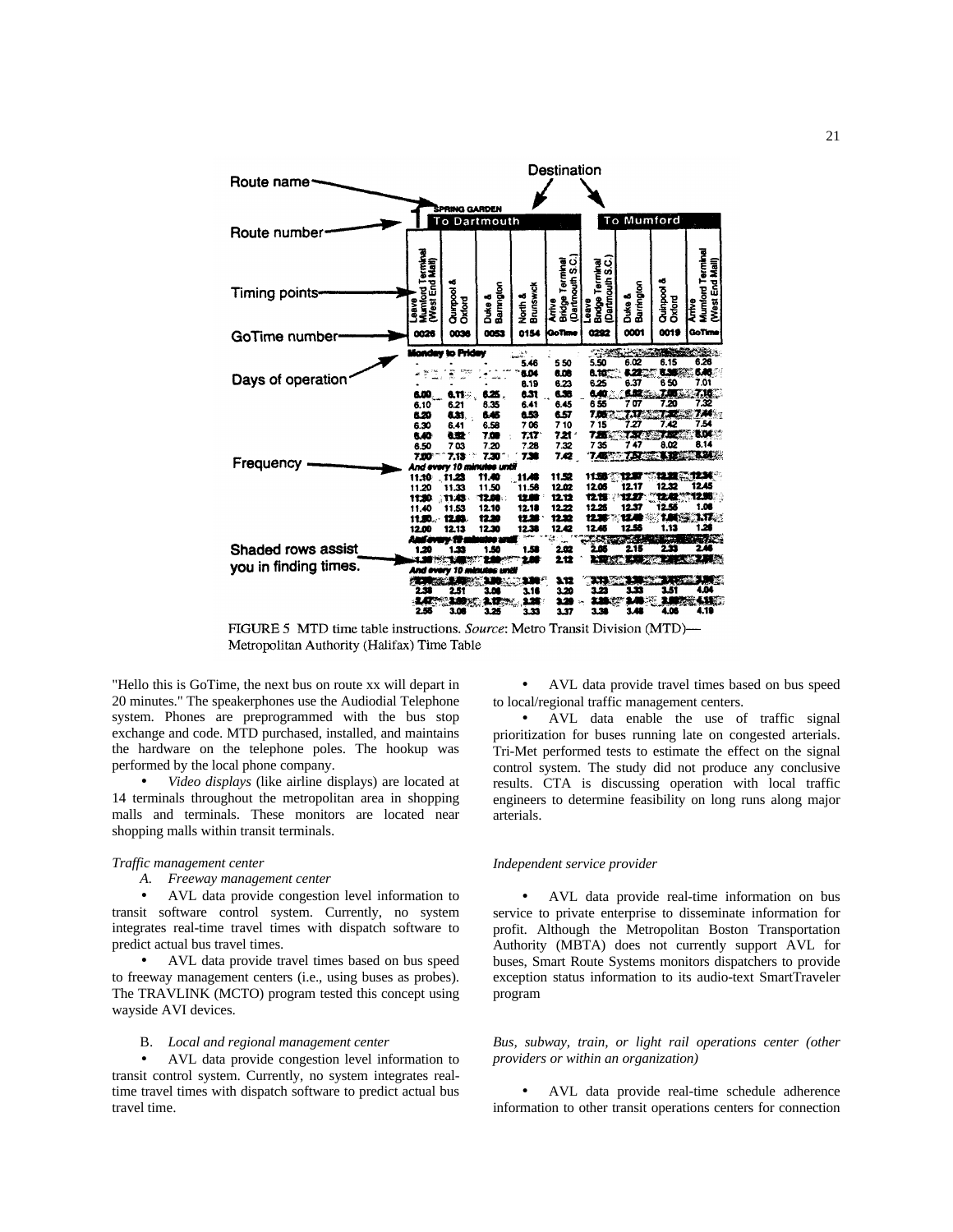

FIGURE 5 MTD time table instructions. Source: Metro Transit Division (MTD)— Metropolitan Authority (Halifax) Time Table

"Hello this is GoTime, the next bus on route xx will depart in 20 minutes." The speakerphones use the Audiodial Telephone system. Phones are preprogrammed with the bus stop exchange and code. MTD purchased, installed, and maintains the hardware on the telephone poles. The hookup was performed by the local phone company.

• *Video displays* (like airline displays) are located at 14 terminals throughout the metropolitan area in shopping malls and terminals. These monitors are located near shopping malls within transit terminals.

### *Traffic management center*

*A. Freeway management center*

• AVL data provide congestion level information to transit software control system. Currently, no system integrates real-time travel times with dispatch software to predict actual bus travel times.

• AVL data provide travel times based on bus speed to freeway management centers (i.e., using buses as probes). The TRAVLINK (MCTO) program tested this concept using wayside AVI devices.

#### B. *Local and regional management center*

• AVL data provide congestion level information to transit control system. Currently, no system integrates realtime travel times with dispatch software to predict actual bus travel time.

• AVL data provide travel times based on bus speed to local/regional traffic management centers.

• AVL data enable the use of traffic signal prioritization for buses running late on congested arterials. Tri-Met performed tests to estimate the effect on the signal control system. The study did not produce any conclusive results. CTA is discussing operation with local traffic engineers to determine feasibility on long runs along major arterials.

#### *Independent service provider*

• AVL data provide real-time information on bus service to private enterprise to disseminate information for profit. Although the Metropolitan Boston Transportation Authority (MBTA) does not currently support AVL for buses, Smart Route Systems monitors dispatchers to provide exception status information to its audio-text SmartTraveler program

*Bus, subway, train, or light rail operations center (other providers or within an organization)*

• AVL data provide real-time schedule adherence information to other transit operations centers for connection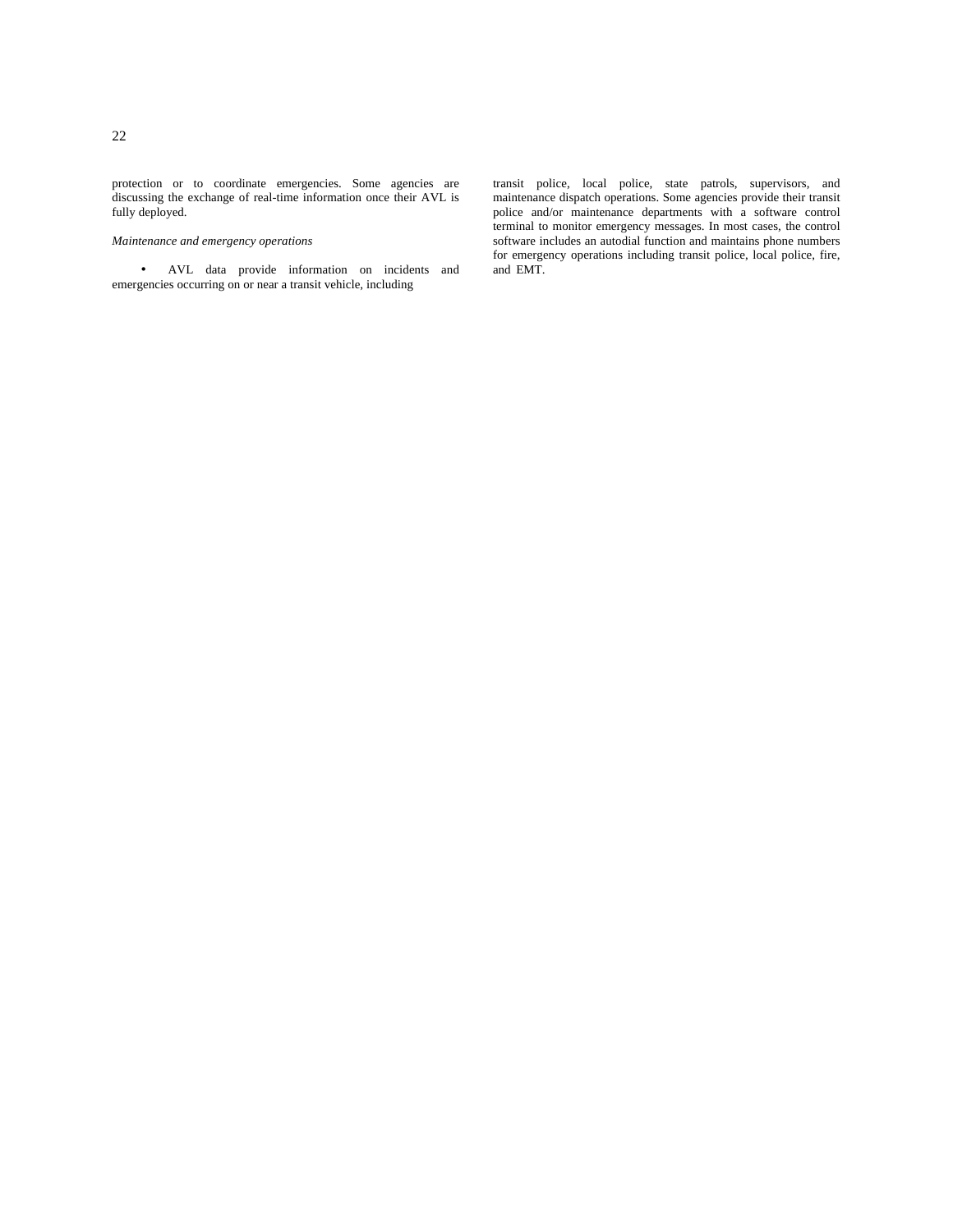protection or to coordinate emergencies. Some agencies are discussing the exchange of real-time information once their AVL is fully deployed.

#### *Maintenance and emergency operations*

• AVL data provide information on incidents and emergencies occurring on or near a transit vehicle, including

transit police, local police, state patrols, supervisors, and maintenance dispatch operations. Some agencies provide their transit police and/or maintenance departments with a software control terminal to monitor emergency messages. In most cases, the control software includes an autodial function and maintains phone numbers for emergency operations including transit police, local police, fire, and EMT.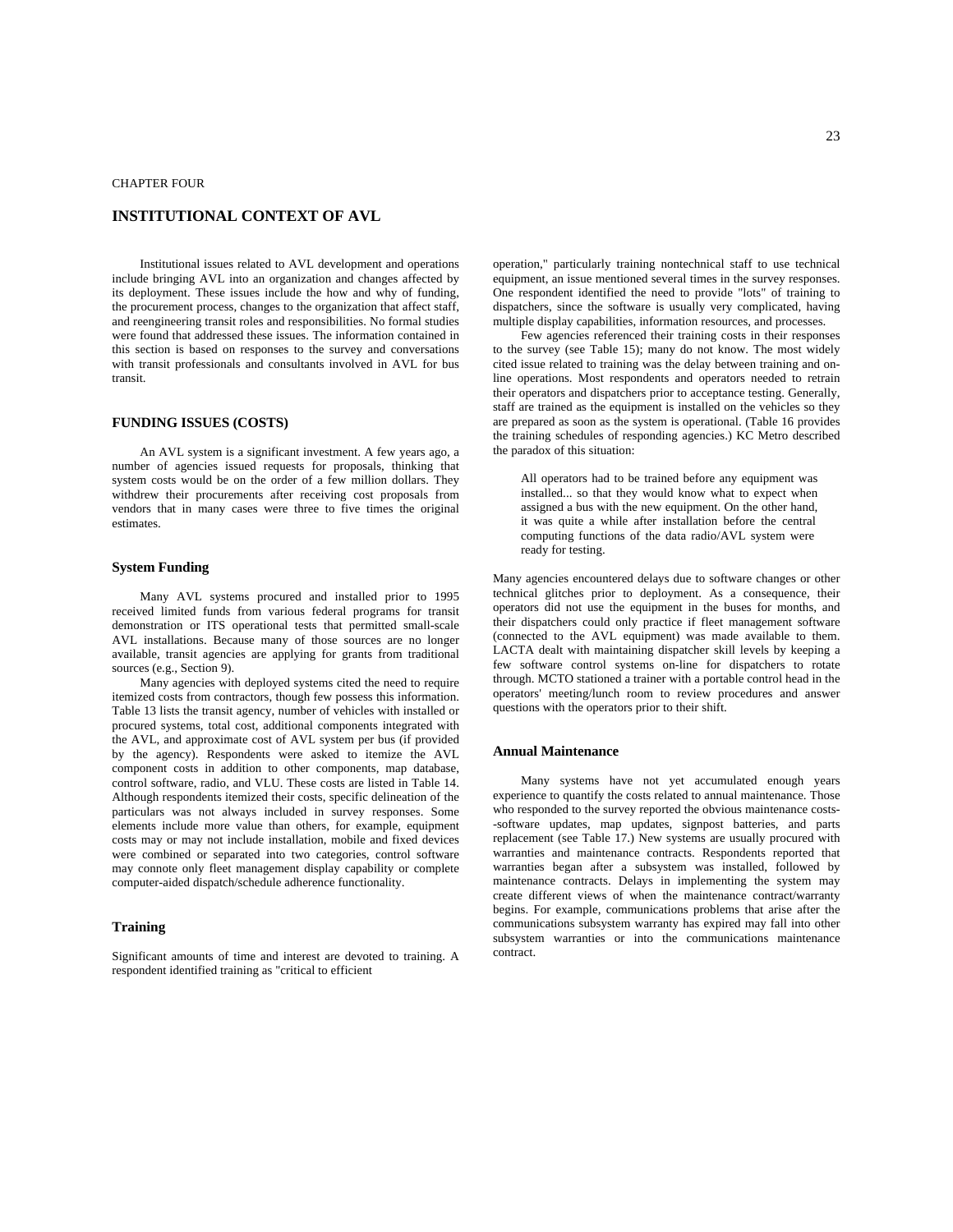# **INSTITUTIONAL CONTEXT OF AVL**

Institutional issues related to AVL development and operations include bringing AVL into an organization and changes affected by its deployment. These issues include the how and why of funding, the procurement process, changes to the organization that affect staff, and reengineering transit roles and responsibilities. No formal studies were found that addressed these issues. The information contained in this section is based on responses to the survey and conversations with transit professionals and consultants involved in AVL for bus transit.

#### **FUNDING ISSUES (COSTS)**

An AVL system is a significant investment. A few years ago, a number of agencies issued requests for proposals, thinking that system costs would be on the order of a few million dollars. They withdrew their procurements after receiving cost proposals from vendors that in many cases were three to five times the original estimates.

#### **System Funding**

Many AVL systems procured and installed prior to 1995 received limited funds from various federal programs for transit demonstration or ITS operational tests that permitted small-scale AVL installations. Because many of those sources are no longer available, transit agencies are applying for grants from traditional sources (e.g., Section 9).

Many agencies with deployed systems cited the need to require itemized costs from contractors, though few possess this information. Table 13 lists the transit agency, number of vehicles with installed or procured systems, total cost, additional components integrated with the AVL, and approximate cost of AVL system per bus (if provided by the agency). Respondents were asked to itemize the AVL component costs in addition to other components, map database, control software, radio, and VLU. These costs are listed in Table 14. Although respondents itemized their costs, specific delineation of the particulars was not always included in survey responses. Some elements include more value than others, for example, equipment costs may or may not include installation, mobile and fixed devices were combined or separated into two categories, control software may connote only fleet management display capability or complete computer-aided dispatch/schedule adherence functionality.

#### **Training**

Significant amounts of time and interest are devoted to training. A respondent identified training as "critical to efficient

operation," particularly training nontechnical staff to use technical equipment, an issue mentioned several times in the survey responses. One respondent identified the need to provide "lots" of training to dispatchers, since the software is usually very complicated, having multiple display capabilities, information resources, and processes.

Few agencies referenced their training costs in their responses to the survey (see Table 15); many do not know. The most widely cited issue related to training was the delay between training and online operations. Most respondents and operators needed to retrain their operators and dispatchers prior to acceptance testing. Generally, staff are trained as the equipment is installed on the vehicles so they are prepared as soon as the system is operational. (Table 16 provides the training schedules of responding agencies.) KC Metro described the paradox of this situation:

All operators had to be trained before any equipment was installed... so that they would know what to expect when assigned a bus with the new equipment. On the other hand, it was quite a while after installation before the central computing functions of the data radio/AVL system were ready for testing.

Many agencies encountered delays due to software changes or other technical glitches prior to deployment. As a consequence, their operators did not use the equipment in the buses for months, and their dispatchers could only practice if fleet management software (connected to the AVL equipment) was made available to them. LACTA dealt with maintaining dispatcher skill levels by keeping a few software control systems on-line for dispatchers to rotate through. MCTO stationed a trainer with a portable control head in the operators' meeting/lunch room to review procedures and answer questions with the operators prior to their shift.

#### **Annual Maintenance**

Many systems have not yet accumulated enough years experience to quantify the costs related to annual maintenance. Those who responded to the survey reported the obvious maintenance costs- -software updates, map updates, signpost batteries, and parts replacement (see Table 17.) New systems are usually procured with warranties and maintenance contracts. Respondents reported that warranties began after a subsystem was installed, followed by maintenance contracts. Delays in implementing the system may create different views of when the maintenance contract/warranty begins. For example, communications problems that arise after the communications subsystem warranty has expired may fall into other subsystem warranties or into the communications maintenance contract.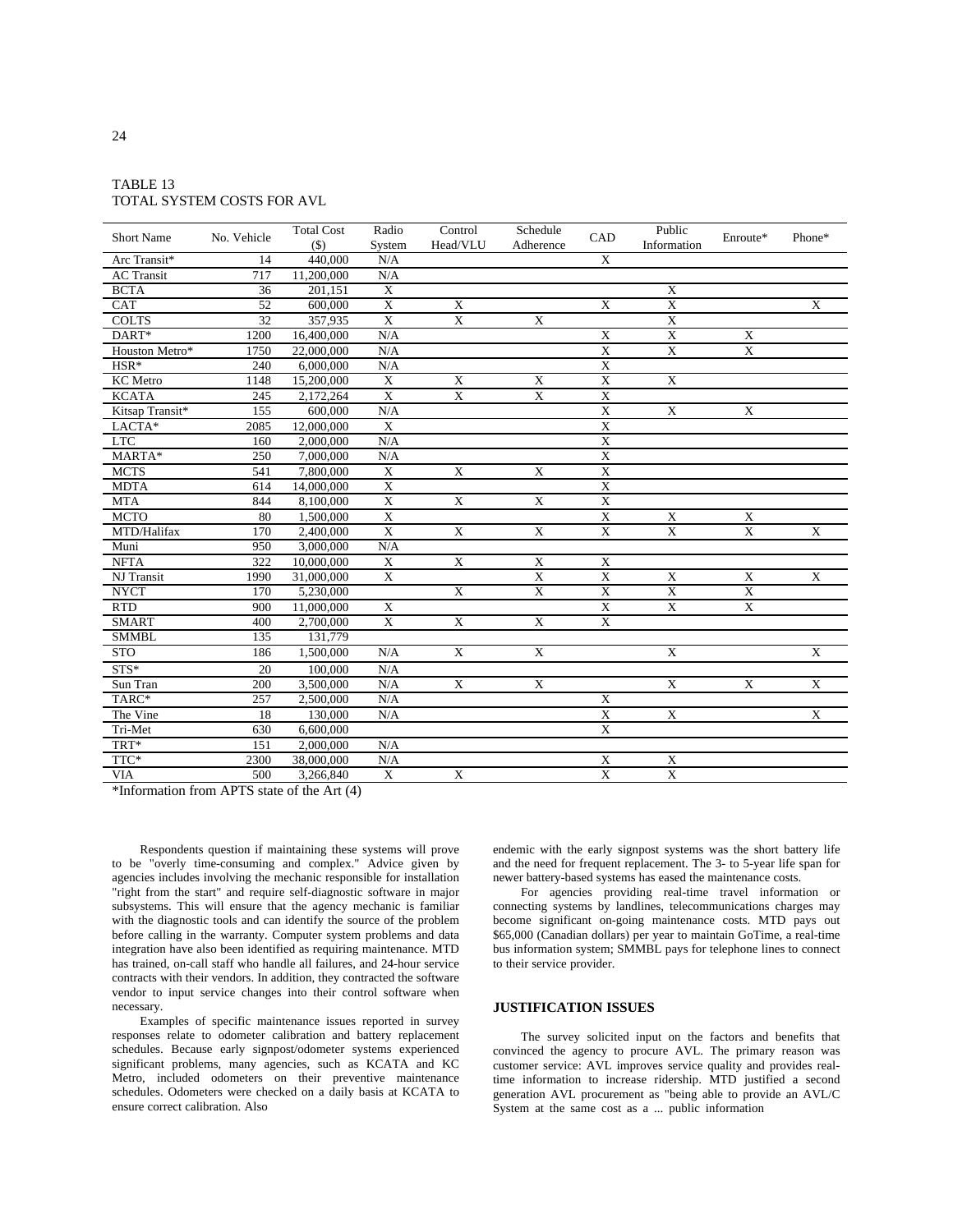| TABLE 13 |                            |  |
|----------|----------------------------|--|
|          | TOTAL SYSTEM COSTS FOR AVL |  |

| <b>Short Name</b> | No. Vehicle | <b>Total Cost</b><br>(S) | Radio<br>System | Control<br>Head/VLU | Schedule<br>Adherence | CAD                     | Public<br>Information | Enroute*    | Phone*         |
|-------------------|-------------|--------------------------|-----------------|---------------------|-----------------------|-------------------------|-----------------------|-------------|----------------|
| Arc Transit*      | 14          | 440,000                  | N/A             |                     |                       | X                       |                       |             |                |
| <b>AC</b> Transit | 717         | 11,200,000               | N/A             |                     |                       |                         |                       |             |                |
| <b>BCTA</b>       | 36          | 201.151                  | $\mathbf X$     |                     |                       |                         | X                     |             |                |
| CAT               | 52          | 600,000                  | $\mathbf X$     | $\mathbf X$         |                       | $\mathbf X$             | $\overline{X}$        |             | $\mathbf X$    |
| <b>COLTS</b>      | 32          | 357.935                  | $\mathbf X$     | $\mathbf X$         | $\mathbf X$           |                         | $\mathbf X$           |             |                |
| DART*             | 1200        | 16,400,000               | N/A             |                     |                       | $\overline{X}$          | $\overline{X}$        | X           |                |
| Houston Metro*    | 1750        | 22,000,000               | N/A             |                     |                       | X                       | $\mathbf X$           | X           |                |
| HSR*              | 240         | 6,000,000                | N/A             |                     |                       | $\overline{X}$          |                       |             |                |
| <b>KC</b> Metro   | 1148        | 15,200,000               | X               | $\mathbf X$         | $\mathbf X$           | $\overline{\textbf{X}}$ | $\mathbf X$           |             |                |
| <b>KCATA</b>      | 245         | 2,172,264                | $\mathbf X$     | $\mathbf X$         | X                     | $\mathbf X$             |                       |             |                |
| Kitsap Transit*   | 155         | 600,000                  | N/A             |                     |                       | $\overline{X}$          | $\mathbf X$           | X           |                |
| LACTA*            | 2085        | 12,000,000               | X               |                     |                       | $\mathbf X$             |                       |             |                |
| <b>LTC</b>        | 160         | 2,000,000                | N/A             |                     |                       | $\overline{\textbf{X}}$ |                       |             |                |
| MARTA*            | 250         | 7,000,000                | N/A             |                     |                       | $\mathbf X$             |                       |             |                |
| <b>MCTS</b>       | 541         | 7.800,000                | X               | $\overline{X}$      | X                     | $\overline{X}$          |                       |             |                |
| <b>MDTA</b>       | 614         | 14,000,000               | X               |                     |                       | X                       |                       |             |                |
| <b>MTA</b>        | 844         | 8,100,000                | $\mathbf X$     | $\mathbf X$         | $\mathbf X$           | $\mathbf X$             |                       |             |                |
| <b>MCTO</b>       | 80          | 1,500,000                | $\mathbf X$     |                     |                       | $\mathbf X$             | $\mathbf X$           | X           |                |
| MTD/Halifax       | 170         | 2,400,000                | $\mathbf X$     | $\mathbf X$         | $\mathbf X$           | $\mathbf X$             | $\mathbf X$           | $\mathbf X$ | X              |
| Muni              | 950         | 3,000,000                | N/A             |                     |                       |                         |                       |             |                |
| <b>NFTA</b>       | 322         | 10,000,000               | X               | $\overline{X}$      | X                     | X                       |                       |             |                |
| NJ Transit        | 1990        | 31,000,000               | X               |                     | X                     | X                       | X                     | X           | X              |
| <b>NYCT</b>       | 170         | 5.230,000                |                 | $\mathbf X$         | $\mathbf X$           | X                       | X                     | $\mathbf X$ |                |
| <b>RTD</b>        | 900         | 11.000.000               | X               |                     |                       | X                       | X                     | $\mathbf X$ |                |
| <b>SMART</b>      | 400         | 2.700,000                | $\mathbf X$     | $\mathbf X$         | $\mathbf X$           | $\mathbf X$             |                       |             |                |
| <b>SMMBL</b>      | 135         | 131.779                  |                 |                     |                       |                         |                       |             |                |
| <b>STO</b>        | 186         | 1,500,000                | N/A             | $\overline{X}$      | $\overline{X}$        |                         | $\overline{X}$        |             | $\overline{X}$ |
| $STS*$            | 20          | 100,000                  | N/A             |                     |                       |                         |                       |             |                |
| Sun Tran          | 200         | 3,500,000                | N/A             | $\overline{X}$      | $\mathbf X$           |                         | $\overline{X}$        | $\mathbf X$ | $\mathbf X$    |
| TARC*             | 257         | 2,500,000                | N/A             |                     |                       | $\mathbf X$             |                       |             |                |
| The Vine          | 18          | 130,000                  | N/A             |                     |                       | X                       | $\overline{X}$        |             | X              |
| Tri-Met           | 630         | 6,600,000                |                 |                     |                       | $\overline{X}$          |                       |             |                |
| TRT*              | 151         | 2,000,000                | N/A             |                     |                       |                         |                       |             |                |
| TTC*              | 2300        | 38,000,000               | N/A             |                     |                       | X                       | X                     |             |                |
| <b>VIA</b>        | 500         | 3,266,840                | X               | $\mathbf X$         |                       | X                       | $\mathbf X$           |             |                |

\*Information from APTS state of the Art (4)

Respondents question if maintaining these systems will prove to be "overly time-consuming and complex." Advice given by agencies includes involving the mechanic responsible for installation "right from the start" and require self-diagnostic software in major subsystems. This will ensure that the agency mechanic is familiar with the diagnostic tools and can identify the source of the problem before calling in the warranty. Computer system problems and data integration have also been identified as requiring maintenance. MTD has trained, on-call staff who handle all failures, and 24-hour service contracts with their vendors. In addition, they contracted the software vendor to input service changes into their control software when necessary.

Examples of specific maintenance issues reported in survey responses relate to odometer calibration and battery replacement schedules. Because early signpost/odometer systems experienced significant problems, many agencies, such as KCATA and KC Metro, included odometers on their preventive maintenance schedules. Odometers were checked on a daily basis at KCATA to ensure correct calibration. Also

endemic with the early signpost systems was the short battery life and the need for frequent replacement. The 3- to 5-year life span for newer battery-based systems has eased the maintenance costs.

For agencies providing real-time travel information or connecting systems by landlines, telecommunications charges may become significant on-going maintenance costs. MTD pays out \$65,000 (Canadian dollars) per year to maintain GoTime, a real-time bus information system; SMMBL pays for telephone lines to connect to their service provider.

#### **JUSTIFICATION ISSUES**

The survey solicited input on the factors and benefits that convinced the agency to procure AVL. The primary reason was customer service: AVL improves service quality and provides realtime information to increase ridership. MTD justified a second generation AVL procurement as "being able to provide an AVL/C System at the same cost as a ... public information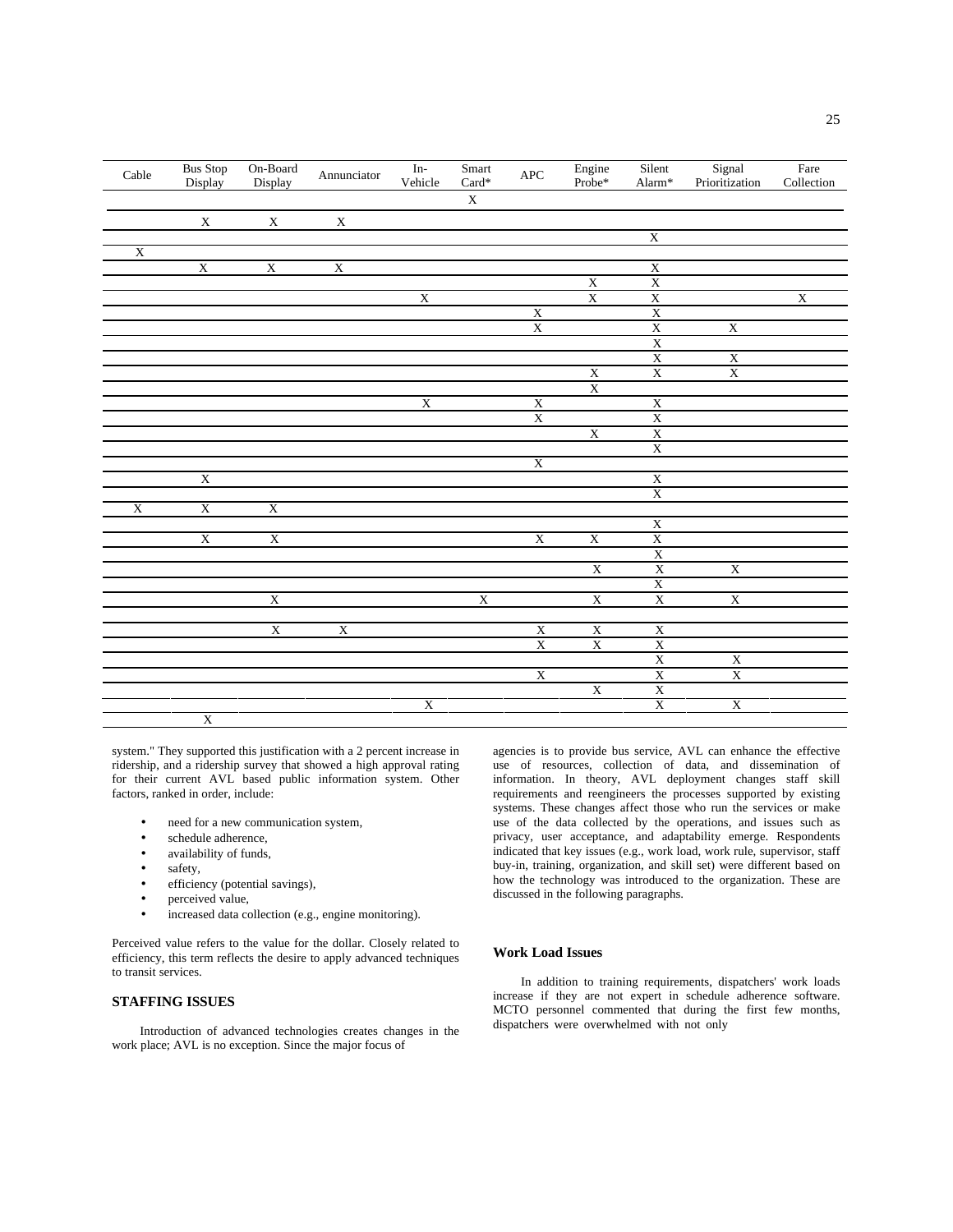| Cable       | <b>Bus Stop</b><br>Display | On-Board<br>Display     | Annunciator             | $In-$<br>Vehicle        | Smart<br>$Card*$        | $\rm{APC}$              | Engine<br>$Probe*$      | Silent<br>$\text{Alarm}^*$ | Signal<br>Prioritization | Fare<br>Collection      |
|-------------|----------------------------|-------------------------|-------------------------|-------------------------|-------------------------|-------------------------|-------------------------|----------------------------|--------------------------|-------------------------|
|             |                            |                         |                         |                         | $\mathbf X$             |                         |                         |                            |                          |                         |
|             | $\mathbf X$                | $\mathbf X$             | $\mathbf X$             |                         |                         |                         |                         |                            |                          |                         |
|             |                            |                         |                         |                         |                         |                         |                         | $\overline{\textbf{X}}$    |                          |                         |
| $\mathbf X$ |                            |                         |                         |                         |                         |                         |                         |                            |                          |                         |
|             | $\overline{X}$             | $\overline{\textbf{X}}$ | $\overline{\textbf{X}}$ |                         |                         |                         |                         | $\overline{X}$             |                          |                         |
|             |                            |                         |                         |                         |                         |                         | $\overline{\textbf{X}}$ | $\overline{X}$             |                          |                         |
|             |                            |                         |                         | $\overline{\textbf{X}}$ |                         |                         | $\overline{\textbf{X}}$ | $\overline{X}$             |                          | $\overline{\textbf{X}}$ |
|             |                            |                         |                         |                         |                         | $\overline{\textbf{X}}$ |                         | $\overline{\text{X}}$      |                          |                         |
|             |                            |                         |                         |                         |                         | $\overline{\textbf{X}}$ |                         | $\mathbf X$                | $\overline{\textbf{X}}$  |                         |
|             |                            |                         |                         |                         |                         |                         |                         | $\overline{\textbf{X}}$    |                          |                         |
|             |                            |                         |                         |                         |                         |                         |                         | $\boldsymbol{\mathrm{X}}$  | $\overline{X}$           |                         |
|             |                            |                         |                         |                         |                         |                         | $\overline{\textbf{X}}$ | $\overline{\textbf{X}}$    | $\overline{\textbf{X}}$  |                         |
|             |                            |                         |                         |                         |                         |                         | $\overline{\textbf{X}}$ |                            |                          |                         |
|             |                            |                         |                         | $\overline{\textbf{X}}$ |                         | $\overline{\textbf{X}}$ |                         | $\overline{\text{X}}$      |                          |                         |
|             |                            |                         |                         |                         |                         | $\overline{\textbf{X}}$ |                         | $\mathbf X$                |                          |                         |
|             |                            |                         |                         |                         |                         |                         | $\overline{\textbf{X}}$ | $\overline{X}$             |                          |                         |
|             |                            |                         |                         |                         |                         |                         |                         | $\overline{\textbf{X}}$    |                          |                         |
|             |                            |                         |                         |                         |                         | $\overline{\text{X}}$   |                         |                            |                          |                         |
|             | $\overline{\textbf{X}}$    |                         |                         |                         |                         |                         |                         | $\overline{\textbf{X}}$    |                          |                         |
|             |                            |                         |                         |                         |                         |                         |                         | $\overline{\textbf{X}}$    |                          |                         |
| $\mathbf X$ | $\overline{\textbf{X}}$    | $\overline{\textbf{X}}$ |                         |                         |                         |                         |                         |                            |                          |                         |
|             |                            |                         |                         |                         |                         |                         |                         | $\mathbf X$                |                          |                         |
|             | $\overline{\textbf{X}}$    | $\overline{\textbf{X}}$ |                         |                         |                         | $\overline{\textbf{X}}$ | $\overline{\textbf{X}}$ | $\overline{\textbf{X}}$    |                          |                         |
|             |                            |                         |                         |                         |                         |                         |                         | $\overline{\text{X}}$      |                          |                         |
|             |                            |                         |                         |                         |                         |                         | $\overline{\text{X}}$   | $\frac{X}{X}$              | $\overline{\textbf{X}}$  |                         |
|             |                            |                         |                         |                         |                         |                         |                         |                            |                          |                         |
|             |                            | $\overline{\textbf{X}}$ |                         |                         | $\overline{\textbf{X}}$ |                         | $\mathbf X$             | $\overline{\textbf{X}}$    | $\overline{\textbf{X}}$  |                         |
|             |                            | $\overline{\textbf{X}}$ |                         |                         |                         |                         |                         |                            |                          |                         |
|             |                            |                         | $\overline{\textbf{X}}$ |                         |                         | $\frac{X}{X}$           | $\frac{X}{X}$           | $\overline{X}$             |                          |                         |
|             |                            |                         |                         |                         |                         |                         |                         | $\frac{X}{X}$              | $\overline{\text{X}}$    |                         |
|             |                            |                         |                         |                         |                         | $\overline{\text{X}}$   |                         |                            | $\overline{X}$           |                         |
|             |                            |                         |                         |                         |                         |                         | $\overline{\textbf{X}}$ | $\frac{X}{X}$              |                          |                         |
|             |                            |                         |                         | $\overline{X}$          |                         |                         |                         | $\overline{\mathbf{X}}$    | $\overline{X}$           |                         |
|             | $\overline{\textbf{X}}$    |                         |                         |                         |                         |                         |                         |                            |                          |                         |

system." They supported this justification with a 2 percent increase in ridership, and a ridership survey that showed a high approval rating for their current AVL based public information system. Other factors, ranked in order, include:

- need for a new communication system,
- schedule adherence,
- availability of funds,
- safety,
- efficiency (potential savings),
- perceived value,
- increased data collection (e.g., engine monitoring).

Perceived value refers to the value for the dollar. Closely related to efficiency, this term reflects the desire to apply advanced techniques to transit services.

#### **STAFFING ISSUES**

Introduction of advanced technologies creates changes in the work place; AVL is no exception. Since the major focus of

agencies is to provide bus service, AVL can enhance the effective use of resources, collection of data, and dissemination of information. In theory, AVL deployment changes staff skill requirements and reengineers the processes supported by existing systems. These changes affect those who run the services or make use of the data collected by the operations, and issues such as privacy, user acceptance, and adaptability emerge. Respondents indicated that key issues (e.g., work load, work rule, supervisor, staff buy-in, training, organization, and skill set) were different based on how the technology was introduced to the organization. These are discussed in the following paragraphs.

#### **Work Load Issues**

In addition to training requirements, dispatchers' work loads increase if they are not expert in schedule adherence software. MCTO personnel commented that during the first few months, dispatchers were overwhelmed with not only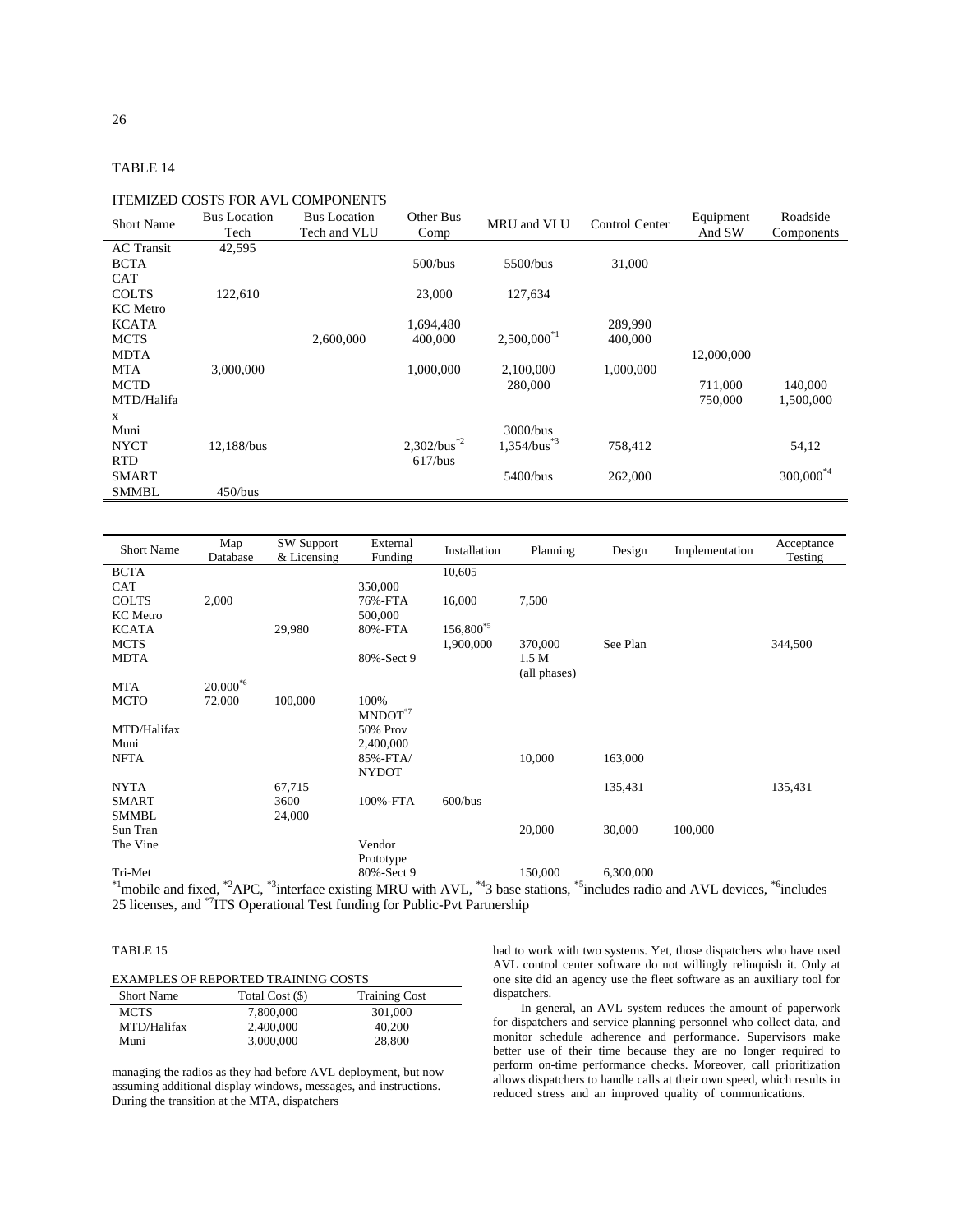#### TABLE 14

|                   |                     | <b>ITEMIZED COSTS FOR AVL COMPONENTS</b> |           |             |
|-------------------|---------------------|------------------------------------------|-----------|-------------|
| <b>Short Name</b> | <b>Bus Location</b> | <b>Bus</b> Location                      | Other Bus | MRU and VLU |
|                   | Tech                | Tech and VLU                             | Comp      |             |
| <b>AC</b> Transit | 42.595              |                                          |           |             |
| <b>BCTA</b>       |                     |                                          | 500/bus   | 5500/bus    |
| <b>CAT</b>        |                     |                                          |           |             |
| <b>COLTS</b>      | 122.610             |                                          | 23,000    | 127.634     |

RTD 617/bus

| .          |           |           |                  |           |            |          |
|------------|-----------|-----------|------------------|-----------|------------|----------|
|            |           | 500/bus   | $5500$ /bus      | 31,000    |            |          |
|            |           |           |                  |           |            |          |
| 122,610    |           | 23,000    | 127,634          |           |            |          |
|            |           |           |                  |           |            |          |
|            |           | 1,694,480 |                  | 289,990   |            |          |
|            | 2,600,000 | 400,000   | $2,500,000^{*1}$ | 400,000   |            |          |
|            |           |           |                  |           | 12,000,000 |          |
| 3,000,000  |           | 1,000,000 | 2,100,000        | 1,000,000 |            |          |
|            |           |           | 280,000          |           | 711,000    | 140,000  |
|            |           |           |                  |           | 750,000    | 1,500,00 |
|            |           |           |                  |           |            |          |
|            |           |           | 3000/bus         |           |            |          |
| 12.188/bus |           |           | $1,354/bus^{3}$  | 758.412   |            | 54,12    |
|            |           |           | $2,302/bus^{*2}$ |           |            |          |

| Short Name                                      | Map           | <b>SW Support</b> | External                                                                                                     | Installation | Planning                | Design    | Implementation | Acceptance |
|-------------------------------------------------|---------------|-------------------|--------------------------------------------------------------------------------------------------------------|--------------|-------------------------|-----------|----------------|------------|
|                                                 | Database      | & Licensing       | Funding                                                                                                      |              |                         |           |                | Testing    |
| <b>BCTA</b>                                     |               |                   |                                                                                                              | 10,605       |                         |           |                |            |
| <b>CAT</b>                                      |               |                   | 350,000                                                                                                      |              |                         |           |                |            |
| <b>COLTS</b>                                    | 2,000         |                   | 76%-FTA                                                                                                      | 16,000       | 7,500                   |           |                |            |
| <b>KC</b> Metro                                 |               |                   | 500,000                                                                                                      |              |                         |           |                |            |
| <b>KCATA</b>                                    |               | 29,980            | 80%-FTA                                                                                                      | 156,800*5    |                         |           |                |            |
| <b>MCTS</b>                                     |               |                   |                                                                                                              | 1,900,000    | 370,000                 | See Plan  |                | 344,500    |
| <b>MDTA</b>                                     |               |                   | 80%-Sect 9                                                                                                   |              | 1.5 <sub>M</sub>        |           |                |            |
|                                                 |               |                   |                                                                                                              |              | (all phases)            |           |                |            |
| MTA                                             | $20,000^{*6}$ |                   |                                                                                                              |              |                         |           |                |            |
| <b>MCTO</b>                                     | 72,000        | 100,000           | 100%                                                                                                         |              |                         |           |                |            |
|                                                 |               |                   | MNDOT <sup>*7</sup>                                                                                          |              |                         |           |                |            |
| MTD/Halifax                                     |               |                   | <b>50% Prov</b>                                                                                              |              |                         |           |                |            |
| Muni                                            |               |                   | 2,400,000                                                                                                    |              |                         |           |                |            |
| <b>NFTA</b>                                     |               |                   | 85%-FTA/                                                                                                     |              | 10,000                  | 163,000   |                |            |
|                                                 |               |                   | <b>NYDOT</b>                                                                                                 |              |                         |           |                |            |
| <b>NYTA</b>                                     |               | 67,715            |                                                                                                              |              |                         | 135,431   |                | 135,431    |
| <b>SMART</b>                                    |               | 3600              | 100%-FTA                                                                                                     | 600/bus      |                         |           |                |            |
| <b>SMMBL</b>                                    |               | 24,000            |                                                                                                              |              |                         |           |                |            |
| Sun Tran                                        |               |                   |                                                                                                              |              | 20,000                  | 30,000    | 100,000        |            |
| The Vine                                        |               |                   | Vendor                                                                                                       |              |                         |           |                |            |
|                                                 |               |                   | Prototype                                                                                                    |              |                         |           |                |            |
| Tri-Met                                         |               |                   | 80%-Sect 9                                                                                                   |              | 150,000                 | 6,300,000 |                |            |
| $*1$ and $1.1 - 1$ find $*2$ ADC $*3$ intention |               |                   | $\mathcal{L}$ and $\mathcal{L} = \mathbf{M}$ and $\mathcal{L} = \mathcal{L}$ and $\mathcal{L} = \mathcal{L}$ |              | $^{*4}$ 2 kasa statisma |           |                | $*6:11$    |

 $\mathrm{SMARK}$   $\mathrm{S400/bus}$   $262,000$   $300,000^{44}$ 

"mobile and fixed,  $APC$ , "interface existing MRU with AVL,  $AQ$  base stations, "includes radio and AVL devices, "includes" 25 licenses, and \*7ITS Operational Test funding for Public-Pvt Partnership

#### TABLE 15

|  | EXAMPLES OF REPORTED TRAINING COSTS |
|--|-------------------------------------|
|  |                                     |

| <b>Short Name</b> | Total Cost (\$) | <b>Training Cost</b> |
|-------------------|-----------------|----------------------|
| <b>MCTS</b>       | 7.800,000       | 301,000              |
| MTD/Halifax       | 2.400,000       | 40.200               |
| Muni              | 3,000,000       | 28,800               |

managing the radios as they had before AVL deployment, but now assuming additional display windows, messages, and instructions. During the transition at the MTA, dispatchers

had to work with two systems. Yet, those dispatchers who have used AVL control center software do not willingly relinquish it. Only at one site did an agency use the fleet software as an auxiliary tool for dispatchers.

Control Center Equipment

And SW

Roadside Components

1,500,000

In general, an AVL system reduces the amount of paperwork for dispatchers and service planning personnel who collect data, and monitor schedule adherence and performance. Supervisors make better use of their time because they are no longer required to perform on-time performance checks. Moreover, call prioritization allows dispatchers to handle calls at their own speed, which results in reduced stress and an improved quality of communications.

SMMBL 450/bus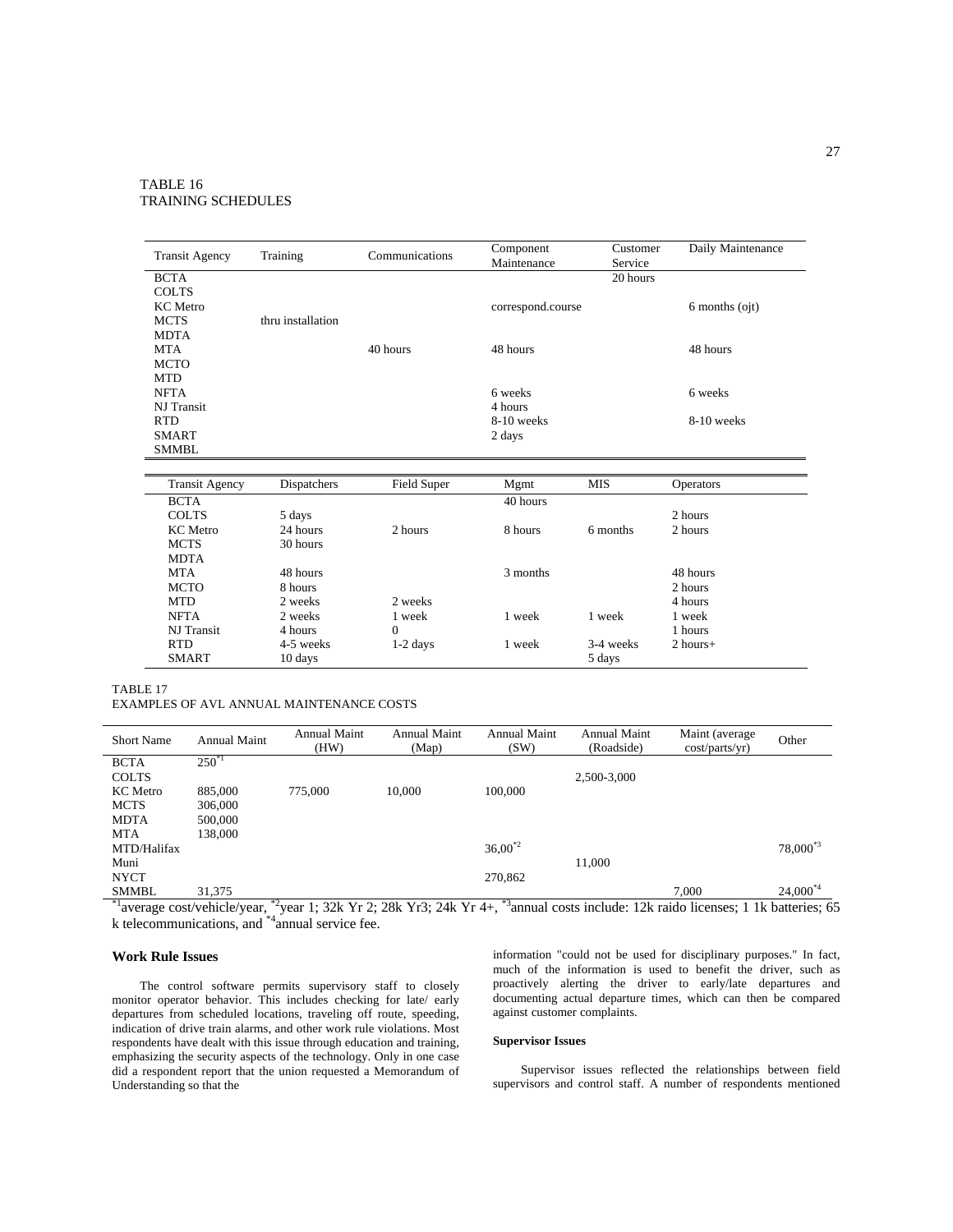#### TABLE 16 TRAINING SCHEDULES

| <b>Transit Agency</b> | Training          | Communications | Component         | Customer | Daily Maintenance |
|-----------------------|-------------------|----------------|-------------------|----------|-------------------|
|                       |                   |                | Maintenance       | Service  |                   |
| <b>BCTA</b>           |                   |                |                   | 20 hours |                   |
| <b>COLTS</b>          |                   |                |                   |          |                   |
| <b>KC</b> Metro       |                   |                | correspond.course |          | 6 months (ojt)    |
| <b>MCTS</b>           | thru installation |                |                   |          |                   |
| <b>MDTA</b>           |                   |                |                   |          |                   |
| <b>MTA</b>            |                   | 40 hours       | 48 hours          |          | 48 hours          |
| <b>MCTO</b>           |                   |                |                   |          |                   |
| <b>MTD</b>            |                   |                |                   |          |                   |
| <b>NFTA</b>           |                   |                | 6 weeks           |          | 6 weeks           |
| NJ Transit            |                   |                | 4 hours           |          |                   |
| <b>RTD</b>            |                   |                | 8-10 weeks        |          | 8-10 weeks        |
| <b>SMART</b>          |                   |                | 2 days            |          |                   |
| SMMBL                 |                   |                |                   |          |                   |
|                       |                   |                |                   |          |                   |

| <b>Transit Agency</b> | Dispatchers | Field Super    | Mgmt     | <b>MIS</b> | <b>Operators</b> |
|-----------------------|-------------|----------------|----------|------------|------------------|
| <b>BCTA</b>           |             |                | 40 hours |            |                  |
| <b>COLTS</b>          | 5 days      |                |          |            | 2 hours          |
| KC Metro              | 24 hours    | 2 hours        | 8 hours  | 6 months   | 2 hours          |
| <b>MCTS</b>           | 30 hours    |                |          |            |                  |
| <b>MDTA</b>           |             |                |          |            |                  |
| <b>MTA</b>            | 48 hours    |                | 3 months |            | 48 hours         |
| <b>MCTO</b>           | 8 hours     |                |          |            | 2 hours          |
| <b>MTD</b>            | 2 weeks     | 2 weeks        |          |            | 4 hours          |
| <b>NFTA</b>           | 2 weeks     | 1 week         | 1 week   | 1 week     | 1 week           |
| <b>NJ</b> Transit     | 4 hours     | $\overline{0}$ |          |            | 1 hours          |
| <b>RTD</b>            | 4-5 weeks   | $1-2$ days     | 1 week   | 3-4 weeks  | $2$ hours +      |
| <b>SMART</b>          | 10 days     |                |          | 5 days     |                  |

#### TABLE 17

EXAMPLES OF AVL ANNUAL MAINTENANCE COSTS

| <b>Short Name</b> | <b>Annual Maint</b>                                                     | Annual Maint<br>(HW)      | <b>Annual Maint</b><br>(Map) | <b>Annual Maint</b><br>(SW) | <b>Annual Maint</b><br>(Roadside) | Maint (average<br>cost/parts/yr) | Other                    |
|-------------------|-------------------------------------------------------------------------|---------------------------|------------------------------|-----------------------------|-----------------------------------|----------------------------------|--------------------------|
| <b>BCTA</b>       | $250^{*1}$                                                              |                           |                              |                             |                                   |                                  |                          |
| <b>COLTS</b>      |                                                                         |                           |                              |                             | 2,500-3,000                       |                                  |                          |
| <b>KC</b> Metro   | 885,000                                                                 | 775,000                   | 10.000                       | 100,000                     |                                   |                                  |                          |
| <b>MCTS</b>       | 306,000                                                                 |                           |                              |                             |                                   |                                  |                          |
| <b>MDTA</b>       | 500,000                                                                 |                           |                              |                             |                                   |                                  |                          |
| <b>MTA</b>        | 138.000                                                                 |                           |                              |                             |                                   |                                  |                          |
| MTD/Halifax       |                                                                         |                           |                              | $36,00^{*2}$                |                                   |                                  | $78,000^{*3}$            |
| Muni              |                                                                         |                           |                              |                             | 11.000                            |                                  |                          |
| <b>NYCT</b>       |                                                                         |                           |                              | 270,862                     |                                   |                                  |                          |
| SMMBL             | 31,375                                                                  |                           |                              |                             |                                   | 7.000                            | $24,000^{*4}$            |
| -*1               | $*2$<br>$\cdot$ $\cdot$ $\cdot$ $\cdot$ $\cdot$ $\cdot$ $\cdot$ $\cdot$ | $221 \times 72$<br>$\sim$ | 0.01.370.0137.1              | $*3$                        | .<br>1.21                         | $\cdots$                         | $-1$ $-1$ $-1$ $-1$ $-1$ |

\*<sup>1</sup>average cost/vehicle/year,  $*2$ year 1; 32k Yr 2; 28k Yr3; 24k Yr 4+,  $*3$ annual costs include: 12k raido licenses; 1 1k batteries; 65 k telecommunications, and \*4<sup>a</sup>nnual service fee.

#### **Work Rule Issues**

The control software permits supervisory staff to closely monitor operator behavior. This includes checking for late/ early departures from scheduled locations, traveling off route, speeding, indication of drive train alarms, and other work rule violations. Most respondents have dealt with this issue through education and training, emphasizing the security aspects of the technology. Only in one case did a respondent report that the union requested a Memorandum of Understanding so that the

information "could not be used for disciplinary purposes." In fact, much of the information is used to benefit the driver, such as proactively alerting the driver to early/late departures and documenting actual departure times, which can then be compared against customer complaints.

#### **Supervisor Issues**

Supervisor issues reflected the relationships between field supervisors and control staff. A number of respondents mentioned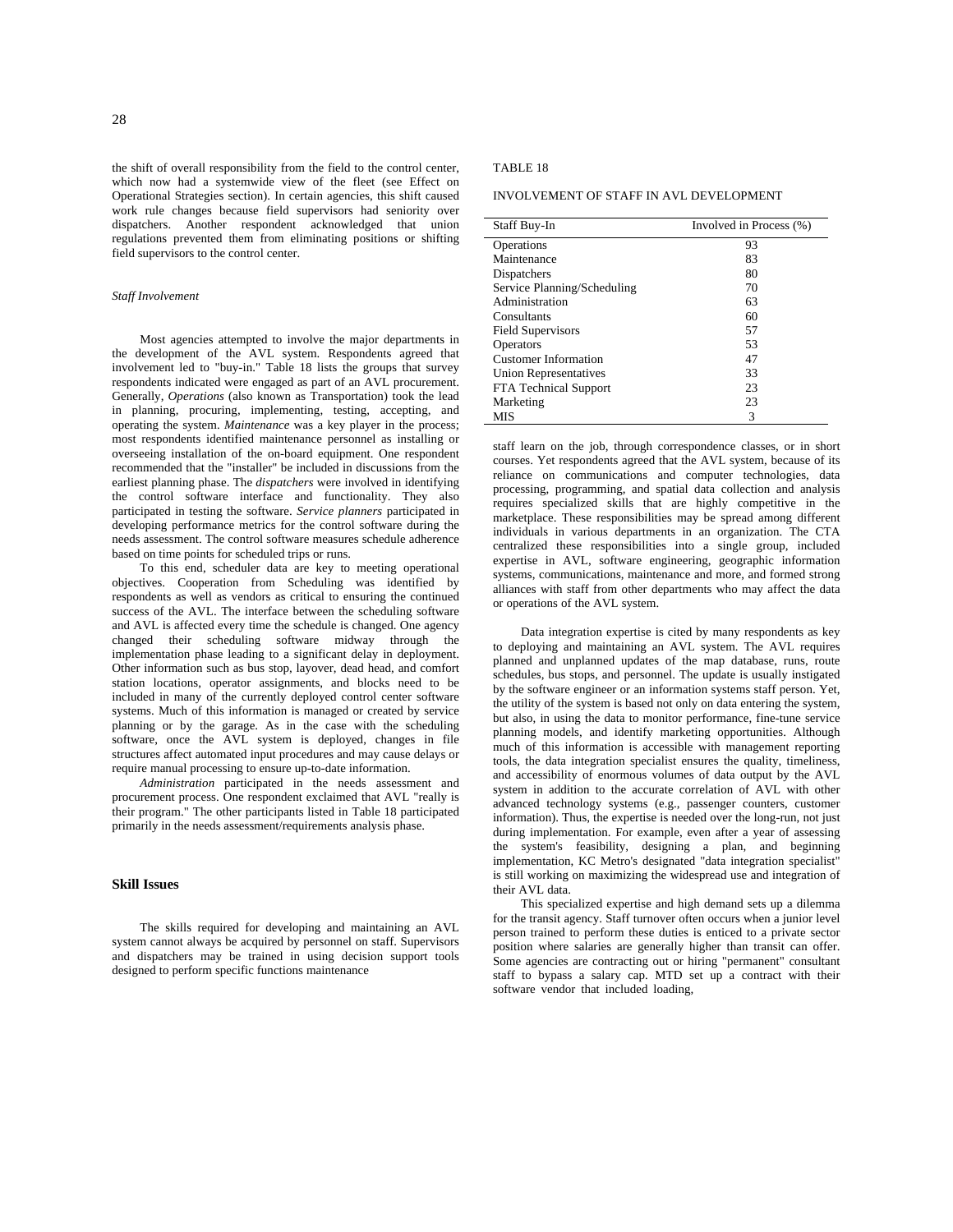the shift of overall responsibility from the field to the control center, which now had a systemwide view of the fleet (see Effect on Operational Strategies section). In certain agencies, this shift caused work rule changes because field supervisors had seniority over dispatchers. Another respondent acknowledged that union regulations prevented them from eliminating positions or shifting field supervisors to the control center.

#### *Staff Involvement*

Most agencies attempted to involve the major departments in the development of the AVL system. Respondents agreed that involvement led to "buy-in." Table 18 lists the groups that survey respondents indicated were engaged as part of an AVL procurement. Generally, *Operations* (also known as Transportation) took the lead in planning, procuring, implementing, testing, accepting, and operating the system. *Maintenance* was a key player in the process; most respondents identified maintenance personnel as installing or overseeing installation of the on-board equipment. One respondent recommended that the "installer" be included in discussions from the earliest planning phase. The *dispatchers* were involved in identifying the control software interface and functionality. They also participated in testing the software. *Service planners* participated in developing performance metrics for the control software during the needs assessment. The control software measures schedule adherence based on time points for scheduled trips or runs.

To this end, scheduler data are key to meeting operational objectives. Cooperation from Scheduling was identified by respondents as well as vendors as critical to ensuring the continued success of the AVL. The interface between the scheduling software and AVL is affected every time the schedule is changed. One agency changed their scheduling software midway through the implementation phase leading to a significant delay in deployment. Other information such as bus stop, layover, dead head, and comfort station locations, operator assignments, and blocks need to be included in many of the currently deployed control center software systems. Much of this information is managed or created by service planning or by the garage. As in the case with the scheduling software, once the AVL system is deployed, changes in file structures affect automated input procedures and may cause delays or require manual processing to ensure up-to-date information.

*Administration* participated in the needs assessment and procurement process. One respondent exclaimed that AVL "really is their program." The other participants listed in Table 18 participated primarily in the needs assessment/requirements analysis phase.

#### **Skill Issues**

The skills required for developing and maintaining an AVL system cannot always be acquired by personnel on staff. Supervisors and dispatchers may be trained in using decision support tools designed to perform specific functions maintenance

#### TABLE 18

#### INVOLVEMENT OF STAFF IN AVL DEVELOPMENT

| Staff Buy-In                 | Involved in Process (%) |
|------------------------------|-------------------------|
| Operations                   | 93                      |
| Maintenance                  | 83                      |
| Dispatchers                  | 80                      |
| Service Planning/Scheduling  | 70                      |
| Administration               | 63                      |
| Consultants                  | 60                      |
| <b>Field Supervisors</b>     | 57                      |
| Operators                    | 53                      |
| <b>Customer Information</b>  | 47                      |
| Union Representatives        | 33                      |
| <b>FTA Technical Support</b> | 23                      |
| Marketing                    | 23                      |
| MIS                          | 3                       |

staff learn on the job, through correspondence classes, or in short courses. Yet respondents agreed that the AVL system, because of its reliance on communications and computer technologies, data processing, programming, and spatial data collection and analysis requires specialized skills that are highly competitive in the marketplace. These responsibilities may be spread among different individuals in various departments in an organization. The CTA centralized these responsibilities into a single group, included expertise in AVL, software engineering, geographic information systems, communications, maintenance and more, and formed strong alliances with staff from other departments who may affect the data or operations of the AVL system.

Data integration expertise is cited by many respondents as key to deploying and maintaining an AVL system. The AVL requires planned and unplanned updates of the map database, runs, route schedules, bus stops, and personnel. The update is usually instigated by the software engineer or an information systems staff person. Yet, the utility of the system is based not only on data entering the system, but also, in using the data to monitor performance, fine-tune service planning models, and identify marketing opportunities. Although much of this information is accessible with management reporting tools, the data integration specialist ensures the quality, timeliness, and accessibility of enormous volumes of data output by the AVL system in addition to the accurate correlation of AVL with other advanced technology systems (e.g., passenger counters, customer information). Thus, the expertise is needed over the long-run, not just during implementation. For example, even after a year of assessing the system's feasibility, designing a plan, and beginning implementation, KC Metro's designated "data integration specialist" is still working on maximizing the widespread use and integration of their AVL data.

This specialized expertise and high demand sets up a dilemma for the transit agency. Staff turnover often occurs when a junior level person trained to perform these duties is enticed to a private sector position where salaries are generally higher than transit can offer. Some agencies are contracting out or hiring "permanent" consultant staff to bypass a salary cap. MTD set up a contract with their software vendor that included loading,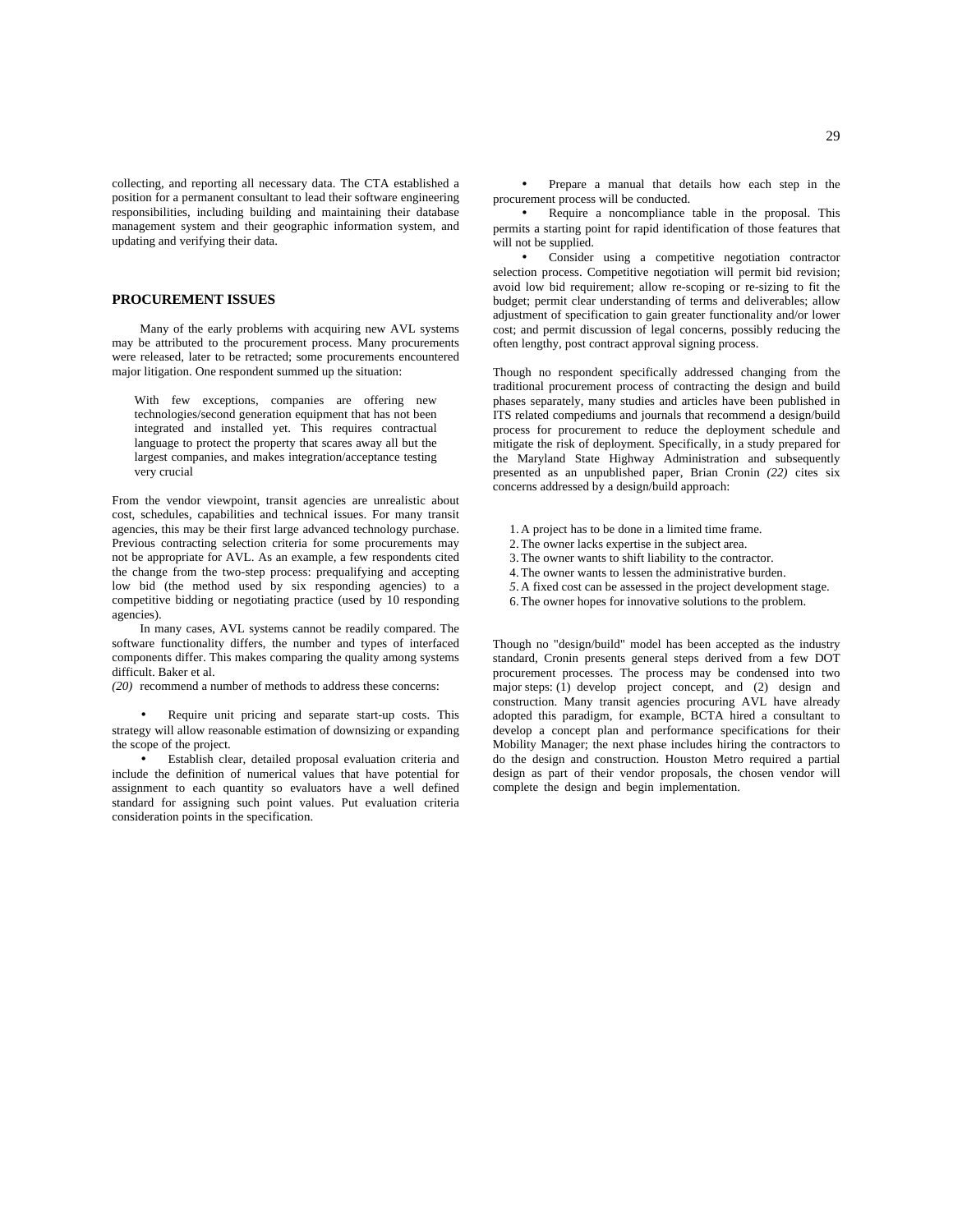collecting, and reporting all necessary data. The CTA established a position for a permanent consultant to lead their software engineering responsibilities, including building and maintaining their database management system and their geographic information system, and updating and verifying their data.

#### **PROCUREMENT ISSUES**

Many of the early problems with acquiring new AVL systems may be attributed to the procurement process. Many procurements were released, later to be retracted; some procurements encountered major litigation. One respondent summed up the situation:

With few exceptions, companies are offering new technologies/second generation equipment that has not been integrated and installed yet. This requires contractual language to protect the property that scares away all but the largest companies, and makes integration/acceptance testing very crucial

From the vendor viewpoint, transit agencies are unrealistic about cost, schedules, capabilities and technical issues. For many transit agencies, this may be their first large advanced technology purchase. Previous contracting selection criteria for some procurements may not be appropriate for AVL. As an example, a few respondents cited the change from the two-step process: prequalifying and accepting low bid (the method used by six responding agencies) to a competitive bidding or negotiating practice (used by 10 responding agencies).

In many cases, AVL systems cannot be readily compared. The software functionality differs, the number and types of interfaced components differ. This makes comparing the quality among systems difficult. Baker et al.

*(20)* recommend a number of methods to address these concerns:

Require unit pricing and separate start-up costs. This strategy will allow reasonable estimation of downsizing or expanding the scope of the project.

• Establish clear, detailed proposal evaluation criteria and include the definition of numerical values that have potential for assignment to each quantity so evaluators have a well defined standard for assigning such point values. Put evaluation criteria consideration points in the specification.

• Prepare a manual that details how each step in the procurement process will be conducted.

• Require a noncompliance table in the proposal. This permits a starting point for rapid identification of those features that will not be supplied.

• Consider using a competitive negotiation contractor selection process. Competitive negotiation will permit bid revision; avoid low bid requirement; allow re-scoping or re-sizing to fit the budget; permit clear understanding of terms and deliverables; allow adjustment of specification to gain greater functionality and/or lower cost; and permit discussion of legal concerns, possibly reducing the often lengthy, post contract approval signing process.

Though no respondent specifically addressed changing from the traditional procurement process of contracting the design and build phases separately, many studies and articles have been published in ITS related compediums and journals that recommend a design/build process for procurement to reduce the deployment schedule and mitigate the risk of deployment. Specifically, in a study prepared for the Maryland State Highway Administration and subsequently presented as an unpublished paper, Brian Cronin *(22)* cites six concerns addressed by a design/build approach:

- 1. A project has to be done in a limited time frame.
- 2. The owner lacks expertise in the subject area.
- 3. The owner wants to shift liability to the contractor.
- 4. The owner wants to lessen the administrative burden.
- *5*.A fixed cost can be assessed in the project development stage.
- 6. The owner hopes for innovative solutions to the problem.

Though no "design/build" model has been accepted as the industry standard, Cronin presents general steps derived from a few DOT procurement processes. The process may be condensed into two major steps: (1) develop project concept, and (2) design and construction. Many transit agencies procuring AVL have already adopted this paradigm, for example, BCTA hired a consultant to develop a concept plan and performance specifications for their Mobility Manager; the next phase includes hiring the contractors to do the design and construction. Houston Metro required a partial design as part of their vendor proposals, the chosen vendor will complete the design and begin implementation.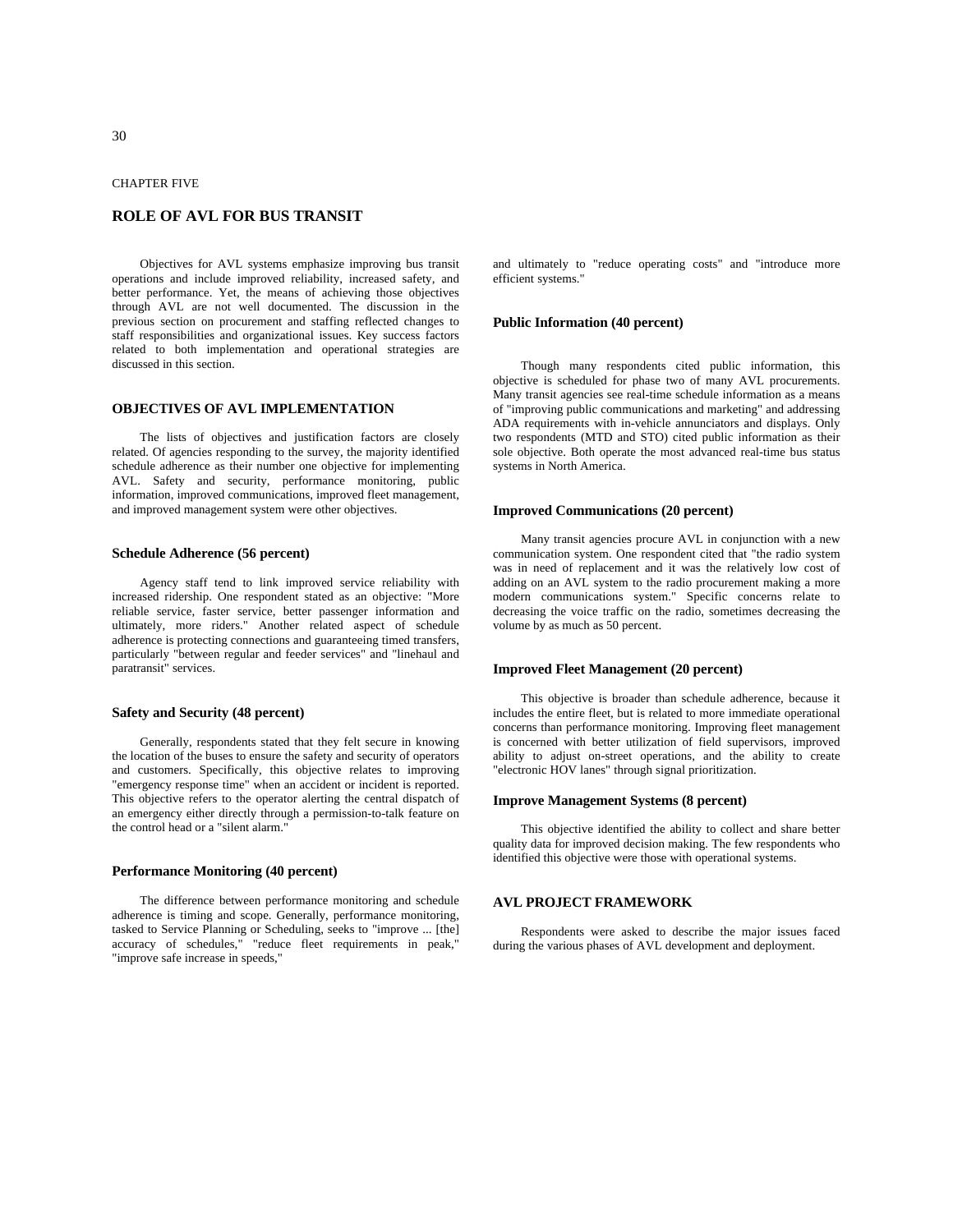CHAPTER FIVE

# **ROLE OF AVL FOR BUS TRANSIT**

Objectives for AVL systems emphasize improving bus transit operations and include improved reliability, increased safety, and better performance. Yet, the means of achieving those objectives through AVL are not well documented. The discussion in the previous section on procurement and staffing reflected changes to staff responsibilities and organizational issues. Key success factors related to both implementation and operational strategies are discussed in this section.

#### **OBJECTIVES OF AVL IMPLEMENTATION**

The lists of objectives and justification factors are closely related. Of agencies responding to the survey, the majority identified schedule adherence as their number one objective for implementing AVL. Safety and security, performance monitoring, public information, improved communications, improved fleet management, and improved management system were other objectives.

#### **Schedule Adherence (56 percent)**

Agency staff tend to link improved service reliability with increased ridership. One respondent stated as an objective: "More reliable service, faster service, better passenger information and ultimately, more riders." Another related aspect of schedule adherence is protecting connections and guaranteeing timed transfers, particularly "between regular and feeder services" and "linehaul and paratransit" services.

#### **Safety and Security (48 percent)**

Generally, respondents stated that they felt secure in knowing the location of the buses to ensure the safety and security of operators and customers. Specifically, this objective relates to improving "emergency response time" when an accident or incident is reported. This objective refers to the operator alerting the central dispatch of an emergency either directly through a permission-to-talk feature on the control head or a "silent alarm."

#### **Performance Monitoring (40 percent)**

The difference between performance monitoring and schedule adherence is timing and scope. Generally, performance monitoring, tasked to Service Planning or Scheduling, seeks to "improve ... [the] accuracy of schedules," "reduce fleet requirements in peak," "improve safe increase in speeds,"

and ultimately to "reduce operating costs" and "introduce more efficient systems."

#### **Public Information (40 percent)**

Though many respondents cited public information, this objective is scheduled for phase two of many AVL procurements. Many transit agencies see real-time schedule information as a means of "improving public communications and marketing" and addressing ADA requirements with in-vehicle annunciators and displays. Only two respondents (MTD and STO) cited public information as their sole objective. Both operate the most advanced real-time bus status systems in North America.

#### **Improved Communications (20 percent)**

Many transit agencies procure AVL in conjunction with a new communication system. One respondent cited that "the radio system was in need of replacement and it was the relatively low cost of adding on an AVL system to the radio procurement making a more modern communications system." Specific concerns relate to decreasing the voice traffic on the radio, sometimes decreasing the volume by as much as 50 percent.

#### **Improved Fleet Management (20 percent)**

This objective is broader than schedule adherence, because it includes the entire fleet, but is related to more immediate operational concerns than performance monitoring. Improving fleet management is concerned with better utilization of field supervisors, improved ability to adjust on-street operations, and the ability to create "electronic HOV lanes" through signal prioritization.

#### **Improve Management Systems (8 percent)**

This objective identified the ability to collect and share better quality data for improved decision making. The few respondents who identified this objective were those with operational systems.

#### **AVL PROJECT FRAMEWORK**

Respondents were asked to describe the major issues faced during the various phases of AVL development and deployment.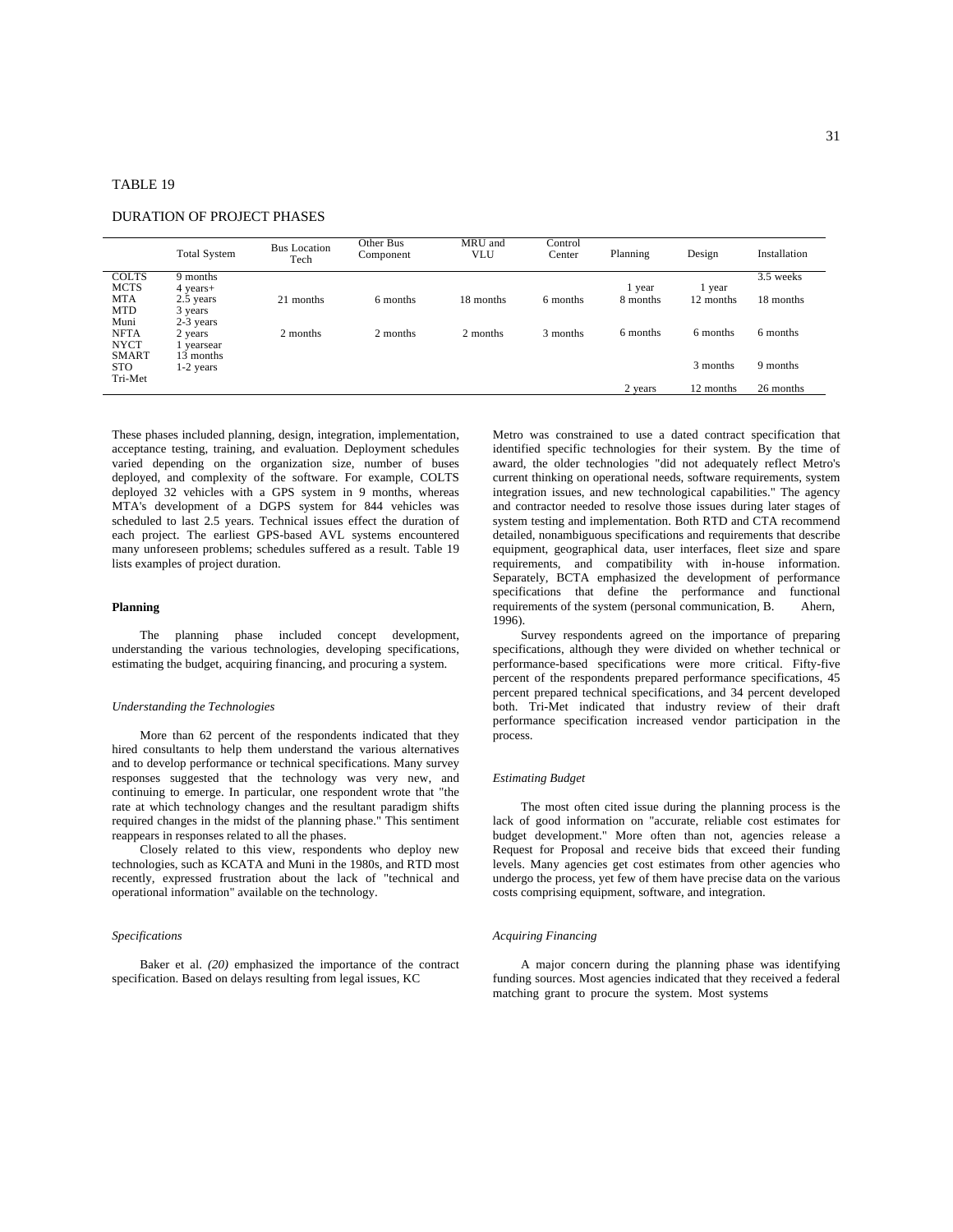#### TABLE 19

#### DURATION OF PROJECT PHASES

|              | <b>Total System</b> | <b>Bus Location</b><br>Tech | Other Bus<br>Component | MRU and<br>VLU | Control<br>Center | Planning | Design    | Installation |
|--------------|---------------------|-----------------------------|------------------------|----------------|-------------------|----------|-----------|--------------|
| <b>COLTS</b> | 9 months            |                             |                        |                |                   |          |           | 3.5 weeks    |
| <b>MCTS</b>  | $4 \text{ years}+$  |                             |                        |                |                   | 1 year   | 1 year    |              |
| <b>MTA</b>   | 2.5 years           | 21 months                   | 6 months               | 18 months      | 6 months          | 8 months | 12 months | 18 months    |
| <b>MTD</b>   | 3 years             |                             |                        |                |                   |          |           |              |
| Muni         | 2-3 years           |                             |                        |                |                   |          |           |              |
| <b>NFTA</b>  | 2 years             | 2 months                    | 2 months               | 2 months       | 3 months          | 6 months | 6 months  | 6 months     |
| <b>NYCT</b>  | l yearsear          |                             |                        |                |                   |          |           |              |
| <b>SMART</b> | 13 months           |                             |                        |                |                   |          |           |              |
| <b>STO</b>   | $1-2$ years         |                             |                        |                |                   |          | 3 months  | 9 months     |
| Tri-Met      |                     |                             |                        |                |                   |          |           |              |
|              |                     |                             |                        |                |                   | 2 years  | 12 months | 26 months    |

These phases included planning, design, integration, implementation, acceptance testing, training, and evaluation. Deployment schedules varied depending on the organization size, number of buses deployed, and complexity of the software. For example, COLTS deployed 32 vehicles with a GPS system in 9 months, whereas MTA's development of a DGPS system for 844 vehicles was scheduled to last 2.5 years. Technical issues effect the duration of each project. The earliest GPS-based AVL systems encountered many unforeseen problems; schedules suffered as a result. Table 19 lists examples of project duration.

#### **Planning**

The planning phase included concept development, understanding the various technologies, developing specifications, estimating the budget, acquiring financing, and procuring a system.

#### *Understanding the Technologies*

More than 62 percent of the respondents indicated that they hired consultants to help them understand the various alternatives and to develop performance or technical specifications. Many survey responses suggested that the technology was very new, and continuing to emerge. In particular, one respondent wrote that "the rate at which technology changes and the resultant paradigm shifts required changes in the midst of the planning phase." This sentiment reappears in responses related to all the phases.

Closely related to this view, respondents who deploy new technologies, such as KCATA and Muni in the 1980s, and RTD most recently, expressed frustration about the lack of "technical and operational information" available on the technology.

#### *Specifications*

Baker et al. *(20)* emphasized the importance of the contract specification. Based on delays resulting from legal issues, KC

Metro was constrained to use a dated contract specification that identified specific technologies for their system. By the time of award, the older technologies "did not adequately reflect Metro's current thinking on operational needs, software requirements, system integration issues, and new technological capabilities." The agency and contractor needed to resolve those issues during later stages of system testing and implementation. Both RTD and CTA recommend detailed, nonambiguous specifications and requirements that describe equipment, geographical data, user interfaces, fleet size and spare requirements, and compatibility with in-house information. Separately, BCTA emphasized the development of performance specifications that define the performance and functional requirements of the system (personal communication, B. Ahern, 1996).

Survey respondents agreed on the importance of preparing specifications, although they were divided on whether technical or performance-based specifications were more critical. Fifty-five percent of the respondents prepared performance specifications, 45 percent prepared technical specifications, and 34 percent developed both. Tri-Met indicated that industry review of their draft performance specification increased vendor participation in the process.

#### *Estimating Budget*

The most often cited issue during the planning process is the lack of good information on "accurate, reliable cost estimates for budget development." More often than not, agencies release a Request for Proposal and receive bids that exceed their funding levels. Many agencies get cost estimates from other agencies who undergo the process, yet few of them have precise data on the various costs comprising equipment, software, and integration.

#### *Acquiring Financing*

A major concern during the planning phase was identifying funding sources. Most agencies indicated that they received a federal matching grant to procure the system. Most systems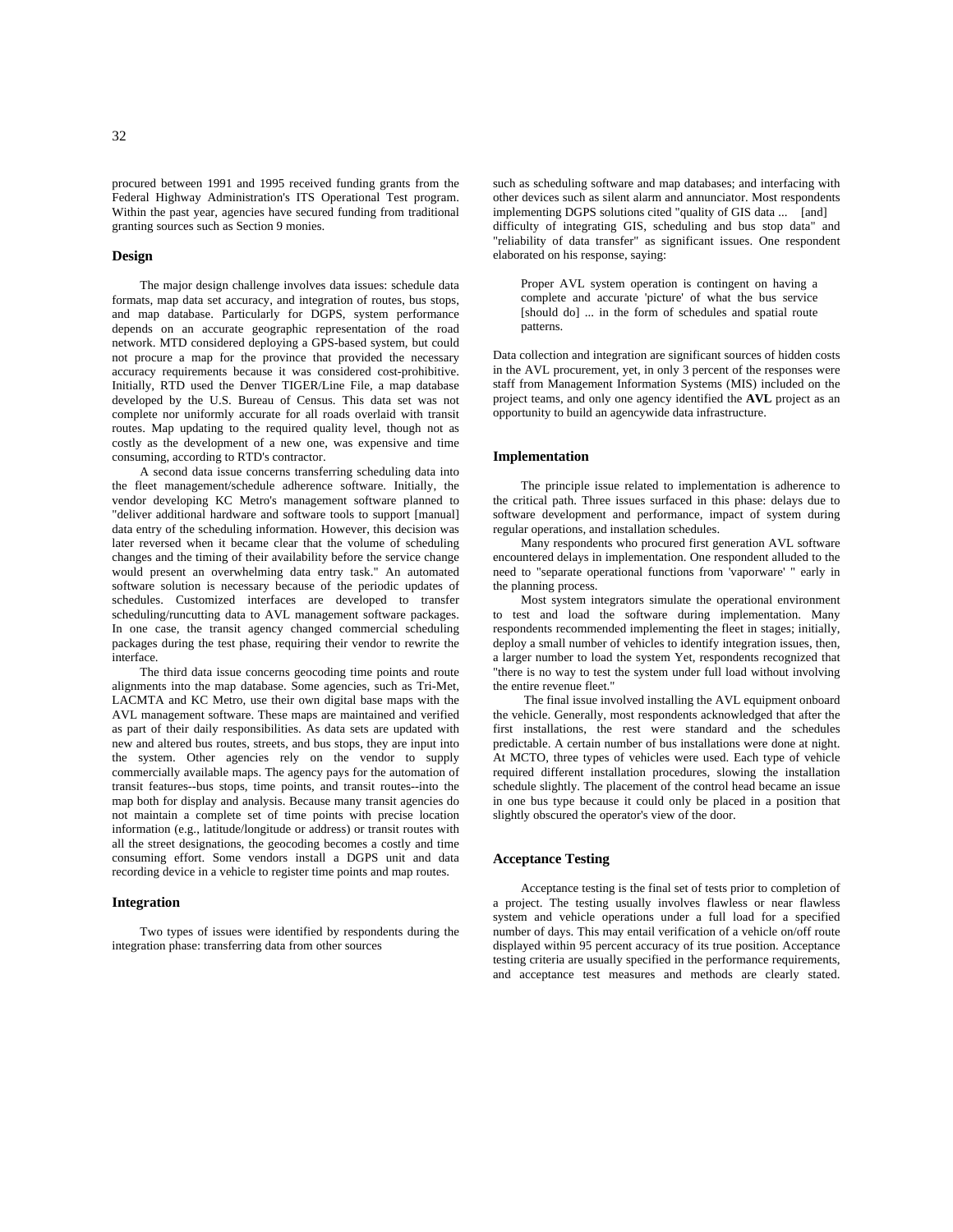procured between 1991 and 1995 received funding grants from the Federal Highway Administration's ITS Operational Test program. Within the past year, agencies have secured funding from traditional granting sources such as Section 9 monies.

#### **Design**

The major design challenge involves data issues: schedule data formats, map data set accuracy, and integration of routes, bus stops, and map database. Particularly for DGPS, system performance depends on an accurate geographic representation of the road network. MTD considered deploying a GPS-based system, but could not procure a map for the province that provided the necessary accuracy requirements because it was considered cost-prohibitive. Initially, RTD used the Denver TIGER/Line File, a map database developed by the U.S. Bureau of Census. This data set was not complete nor uniformly accurate for all roads overlaid with transit routes. Map updating to the required quality level, though not as costly as the development of a new one, was expensive and time consuming, according to RTD's contractor.

A second data issue concerns transferring scheduling data into the fleet management/schedule adherence software. Initially, the vendor developing KC Metro's management software planned to "deliver additional hardware and software tools to support [manual] data entry of the scheduling information. However, this decision was later reversed when it became clear that the volume of scheduling changes and the timing of their availability before the service change would present an overwhelming data entry task." An automated software solution is necessary because of the periodic updates of schedules. Customized interfaces are developed to transfer scheduling/runcutting data to AVL management software packages. In one case, the transit agency changed commercial scheduling packages during the test phase, requiring their vendor to rewrite the interface.

The third data issue concerns geocoding time points and route alignments into the map database. Some agencies, such as Tri-Met, LACMTA and KC Metro, use their own digital base maps with the AVL management software. These maps are maintained and verified as part of their daily responsibilities. As data sets are updated with new and altered bus routes, streets, and bus stops, they are input into the system. Other agencies rely on the vendor to supply commercially available maps. The agency pays for the automation of transit features--bus stops, time points, and transit routes--into the map both for display and analysis. Because many transit agencies do not maintain a complete set of time points with precise location information (e.g., latitude/longitude or address) or transit routes with all the street designations, the geocoding becomes a costly and time consuming effort. Some vendors install a DGPS unit and data recording device in a vehicle to register time points and map routes.

#### **Integration**

Two types of issues were identified by respondents during the integration phase: transferring data from other sources

such as scheduling software and map databases; and interfacing with other devices such as silent alarm and annunciator. Most respondents implementing DGPS solutions cited "quality of GIS data ... [and] difficulty of integrating GIS, scheduling and bus stop data" and "reliability of data transfer" as significant issues. One respondent elaborated on his response, saying:

Proper AVL system operation is contingent on having a complete and accurate 'picture' of what the bus service [should do] ... in the form of schedules and spatial route patterns.

Data collection and integration are significant sources of hidden costs in the AVL procurement, yet, in only 3 percent of the responses were staff from Management Information Systems (MIS) included on the project teams, and only one agency identified the **AVL** project as an opportunity to build an agencywide data infrastructure.

#### **Implementation**

The principle issue related to implementation is adherence to the critical path. Three issues surfaced in this phase: delays due to software development and performance, impact of system during regular operations, and installation schedules.

Many respondents who procured first generation AVL software encountered delays in implementation. One respondent alluded to the need to "separate operational functions from 'vaporware' " early in the planning process.

Most system integrators simulate the operational environment to test and load the software during implementation. Many respondents recommended implementing the fleet in stages; initially, deploy a small number of vehicles to identify integration issues, then, a larger number to load the system Yet, respondents recognized that "there is no way to test the system under full load without involving the entire revenue fleet."

 The final issue involved installing the AVL equipment onboard the vehicle. Generally, most respondents acknowledged that after the first installations, the rest were standard and the schedules predictable. A certain number of bus installations were done at night. At MCTO, three types of vehicles were used. Each type of vehicle required different installation procedures, slowing the installation schedule slightly. The placement of the control head became an issue in one bus type because it could only be placed in a position that slightly obscured the operator's view of the door.

#### **Acceptance Testing**

Acceptance testing is the final set of tests prior to completion of a project. The testing usually involves flawless or near flawless system and vehicle operations under a full load for a specified number of days. This may entail verification of a vehicle on/off route displayed within 95 percent accuracy of its true position. Acceptance testing criteria are usually specified in the performance requirements, and acceptance test measures and methods are clearly stated.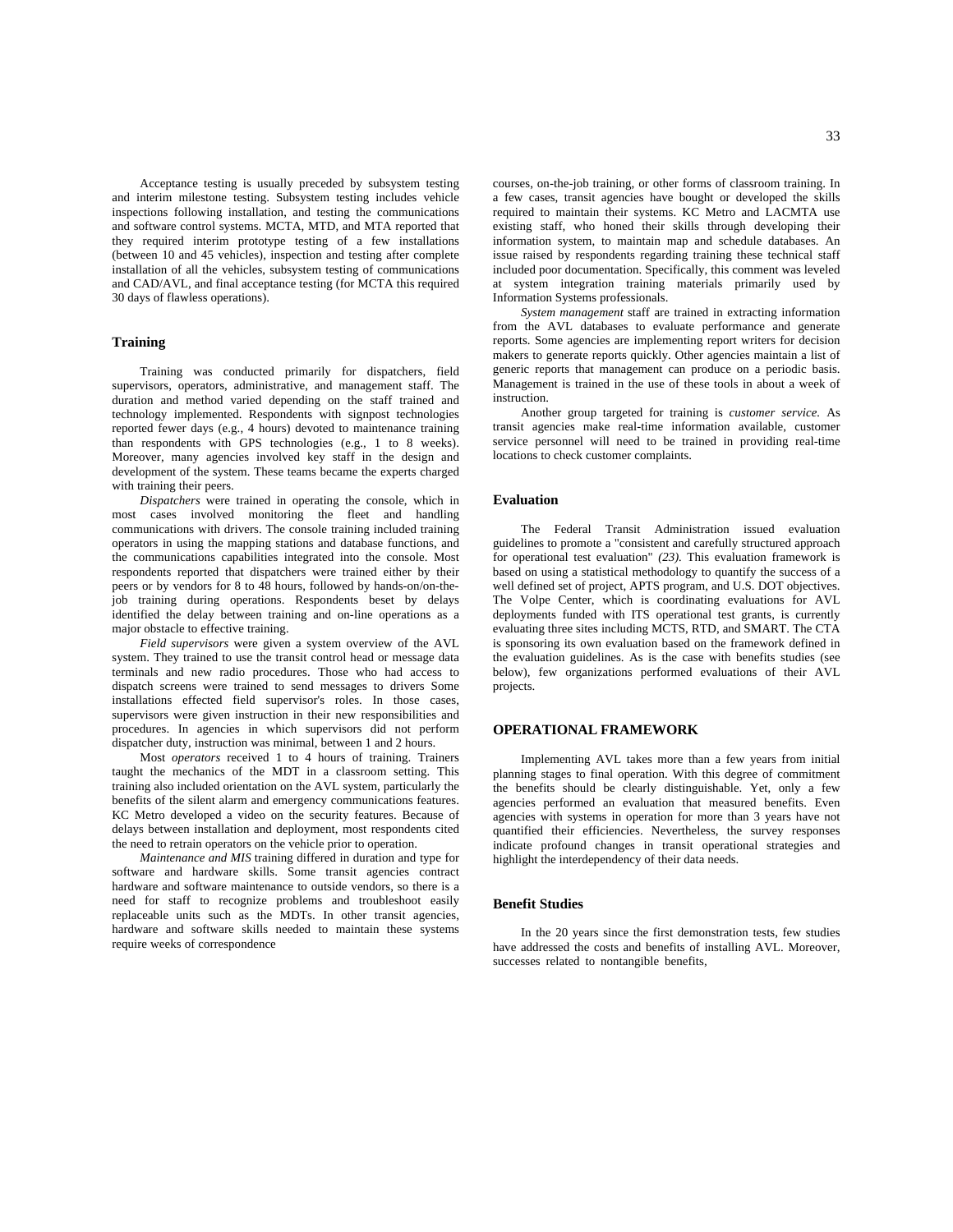Acceptance testing is usually preceded by subsystem testing and interim milestone testing. Subsystem testing includes vehicle inspections following installation, and testing the communications and software control systems. MCTA, MTD, and MTA reported that they required interim prototype testing of a few installations (between 10 and 45 vehicles), inspection and testing after complete installation of all the vehicles, subsystem testing of communications and CAD/AVL, and final acceptance testing (for MCTA this required 30 days of flawless operations).

#### **Training**

Training was conducted primarily for dispatchers, field supervisors, operators, administrative, and management staff. The duration and method varied depending on the staff trained and technology implemented. Respondents with signpost technologies reported fewer days (e.g., 4 hours) devoted to maintenance training than respondents with GPS technologies (e.g., 1 to 8 weeks). Moreover, many agencies involved key staff in the design and development of the system. These teams became the experts charged with training their peers.

*Dispatchers* were trained in operating the console, which in most cases involved monitoring the fleet and handling communications with drivers. The console training included training operators in using the mapping stations and database functions, and the communications capabilities integrated into the console. Most respondents reported that dispatchers were trained either by their peers or by vendors for 8 to 48 hours, followed by hands-on/on-thejob training during operations. Respondents beset by delays identified the delay between training and on-line operations as a major obstacle to effective training.

*Field supervisors* were given a system overview of the AVL system. They trained to use the transit control head or message data terminals and new radio procedures. Those who had access to dispatch screens were trained to send messages to drivers Some installations effected field supervisor's roles. In those cases, supervisors were given instruction in their new responsibilities and procedures. In agencies in which supervisors did not perform dispatcher duty, instruction was minimal, between 1 and 2 hours.

Most *operators* received 1 to 4 hours of training. Trainers taught the mechanics of the MDT in a classroom setting. This training also included orientation on the AVL system, particularly the benefits of the silent alarm and emergency communications features. KC Metro developed a video on the security features. Because of delays between installation and deployment, most respondents cited the need to retrain operators on the vehicle prior to operation.

*Maintenance and MIS* training differed in duration and type for software and hardware skills. Some transit agencies contract hardware and software maintenance to outside vendors, so there is a need for staff to recognize problems and troubleshoot easily replaceable units such as the MDTs. In other transit agencies, hardware and software skills needed to maintain these systems require weeks of correspondence

courses, on-the-job training, or other forms of classroom training. In a few cases, transit agencies have bought or developed the skills required to maintain their systems. KC Metro and LACMTA use existing staff, who honed their skills through developing their information system, to maintain map and schedule databases. An issue raised by respondents regarding training these technical staff included poor documentation. Specifically, this comment was leveled at system integration training materials primarily used by Information Systems professionals.

*System management* staff are trained in extracting information from the AVL databases to evaluate performance and generate reports. Some agencies are implementing report writers for decision makers to generate reports quickly. Other agencies maintain a list of generic reports that management can produce on a periodic basis. Management is trained in the use of these tools in about a week of instruction.

Another group targeted for training is *customer service.* As transit agencies make real-time information available, customer service personnel will need to be trained in providing real-time locations to check customer complaints.

#### **Evaluation**

The Federal Transit Administration issued evaluation guidelines to promote a "consistent and carefully structured approach for operational test evaluation" *(23).* This evaluation framework is based on using a statistical methodology to quantify the success of a well defined set of project, APTS program, and U.S. DOT objectives. The Volpe Center, which is coordinating evaluations for AVL deployments funded with ITS operational test grants, is currently evaluating three sites including MCTS, RTD, and SMART. The CTA is sponsoring its own evaluation based on the framework defined in the evaluation guidelines. As is the case with benefits studies (see below), few organizations performed evaluations of their AVL projects.

#### **OPERATIONAL FRAMEWORK**

Implementing AVL takes more than a few years from initial planning stages to final operation. With this degree of commitment the benefits should be clearly distinguishable. Yet, only a few agencies performed an evaluation that measured benefits. Even agencies with systems in operation for more than 3 years have not quantified their efficiencies. Nevertheless, the survey responses indicate profound changes in transit operational strategies and highlight the interdependency of their data needs.

#### **Benefit Studies**

In the 20 years since the first demonstration tests, few studies have addressed the costs and benefits of installing AVL. Moreover, successes related to nontangible benefits,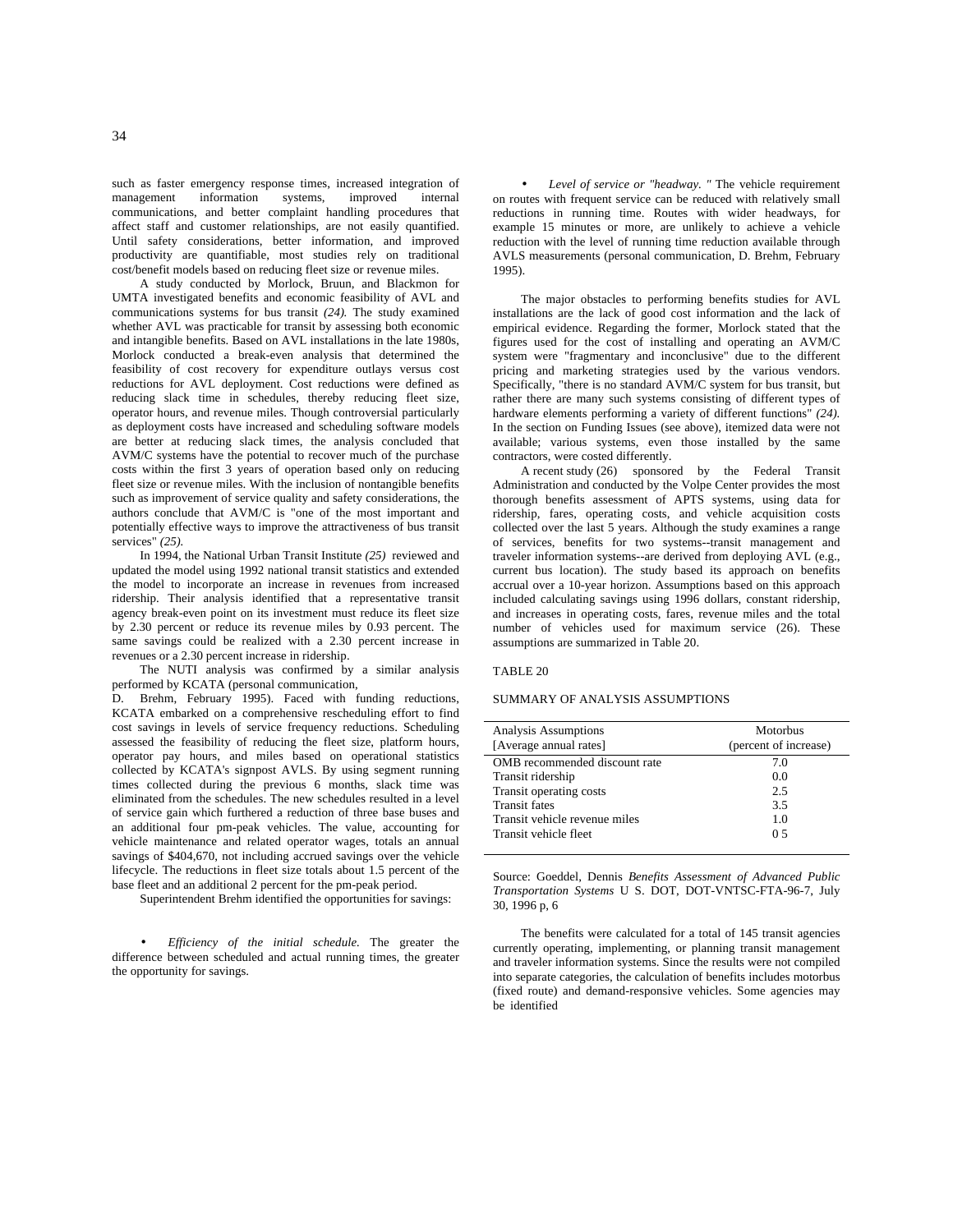such as faster emergency response times, increased integration of management information systems, improved internal management information communications, and better complaint handling procedures that affect staff and customer relationships, are not easily quantified. Until safety considerations, better information, and improved productivity are quantifiable, most studies rely on traditional

cost/benefit models based on reducing fleet size or revenue miles. A study conducted by Morlock, Bruun, and Blackmon for UMTA investigated benefits and economic feasibility of AVL and communications systems for bus transit *(24).* The study examined whether AVL was practicable for transit by assessing both economic and intangible benefits. Based on AVL installations in the late 1980s, Morlock conducted a break-even analysis that determined the feasibility of cost recovery for expenditure outlays versus cost reductions for AVL deployment. Cost reductions were defined as reducing slack time in schedules, thereby reducing fleet size, operator hours, and revenue miles. Though controversial particularly as deployment costs have increased and scheduling software models are better at reducing slack times, the analysis concluded that AVM/C systems have the potential to recover much of the purchase costs within the first 3 years of operation based only on reducing fleet size or revenue miles. With the inclusion of nontangible benefits such as improvement of service quality and safety considerations, the authors conclude that AVM/C is "one of the most important and potentially effective ways to improve the attractiveness of bus transit services" *(25).*

In 1994, the National Urban Transit Institute *(25)* reviewed and updated the model using 1992 national transit statistics and extended the model to incorporate an increase in revenues from increased ridership. Their analysis identified that a representative transit agency break-even point on its investment must reduce its fleet size by 2.30 percent or reduce its revenue miles by 0.93 percent. The same savings could be realized with a 2.30 percent increase in revenues or a 2.30 percent increase in ridership.

The NUTI analysis was confirmed by a similar analysis performed by KCATA (personal communication,

D. Brehm, February 1995). Faced with funding reductions, KCATA embarked on a comprehensive rescheduling effort to find cost savings in levels of service frequency reductions. Scheduling assessed the feasibility of reducing the fleet size, platform hours, operator pay hours, and miles based on operational statistics collected by KCATA's signpost AVLS. By using segment running times collected during the previous 6 months, slack time was eliminated from the schedules. The new schedules resulted in a level of service gain which furthered a reduction of three base buses and an additional four pm-peak vehicles. The value, accounting for vehicle maintenance and related operator wages, totals an annual savings of \$404,670, not including accrued savings over the vehicle lifecycle. The reductions in fleet size totals about 1.5 percent of the base fleet and an additional 2 percent for the pm-peak period.

Superintendent Brehm identified the opportunities for savings:

*· Efficiency of the initial schedule.* The greater the difference between scheduled and actual running times, the greater the opportunity for savings.

• *Level of service or "headway. "* The vehicle requirement on routes with frequent service can be reduced with relatively small reductions in running time. Routes with wider headways, for example 15 minutes or more, are unlikely to achieve a vehicle reduction with the level of running time reduction available through AVLS measurements (personal communication, D. Brehm, February 1995).

The major obstacles to performing benefits studies for AVL installations are the lack of good cost information and the lack of empirical evidence. Regarding the former, Morlock stated that the figures used for the cost of installing and operating an AVM/C system were "fragmentary and inconclusive" due to the different pricing and marketing strategies used by the various vendors. Specifically, "there is no standard AVM/C system for bus transit, but rather there are many such systems consisting of different types of hardware elements performing a variety of different functions" *(24).* In the section on Funding Issues (see above), itemized data were not available; various systems, even those installed by the same contractors, were costed differently.

A recent study (26) sponsored by the Federal Transit Administration and conducted by the Volpe Center provides the most thorough benefits assessment of APTS systems, using data for ridership, fares, operating costs, and vehicle acquisition costs collected over the last 5 years. Although the study examines a range of services, benefits for two systems--transit management and traveler information systems--are derived from deploying AVL (e.g., current bus location). The study based its approach on benefits accrual over a 10-year horizon. Assumptions based on this approach included calculating savings using 1996 dollars, constant ridership, and increases in operating costs, fares, revenue miles and the total number of vehicles used for maximum service (26). These assumptions are summarized in Table 20.

#### TABLE 20

#### SUMMARY OF ANALYSIS ASSUMPTIONS

| Analysis Assumptions<br>[Average annual rates] | Motorbus<br>(percent of increase) |
|------------------------------------------------|-----------------------------------|
| OMB recommended discount rate                  | 7.0                               |
| Transit ridership                              | 0.0                               |
| Transit operating costs                        | 2.5                               |
| <b>Transit fates</b>                           | 3.5                               |
| Transit vehicle revenue miles                  | 1 <sub>0</sub>                    |
| Transit vehicle fleet                          | 0.5                               |

Source: Goeddel, Dennis *Benefits Assessment of Advanced Public Transportation Systems* U S. DOT, DOT-VNTSC-FTA-96-7, July 30, 1996 p, 6

The benefits were calculated for a total of 145 transit agencies currently operating, implementing, or planning transit management and traveler information systems. Since the results were not compiled into separate categories, the calculation of benefits includes motorbus (fixed route) and demand-responsive vehicles. Some agencies may be identified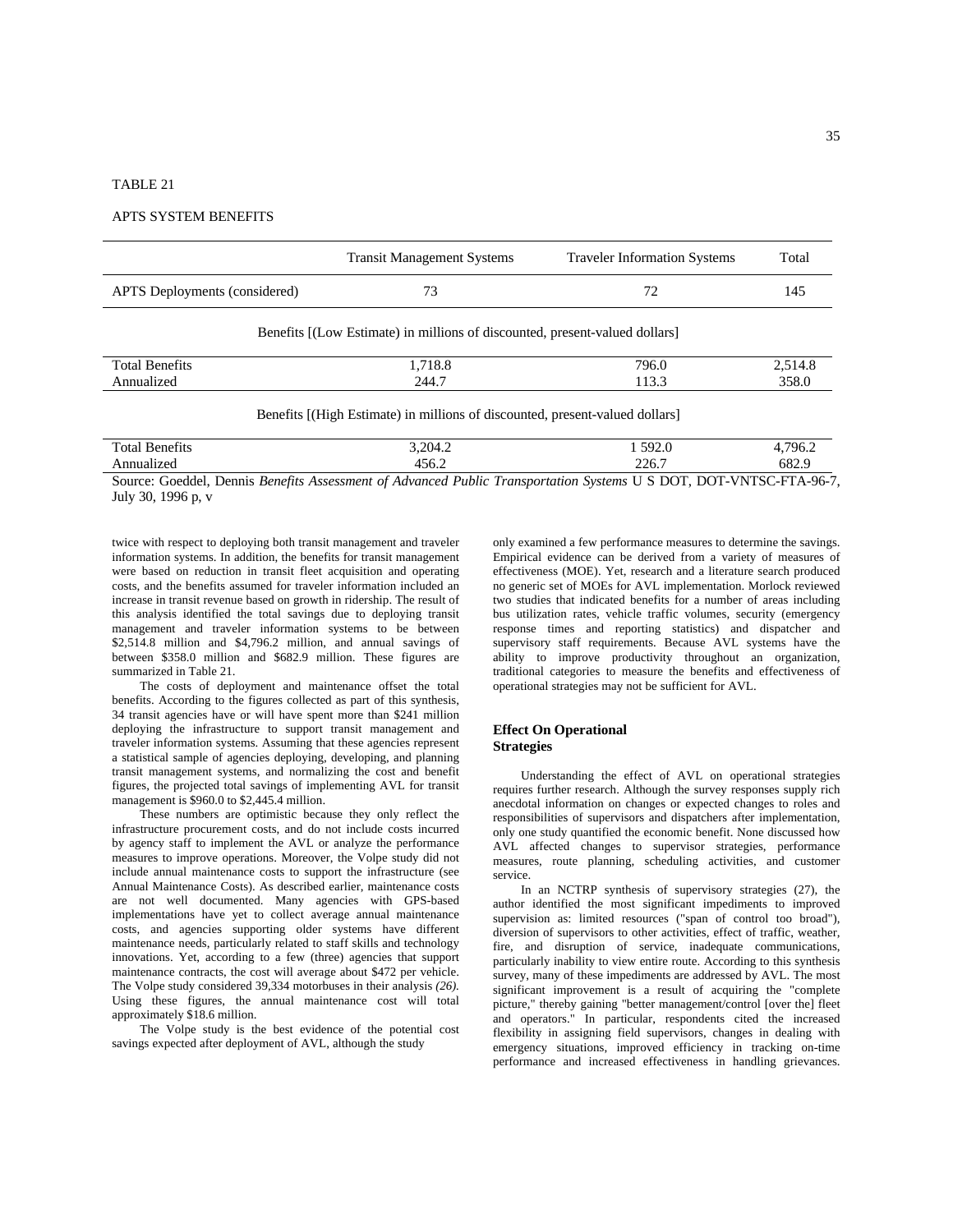#### TABLE 21

#### APTS SYSTEM BENEFITS

|                               | <b>Transit Management Systems</b>                                            | <b>Traveler Information Systems</b> | Total   |
|-------------------------------|------------------------------------------------------------------------------|-------------------------------------|---------|
| APTS Deployments (considered) | 73                                                                           | 72                                  | 145     |
|                               | Benefits [(Low Estimate) in millions of discounted, present-valued dollars]  |                                     |         |
| <b>Total Benefits</b>         | 1,718.8                                                                      | 796.0                               | 2,514.8 |
| Annualized                    | 244.7                                                                        | 113.3                               | 358.0   |
|                               | Benefits [(High Estimate) in millions of discounted, present-valued dollars] |                                     |         |
| <b>Total Benefits</b>         | 3,204.2                                                                      | 1 592.0                             | 4,796.2 |
| Annualized                    | 456.2                                                                        | 226.7                               | 682.9   |

Source: Goeddel, Dennis *Benefits Assessment of Advanced Public Transportation Systems* U S DOT, DOT-VNTSC-FTA-96-7, July 30, 1996 p, v

twice with respect to deploying both transit management and traveler information systems. In addition, the benefits for transit management were based on reduction in transit fleet acquisition and operating costs, and the benefits assumed for traveler information included an increase in transit revenue based on growth in ridership. The result of this analysis identified the total savings due to deploying transit management and traveler information systems to be between \$2,514.8 million and \$4,796.2 million, and annual savings of between \$358.0 million and \$682.9 million. These figures are summarized in Table 21.

The costs of deployment and maintenance offset the total benefits. According to the figures collected as part of this synthesis, 34 transit agencies have or will have spent more than \$241 million deploying the infrastructure to support transit management and traveler information systems. Assuming that these agencies represent a statistical sample of agencies deploying, developing, and planning transit management systems, and normalizing the cost and benefit figures, the projected total savings of implementing AVL for transit management is \$960.0 to \$2,445.4 million.

These numbers are optimistic because they only reflect the infrastructure procurement costs, and do not include costs incurred by agency staff to implement the AVL or analyze the performance measures to improve operations. Moreover, the Volpe study did not include annual maintenance costs to support the infrastructure (see Annual Maintenance Costs). As described earlier, maintenance costs are not well documented. Many agencies with GPS-based implementations have yet to collect average annual maintenance costs, and agencies supporting older systems have different maintenance needs, particularly related to staff skills and technology innovations. Yet, according to a few (three) agencies that support maintenance contracts, the cost will average about \$472 per vehicle. The Volpe study considered 39,334 motorbuses in their analysis *(26).* Using these figures, the annual maintenance cost will total approximately \$18.6 million.

The Volpe study is the best evidence of the potential cost savings expected after deployment of AVL, although the study

only examined a few performance measures to determine the savings. Empirical evidence can be derived from a variety of measures of effectiveness (MOE). Yet, research and a literature search produced no generic set of MOEs for AVL implementation. Morlock reviewed two studies that indicated benefits for a number of areas including bus utilization rates, vehicle traffic volumes, security (emergency response times and reporting statistics) and dispatcher and supervisory staff requirements. Because AVL systems have the ability to improve productivity throughout an organization, traditional categories to measure the benefits and effectiveness of operational strategies may not be sufficient for AVL.

#### **Effect On Operational Strategies**

Understanding the effect of AVL on operational strategies requires further research. Although the survey responses supply rich anecdotal information on changes or expected changes to roles and responsibilities of supervisors and dispatchers after implementation, only one study quantified the economic benefit. None discussed how AVL affected changes to supervisor strategies, performance measures, route planning, scheduling activities, and customer service.

In an NCTRP synthesis of supervisory strategies (27), the author identified the most significant impediments to improved supervision as: limited resources ("span of control too broad"), diversion of supervisors to other activities, effect of traffic, weather, fire, and disruption of service, inadequate communications, particularly inability to view entire route. According to this synthesis survey, many of these impediments are addressed by AVL. The most significant improvement is a result of acquiring the "complete picture," thereby gaining "better management/control [over the] fleet and operators." In particular, respondents cited the increased flexibility in assigning field supervisors, changes in dealing with emergency situations, improved efficiency in tracking on-time performance and increased effectiveness in handling grievances.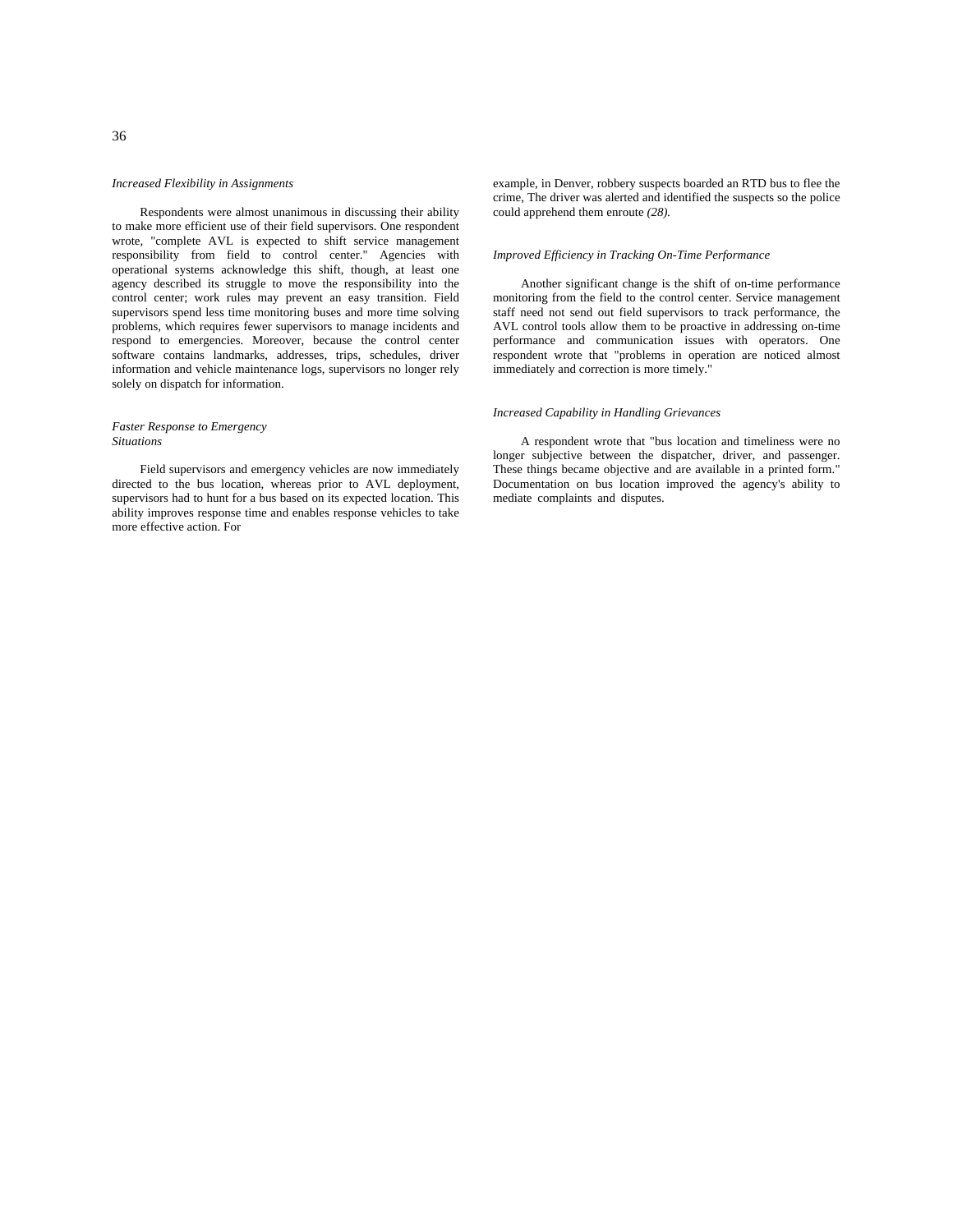#### 36

#### *Increased Flexibility in Assignments*

Respondents were almost unanimous in discussing their ability to make more efficient use of their field supervisors. One respondent wrote, "complete AVL is expected to shift service management responsibility from field to control center." Agencies with operational systems acknowledge this shift, though, at least one agency described its struggle to move the responsibility into the control center; work rules may prevent an easy transition. Field supervisors spend less time monitoring buses and more time solving problems, which requires fewer supervisors to manage incidents and respond to emergencies. Moreover, because the control center software contains landmarks, addresses, trips, schedules, driver information and vehicle maintenance logs, supervisors no longer rely solely on dispatch for information.

#### *Faster Response to Emergency Situations*

Field supervisors and emergency vehicles are now immediately directed to the bus location, whereas prior to AVL deployment, supervisors had to hunt for a bus based on its expected location. This ability improves response time and enables response vehicles to take more effective action. For

example, in Denver, robbery suspects boarded an RTD bus to flee the crime, The driver was alerted and identified the suspects so the police could apprehend them enroute *(28).*

#### *Improved Efficiency in Tracking On-Time Performance*

Another significant change is the shift of on-time performance monitoring from the field to the control center. Service management staff need not send out field supervisors to track performance, the AVL control tools allow them to be proactive in addressing on-time performance and communication issues with operators. One respondent wrote that "problems in operation are noticed almost immediately and correction is more timely."

#### *Increased Capability in Handling Grievances*

A respondent wrote that "bus location and timeliness were no longer subjective between the dispatcher, driver, and passenger. These things became objective and are available in a printed form." Documentation on bus location improved the agency's ability to mediate complaints and disputes.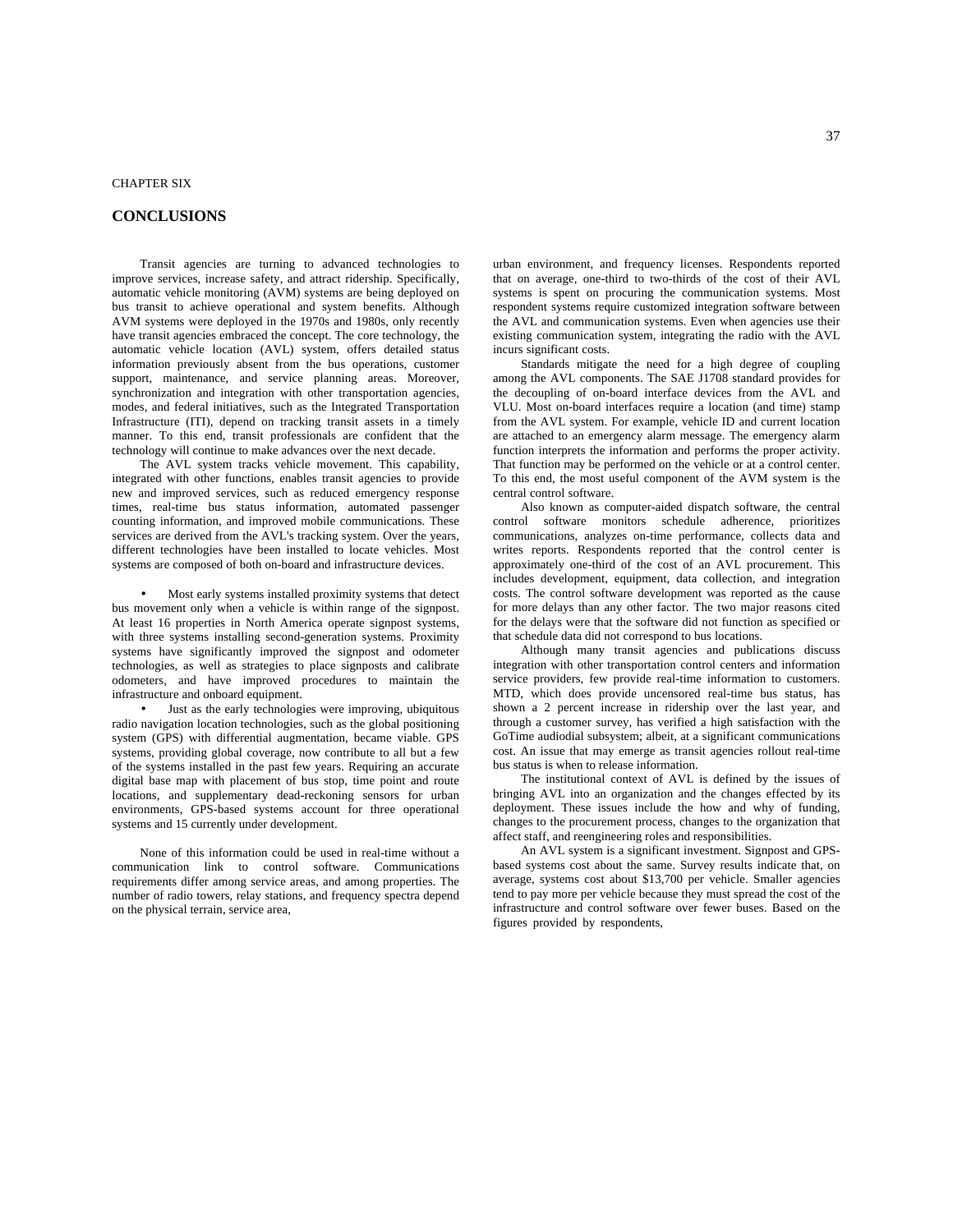#### CHAPTER SIX

# **CONCLUSIONS**

Transit agencies are turning to advanced technologies to improve services, increase safety, and attract ridership. Specifically, automatic vehicle monitoring (AVM) systems are being deployed on bus transit to achieve operational and system benefits. Although AVM systems were deployed in the 1970s and 1980s, only recently have transit agencies embraced the concept. The core technology, the automatic vehicle location (AVL) system, offers detailed status information previously absent from the bus operations, customer support, maintenance, and service planning areas. Moreover, synchronization and integration with other transportation agencies, modes, and federal initiatives, such as the Integrated Transportation Infrastructure (ITI), depend on tracking transit assets in a timely manner. To this end, transit professionals are confident that the technology will continue to make advances over the next decade.

The AVL system tracks vehicle movement. This capability, integrated with other functions, enables transit agencies to provide new and improved services, such as reduced emergency response times, real-time bus status information, automated passenger counting information, and improved mobile communications. These services are derived from the AVL's tracking system. Over the years, different technologies have been installed to locate vehicles. Most systems are composed of both on-board and infrastructure devices.

• Most early systems installed proximity systems that detect bus movement only when a vehicle is within range of the signpost. At least 16 properties in North America operate signpost systems, with three systems installing second-generation systems. Proximity systems have significantly improved the signpost and odometer technologies, as well as strategies to place signposts and calibrate odometers, and have improved procedures to maintain the infrastructure and onboard equipment.

• Just as the early technologies were improving, ubiquitous radio navigation location technologies, such as the global positioning system (GPS) with differential augmentation, became viable. GPS systems, providing global coverage, now contribute to all but a few of the systems installed in the past few years. Requiring an accurate digital base map with placement of bus stop, time point and route locations, and supplementary dead-reckoning sensors for urban environments, GPS-based systems account for three operational systems and 15 currently under development.

None of this information could be used in real-time without a communication link to control software. Communications requirements differ among service areas, and among properties. The number of radio towers, relay stations, and frequency spectra depend on the physical terrain, service area,

urban environment, and frequency licenses. Respondents reported that on average, one-third to two-thirds of the cost of their AVL systems is spent on procuring the communication systems. Most respondent systems require customized integration software between the AVL and communication systems. Even when agencies use their existing communication system, integrating the radio with the AVL incurs significant costs.

Standards mitigate the need for a high degree of coupling among the AVL components. The SAE J1708 standard provides for the decoupling of on-board interface devices from the AVL and VLU. Most on-board interfaces require a location (and time) stamp from the AVL system. For example, vehicle ID and current location are attached to an emergency alarm message. The emergency alarm function interprets the information and performs the proper activity. That function may be performed on the vehicle or at a control center. To this end, the most useful component of the AVM system is the central control software.

Also known as computer-aided dispatch software, the central control software monitors schedule adherence, prioritizes communications, analyzes on-time performance, collects data and writes reports. Respondents reported that the control center is approximately one-third of the cost of an AVL procurement. This includes development, equipment, data collection, and integration costs. The control software development was reported as the cause for more delays than any other factor. The two major reasons cited for the delays were that the software did not function as specified or that schedule data did not correspond to bus locations.

Although many transit agencies and publications discuss integration with other transportation control centers and information service providers, few provide real-time information to customers. MTD, which does provide uncensored real-time bus status, has shown a 2 percent increase in ridership over the last year, and through a customer survey, has verified a high satisfaction with the GoTime audiodial subsystem; albeit, at a significant communications cost. An issue that may emerge as transit agencies rollout real-time bus status is when to release information.

The institutional context of AVL is defined by the issues of bringing AVL into an organization and the changes effected by its deployment. These issues include the how and why of funding, changes to the procurement process, changes to the organization that affect staff, and reengineering roles and responsibilities.

An AVL system is a significant investment. Signpost and GPSbased systems cost about the same. Survey results indicate that, on average, systems cost about \$13,700 per vehicle. Smaller agencies tend to pay more per vehicle because they must spread the cost of the infrastructure and control software over fewer buses. Based on the figures provided by respondents,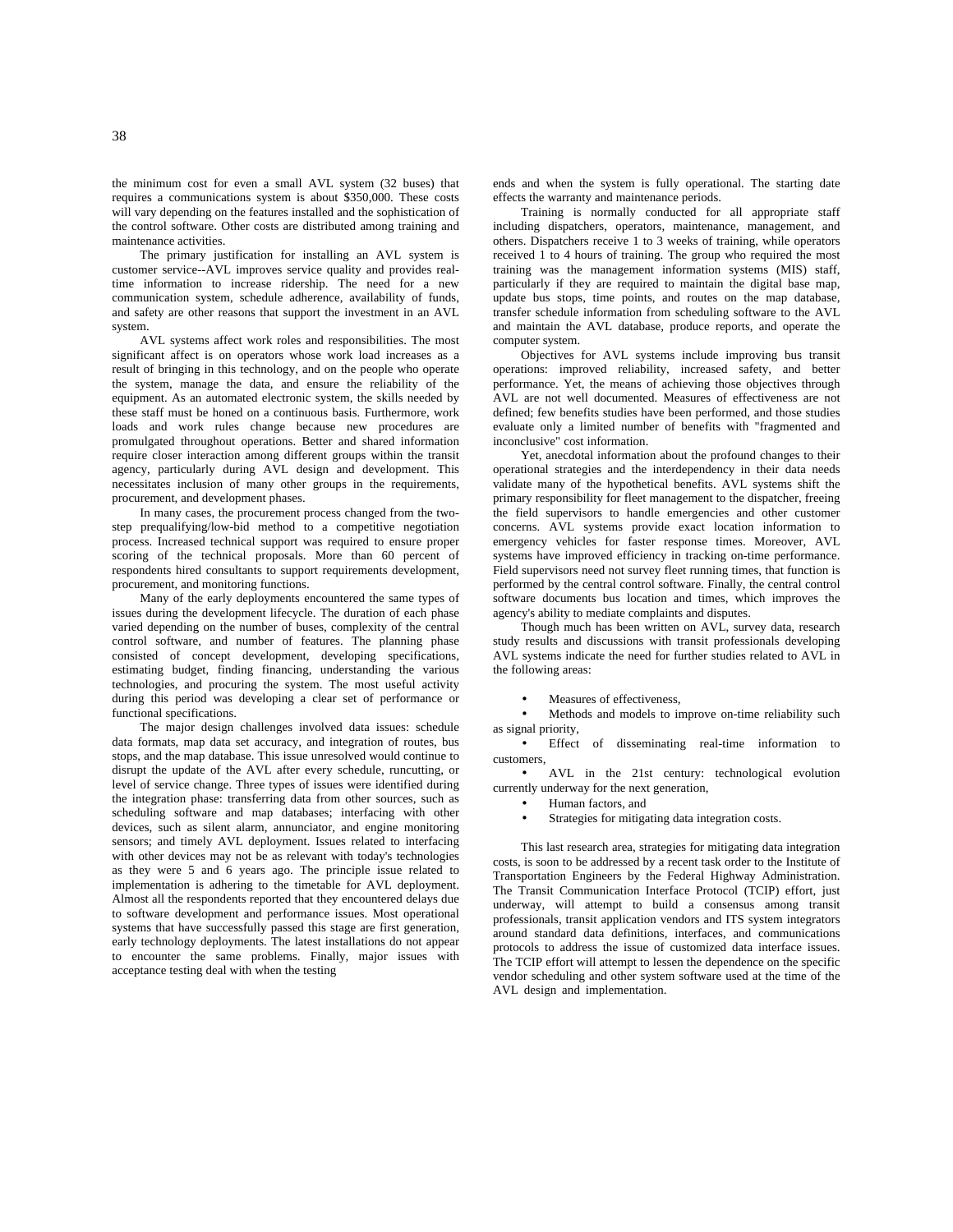the minimum cost for even a small AVL system (32 buses) that requires a communications system is about \$350,000. These costs will vary depending on the features installed and the sophistication of the control software. Other costs are distributed among training and maintenance activities.

The primary justification for installing an AVL system is customer service--AVL improves service quality and provides realtime information to increase ridership. The need for a new communication system, schedule adherence, availability of funds, and safety are other reasons that support the investment in an AVL system.

AVL systems affect work roles and responsibilities. The most significant affect is on operators whose work load increases as a result of bringing in this technology, and on the people who operate the system, manage the data, and ensure the reliability of the equipment. As an automated electronic system, the skills needed by these staff must be honed on a continuous basis. Furthermore, work loads and work rules change because new procedures are promulgated throughout operations. Better and shared information require closer interaction among different groups within the transit agency, particularly during AVL design and development. This necessitates inclusion of many other groups in the requirements, procurement, and development phases.

In many cases, the procurement process changed from the twostep prequalifying/low-bid method to a competitive negotiation process. Increased technical support was required to ensure proper scoring of the technical proposals. More than 60 percent of respondents hired consultants to support requirements development, procurement, and monitoring functions.

Many of the early deployments encountered the same types of issues during the development lifecycle. The duration of each phase varied depending on the number of buses, complexity of the central control software, and number of features. The planning phase consisted of concept development, developing specifications, estimating budget, finding financing, understanding the various technologies, and procuring the system. The most useful activity during this period was developing a clear set of performance or functional specifications.

The major design challenges involved data issues: schedule data formats, map data set accuracy, and integration of routes, bus stops, and the map database. This issue unresolved would continue to disrupt the update of the AVL after every schedule, runcutting, or level of service change. Three types of issues were identified during the integration phase: transferring data from other sources, such as scheduling software and map databases; interfacing with other devices, such as silent alarm, annunciator, and engine monitoring sensors; and timely AVL deployment. Issues related to interfacing with other devices may not be as relevant with today's technologies as they were 5 and 6 years ago. The principle issue related to implementation is adhering to the timetable for AVL deployment. Almost all the respondents reported that they encountered delays due to software development and performance issues. Most operational systems that have successfully passed this stage are first generation, early technology deployments. The latest installations do not appear to encounter the same problems. Finally, major issues with acceptance testing deal with when the testing

ends and when the system is fully operational. The starting date effects the warranty and maintenance periods.

Training is normally conducted for all appropriate staff including dispatchers, operators, maintenance, management, and others. Dispatchers receive 1 to 3 weeks of training, while operators received 1 to 4 hours of training. The group who required the most training was the management information systems (MIS) staff, particularly if they are required to maintain the digital base map, update bus stops, time points, and routes on the map database, transfer schedule information from scheduling software to the AVL and maintain the AVL database, produce reports, and operate the computer system.

Objectives for AVL systems include improving bus transit operations: improved reliability, increased safety, and better performance. Yet, the means of achieving those objectives through AVL are not well documented. Measures of effectiveness are not defined; few benefits studies have been performed, and those studies evaluate only a limited number of benefits with "fragmented and inconclusive" cost information.

Yet, anecdotal information about the profound changes to their operational strategies and the interdependency in their data needs validate many of the hypothetical benefits. AVL systems shift the primary responsibility for fleet management to the dispatcher, freeing the field supervisors to handle emergencies and other customer concerns. AVL systems provide exact location information to emergency vehicles for faster response times. Moreover, AVL systems have improved efficiency in tracking on-time performance. Field supervisors need not survey fleet running times, that function is performed by the central control software. Finally, the central control software documents bus location and times, which improves the agency's ability to mediate complaints and disputes.

Though much has been written on AVL, survey data, research study results and discussions with transit professionals developing AVL systems indicate the need for further studies related to AVL in the following areas:

Measures of effectiveness.

Methods and models to improve on-time reliability such as signal priority,

• Effect of disseminating real-time information to customers,

• AVL in the 21st century: technological evolution currently underway for the next generation,

- Human factors, and
- Strategies for mitigating data integration costs.

This last research area, strategies for mitigating data integration costs, is soon to be addressed by a recent task order to the Institute of Transportation Engineers by the Federal Highway Administration. The Transit Communication Interface Protocol (TCIP) effort, just underway, will attempt to build a consensus among transit professionals, transit application vendors and ITS system integrators around standard data definitions, interfaces, and communications protocols to address the issue of customized data interface issues. The TCIP effort will attempt to lessen the dependence on the specific vendor scheduling and other system software used at the time of the AVL design and implementation.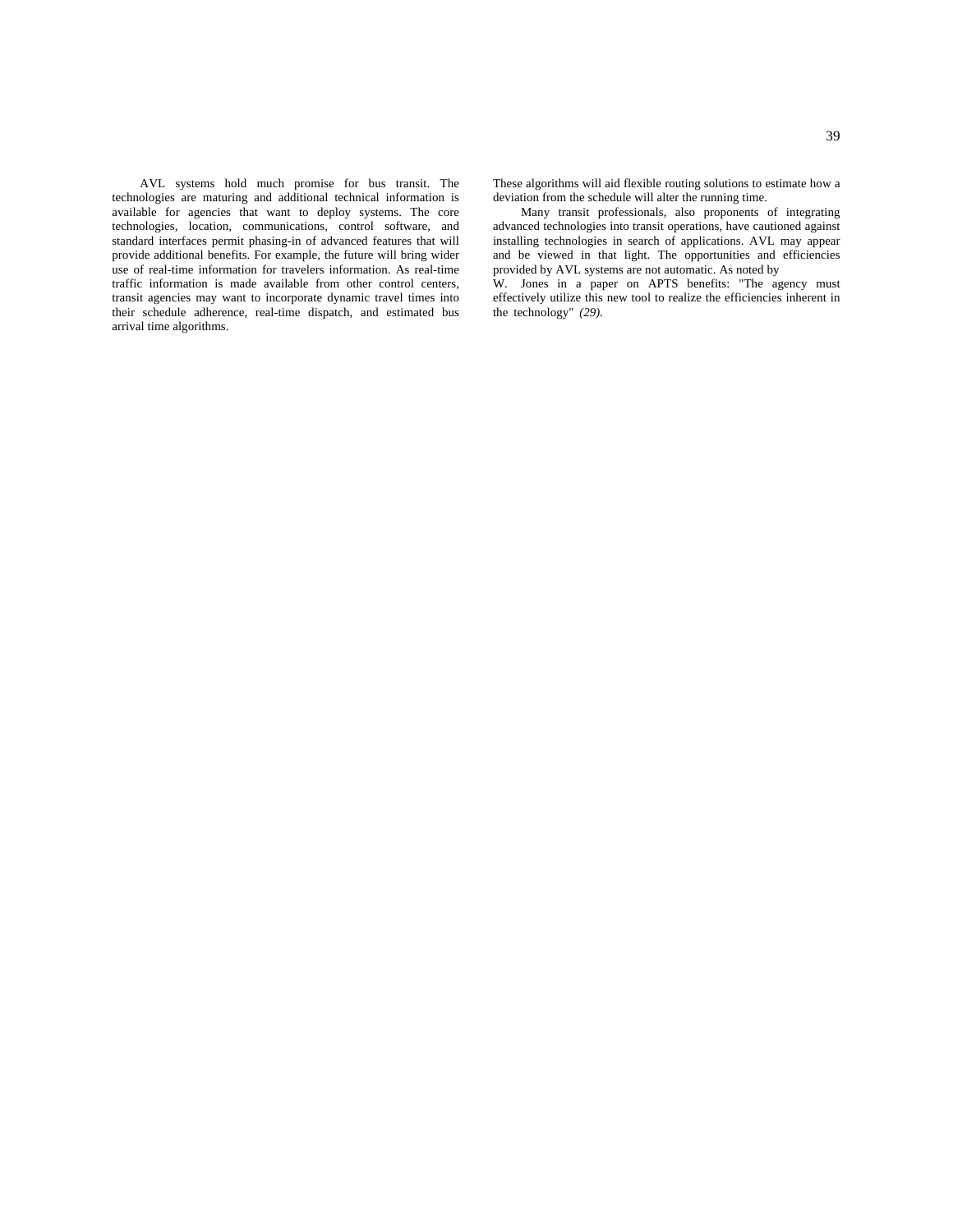AVL systems hold much promise for bus transit. The technologies are maturing and additional technical information is available for agencies that want to deploy systems. The core technologies, location, communications, control software, and standard interfaces permit phasing-in of advanced features that will provide additional benefits. For example, the future will bring wider use of real-time information for travelers information. As real-time traffic information is made available from other control centers, transit agencies may want to incorporate dynamic travel times into their schedule adherence, real-time dispatch, and estimated bus arrival time algorithms.

These algorithms will aid flexible routing solutions to estimate how a deviation from the schedule will alter the running time.

Many transit professionals, also proponents of integrating advanced technologies into transit operations, have cautioned against installing technologies in search of applications. AVL may appear and be viewed in that light. The opportunities and efficiencies provided by AVL systems are not automatic. As noted by

W. Jones in a paper on APTS benefits: "The agency must effectively utilize this new tool to realize the efficiencies inherent in the technology" *(29).*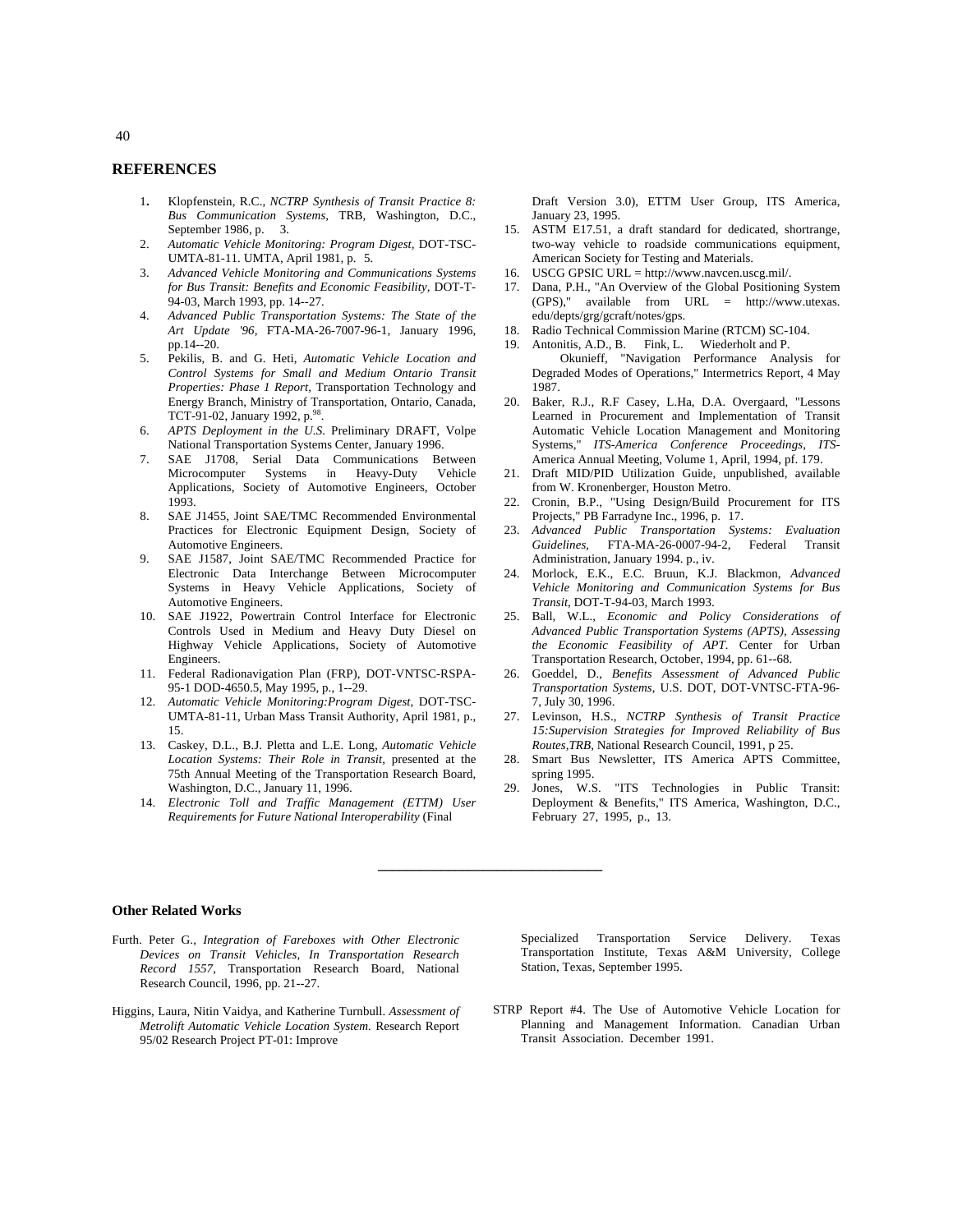#### **REFERENCES**

- 1**.** Klopfenstein, R.C., *NCTRP Synthesis of Transit Practice 8: Bus Communication Systems,* TRB, Washington, D.C., September 1986, p. 3.
- 2. *Automatic Vehicle Monitoring: Program Digest,* DOT-TSC-UMTA-81-11. UMTA, April 1981, p. 5.
- 3. *Advanced Vehicle Monitoring and Communications Systems for Bus Transit: Benefits and Economic Feasibility,* DOT-T-94-03, March 1993, pp. 14--27.
- 4. *Advanced Public Transportation Systems: The State of the Art Update '96,* FTA-MA-26-7007-96-1, January 1996, pp.14--20.
- 5. Pekilis, B. and G. Heti, *Automatic Vehicle Location and Control Systems for Small and Medium Ontario Transit Properties: Phase 1 Report,* Transportation Technology and Energy Branch, Ministry of Transportation, Ontario, Canada, TCT-91-02, January 1992, p.<sup>98</sup>.
- 6. *APTS Deployment in the U.S.* Preliminary DRAFT, Volpe National Transportation Systems Center, January 1996.
- 7. SAE J1708, Serial Data Communications Between Microcomputer Systems in Heavy-Duty Vehicle Applications, Society of Automotive Engineers, October 1993.
- 8. SAE J1455, Joint SAE/TMC Recommended Environmental Practices for Electronic Equipment Design, Society of Automotive Engineers.
- 9. SAE J1587, Joint SAE/TMC Recommended Practice for Electronic Data Interchange Between Microcomputer Systems in Heavy Vehicle Applications, Society of Automotive Engineers.
- 10. SAE J1922, Powertrain Control Interface for Electronic Controls Used in Medium and Heavy Duty Diesel on Highway Vehicle Applications, Society of Automotive Engineers.
- 11. Federal Radionavigation Plan (FRP), DOT-VNTSC-RSPA-95-1 DOD-4650.5, May 1995, p., 1--29.
- 12. *Automatic Vehicle Monitoring:Program Digest,* DOT-TSC-UMTA-81-11, Urban Mass Transit Authority, April 1981, p., 15.
- 13. Caskey, D.L., B.J. Pletta and L.E. Long, *Automatic Vehicle Location Systems: Their Role in Transit,* presented at the 75th Annual Meeting of the Transportation Research Board, Washington, D.C., January 11, 1996.
- 14. *Electronic Toll and Traffic Management (ETTM) User Requirements for Future National Interoperability* (Final

Draft Version 3.0), ETTM User Group, ITS America, January 23, 1995.

- 15. ASTM E17.51, a draft standard for dedicated, shortrange, two-way vehicle to roadside communications equipment, American Society for Testing and Materials.
- 16. USCG GPSIC URL = http://www.navcen.uscg.mil/.
- 17. Dana, P.H., "An Overview of the Global Positioning System (GPS)," available from URL = http://www.utexas. edu/depts/grg/gcraft/notes/gps.
- 18. Radio Technical Commission Marine (RTCM) SC-104.
- Antonitis, A.D., B. Fink, L. Wiederholt and P. Okunieff, "Navigation Performance Analysis for Degraded Modes of Operations," Intermetrics Report, 4 May 1987.
- 20. Baker, R.J., R.F Casey, L.Ha, D.A. Overgaard, "Lessons Learned in Procurement and Implementation of Transit Automatic Vehicle Location Management and Monitoring Systems," *ITS-America Conference Proceedings, ITS-*America Annual Meeting, Volume 1, April, 1994, pf. 179.
- 21. Draft MID/PID Utilization Guide, unpublished, available from W. Kronenberger, Houston Metro.
- 22. Cronin, B.P., "Using Design/Build Procurement for ITS Projects," PB Farradyne Inc., 1996, p. 17.
- 23. *Advanced Public Transportation Systems: Evaluation Guidelines,* FTA-MA-26-0007-94-2, Federal Transit Administration, January 1994. p., iv.
- 24. Morlock, E.K., E.C. Bruun, K.J. Blackmon, *Advanced Vehicle Monitoring and Communication Systems for Bus Transit,* DOT-T-94-03, March 1993.
- 25. Ball, W.L., *Economic and Policy Considerations of Advanced Public Transportation Systems (APTS), Assessing the Economic Feasibility of APT.* Center for Urban Transportation Research, October, 1994, pp. 61--68.
- 26. Goeddel, D., *Benefits Assessment of Advanced Public Transportation Systems,* U.S. DOT, DOT-VNTSC-FTA-96- 7, July 30, 1996.
- 27. Levinson, H.S., *NCTRP Synthesis of Transit Practice 15:Supervision Strategies for Improved Reliability of Bus Routes,TRB,* National Research Council, 1991, p 25.
- Smart Bus Newsletter, ITS America APTS Committee, spring 1995.
- 29. Jones, W.S. "ITS Technologies in Public Transit: Deployment & Benefits," ITS America, Washington, D.C., February 27, 1995, p., 13.

**\_\_\_\_\_\_\_\_\_\_\_\_\_\_\_\_\_\_\_\_\_\_\_\_\_\_\_\_\_\_\_\_**

#### **Other Related Works**

- Furth. Peter G., *Integration of Fareboxes with Other Electronic Devices on Transit Vehicles, In Transportation Research Record 1557,* Transportation Research Board, National Research Council, 1996, pp. 21--27.
- Higgins, Laura, Nitin Vaidya, and Katherine Turnbull. *Assessment of Metrolift Automatic Vehicle Location System.* Research Report 95/02 Research Project PT-01: Improve

Specialized Transportation Service Delivery. Texas Transportation Institute, Texas A&M University, College Station, Texas, September 1995.

STRP Report #4. The Use of Automotive Vehicle Location for Planning and Management Information. Canadian Urban Transit Association. December 1991.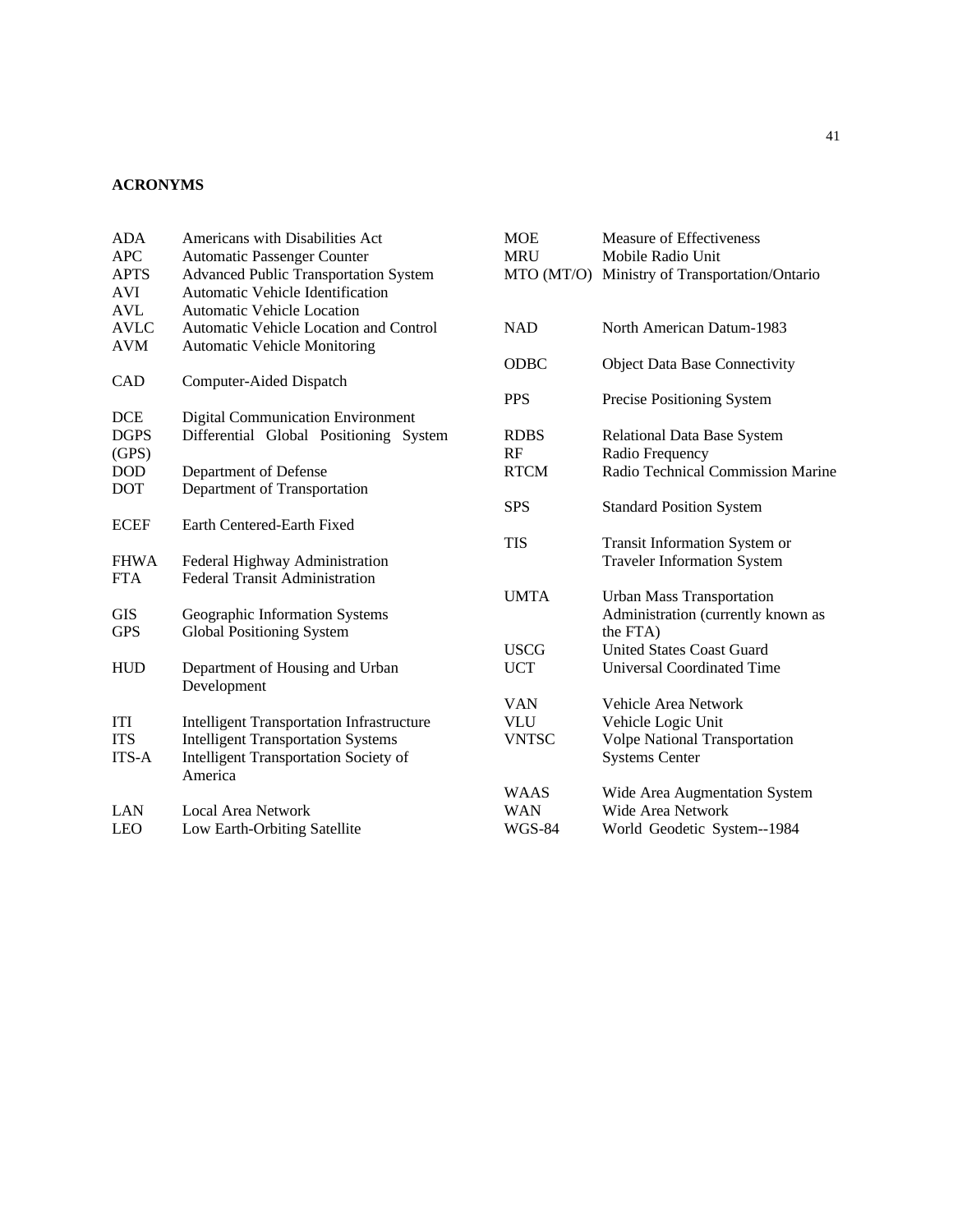# **ACRONYMS**

| <b>ADA</b>   | Americans with Disabilities Act                  | <b>MOE</b>    | <b>Measure of Effectiveness</b>               |
|--------------|--------------------------------------------------|---------------|-----------------------------------------------|
| <b>APC</b>   | <b>Automatic Passenger Counter</b>               | <b>MRU</b>    | Mobile Radio Unit                             |
| <b>APTS</b>  | <b>Advanced Public Transportation System</b>     |               | MTO (MT/O) Ministry of Transportation/Ontario |
| AVI          | Automatic Vehicle Identification                 |               |                                               |
| <b>AVL</b>   | <b>Automatic Vehicle Location</b>                |               |                                               |
| <b>AVLC</b>  | Automatic Vehicle Location and Control           | <b>NAD</b>    | North American Datum-1983                     |
| <b>AVM</b>   | <b>Automatic Vehicle Monitoring</b>              |               |                                               |
|              |                                                  | ODBC          | <b>Object Data Base Connectivity</b>          |
| CAD          | Computer-Aided Dispatch                          |               |                                               |
|              |                                                  | <b>PPS</b>    | Precise Positioning System                    |
| <b>DCE</b>   | <b>Digital Communication Environment</b>         |               |                                               |
| <b>DGPS</b>  | Differential Global Positioning System           | <b>RDBS</b>   | <b>Relational Data Base System</b>            |
| (GPS)        |                                                  | RF            | Radio Frequency                               |
| <b>DOD</b>   | Department of Defense                            | <b>RTCM</b>   | Radio Technical Commission Marine             |
| <b>DOT</b>   | Department of Transportation                     |               |                                               |
|              |                                                  | <b>SPS</b>    | <b>Standard Position System</b>               |
| <b>ECEF</b>  | Earth Centered-Earth Fixed                       |               |                                               |
|              |                                                  | <b>TIS</b>    | Transit Information System or                 |
| <b>FHWA</b>  | Federal Highway Administration                   |               | <b>Traveler Information System</b>            |
| <b>FTA</b>   | Federal Transit Administration                   |               |                                               |
|              |                                                  | <b>UMTA</b>   | <b>Urban Mass Transportation</b>              |
| <b>GIS</b>   | Geographic Information Systems                   |               | Administration (currently known as            |
| <b>GPS</b>   | Global Positioning System                        |               | the FTA)                                      |
|              |                                                  | <b>USCG</b>   | <b>United States Coast Guard</b>              |
| <b>HUD</b>   | Department of Housing and Urban                  | <b>UCT</b>    | Universal Coordinated Time                    |
|              | Development                                      |               |                                               |
|              |                                                  | <b>VAN</b>    | Vehicle Area Network                          |
| <b>ITI</b>   | <b>Intelligent Transportation Infrastructure</b> | <b>VLU</b>    | Vehicle Logic Unit                            |
| <b>ITS</b>   | <b>Intelligent Transportation Systems</b>        | <b>VNTSC</b>  | <b>Volpe National Transportation</b>          |
| <b>ITS-A</b> | Intelligent Transportation Society of            |               | <b>Systems Center</b>                         |
|              | America                                          |               |                                               |
|              |                                                  | <b>WAAS</b>   | Wide Area Augmentation System                 |
| LAN          | <b>Local Area Network</b>                        | <b>WAN</b>    | Wide Area Network                             |
| <b>LEO</b>   | Low Earth-Orbiting Satellite                     | <b>WGS-84</b> | World Geodetic System--1984                   |
|              |                                                  |               |                                               |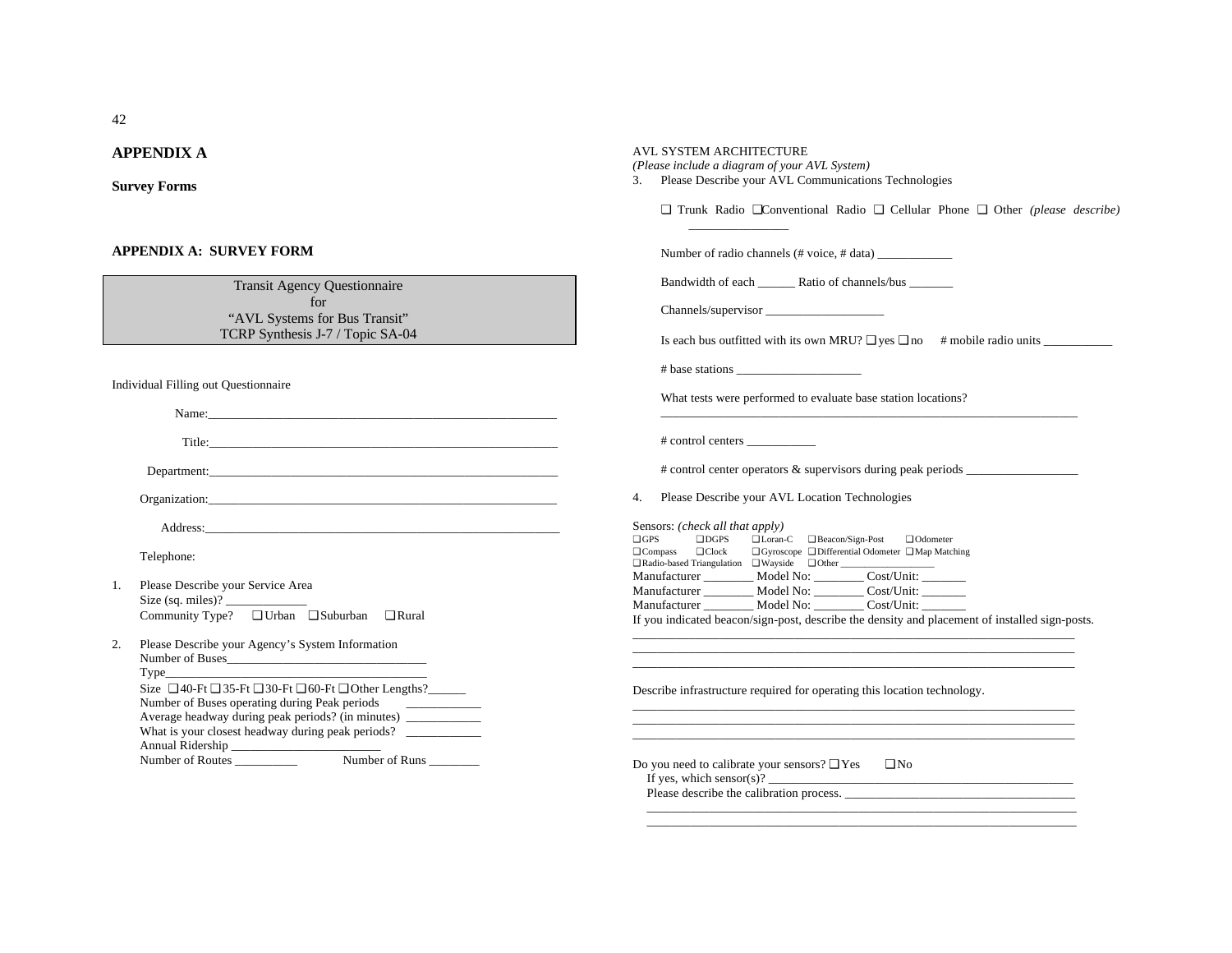### **APPENDIX A**

**Survey Forms**

#### **APPENDIX A: SURVEY FORM**

Transit Agency Questionnaire for "AVL Systems for Bus Transit" TCRP Synthesis J-7 / Topic SA-04

Individual Filling out Questionnaire

Name:

Title:\_\_\_\_\_\_\_\_\_\_\_\_\_\_\_\_\_\_\_\_\_\_\_\_\_\_\_\_\_\_\_\_\_\_\_\_\_\_\_\_\_\_\_\_\_\_\_\_\_\_\_\_\_\_\_\_

Department:

Organization:\_\_\_\_\_\_\_\_\_\_\_\_\_\_\_\_\_\_\_\_\_\_\_\_\_\_\_\_\_\_\_\_\_\_\_\_\_\_\_\_\_\_\_\_\_\_\_\_\_\_\_\_\_\_\_\_

Address:

Telephone:

- 1. Please Describe your Service Area Size (sq. miles)? Community Type? ❑ Urban ❑ Suburban ❑ Rural
- 2. Please Describe your Agency's System Information Number of Buses\_\_\_\_\_\_\_\_\_\_\_\_\_\_\_\_\_\_\_\_\_\_\_\_\_\_\_\_\_\_\_\_  $Type$ Size ❑ 40-Ft ❑ 35-Ft ❑ 30-Ft ❑ 60-Ft ❑ Other Lengths?\_\_\_\_\_\_ Number of Buses operating during Peak periods Average headway during peak periods? (in minutes) What is your closest headway during peak periods?

Number of Routes \_\_\_\_\_\_\_\_\_\_ Number of Runs \_\_\_\_\_\_\_\_

Annual Ridership

#### AVL SYSTEM ARCHITECTURE

*(Please include a diagram of your AVL System)*

\_\_\_\_\_\_\_\_\_\_\_\_\_\_\_\_

3. Please Describe your AVL Communications Technologies

❑ Trunk Radio ❑Conventional Radio ❑ Cellular Phone ❑ Other *(please describe)*

Number of radio channels (# voice, # data) Bandwidth of each Ratio of channels/bus Channels/supervisor \_\_\_\_\_\_\_\_\_\_\_\_\_\_\_\_\_\_\_ Is each bus outfitted with its own MRU?  $\Box$  yes  $\Box$  no # mobile radio units # base stations \_\_\_\_\_\_\_\_\_\_\_\_\_\_\_\_\_\_\_\_ What tests were performed to evaluate base station locations? \_\_\_\_\_\_\_\_\_\_\_\_\_\_\_\_\_\_\_\_\_\_\_\_\_\_\_\_\_\_\_\_\_\_\_\_\_\_\_\_\_\_\_\_\_\_\_\_\_\_\_\_\_\_\_\_\_\_\_\_\_\_\_\_\_\_\_ # control centers \_\_\_\_\_\_\_\_\_\_\_ # control center operators & supervisors during peak periods \_\_\_\_\_\_\_\_\_\_\_\_\_\_\_\_\_\_ 4. Please Describe your AVL Location Technologies Sensors: *(check all that apply)*  $\Box$  GPS  $\Box$  DGPS  $\Box$  Loran-C  $\Box$  Beacon/Sign-Post  $\Box$  Odometer ❑ Compass ❑ Clock ❑ Gyroscope ❑ Differential Odometer ❑ Map Matching  $\Box$  Radio-based Triangulation  $\Box$  Wayside  $\Box$  Other Manufacturer \_\_\_\_\_\_\_\_ Model No: \_\_\_\_\_\_\_ Cost/Unit: \_\_\_\_\_ Manufacturer \_\_\_\_\_\_\_\_ Model No: \_\_\_\_\_\_\_\_ Cost/Unit: \_\_\_\_\_\_\_ Manufacturer \_\_\_\_\_\_\_\_ Model No: \_\_\_\_\_\_\_\_ Cost/Unit: \_\_\_\_\_\_\_ If you indicated beacon/sign-post, describe the density and placement of installed sign-posts. \_\_\_\_\_\_\_\_\_\_\_\_\_\_\_\_\_\_\_\_\_\_\_\_\_\_\_\_\_\_\_\_\_\_\_\_\_\_\_\_\_\_\_\_\_\_\_\_\_\_\_\_\_\_\_\_\_\_\_\_\_\_\_\_\_\_\_\_\_\_\_ \_\_\_\_\_\_\_\_\_\_\_\_\_\_\_\_\_\_\_\_\_\_\_\_\_\_\_\_\_\_\_\_\_\_\_\_\_\_\_\_\_\_\_\_\_\_\_\_\_\_\_\_\_\_\_\_\_\_\_\_\_\_\_\_\_\_\_\_\_\_\_ \_\_\_\_\_\_\_\_\_\_\_\_\_\_\_\_\_\_\_\_\_\_\_\_\_\_\_\_\_\_\_\_\_\_\_\_\_\_\_\_\_\_\_\_\_\_\_\_\_\_\_\_\_\_\_\_\_\_\_\_\_\_\_\_\_\_\_\_\_\_\_ Describe infrastructure required for operating this location technology. \_\_\_\_\_\_\_\_\_\_\_\_\_\_\_\_\_\_\_\_\_\_\_\_\_\_\_\_\_\_\_\_\_\_\_\_\_\_\_\_\_\_\_\_\_\_\_\_\_\_\_\_\_\_\_\_\_\_\_\_\_\_\_\_\_\_\_\_\_\_\_ \_\_\_\_\_\_\_\_\_\_\_\_\_\_\_\_\_\_\_\_\_\_\_\_\_\_\_\_\_\_\_\_\_\_\_\_\_\_\_\_\_\_\_\_\_\_\_\_\_\_\_\_\_\_\_\_\_\_\_\_\_\_\_\_\_\_\_\_\_\_\_ \_\_\_\_\_\_\_\_\_\_\_\_\_\_\_\_\_\_\_\_\_\_\_\_\_\_\_\_\_\_\_\_\_\_\_\_\_\_\_\_\_\_\_\_\_\_\_\_\_\_\_\_\_\_\_\_\_\_\_\_\_\_\_\_\_\_\_\_\_\_\_

\_\_\_\_\_\_\_\_\_\_\_\_\_\_\_\_\_\_\_\_\_\_\_\_\_\_\_\_\_\_\_\_\_\_\_\_\_\_\_\_\_\_\_\_\_\_\_\_\_\_\_\_\_\_\_\_\_\_\_\_\_\_\_\_\_\_\_\_\_ \_\_\_\_\_\_\_\_\_\_\_\_\_\_\_\_\_\_\_\_\_\_\_\_\_\_\_\_\_\_\_\_\_\_\_\_\_\_\_\_\_\_\_\_\_\_\_\_\_\_\_\_\_\_\_\_\_\_\_\_\_\_\_\_\_\_\_\_\_

Do you need to calibrate your sensors?  $\Box$  Yes  $\Box$  No If yes, which sensor(s)?

Please describe the calibration process.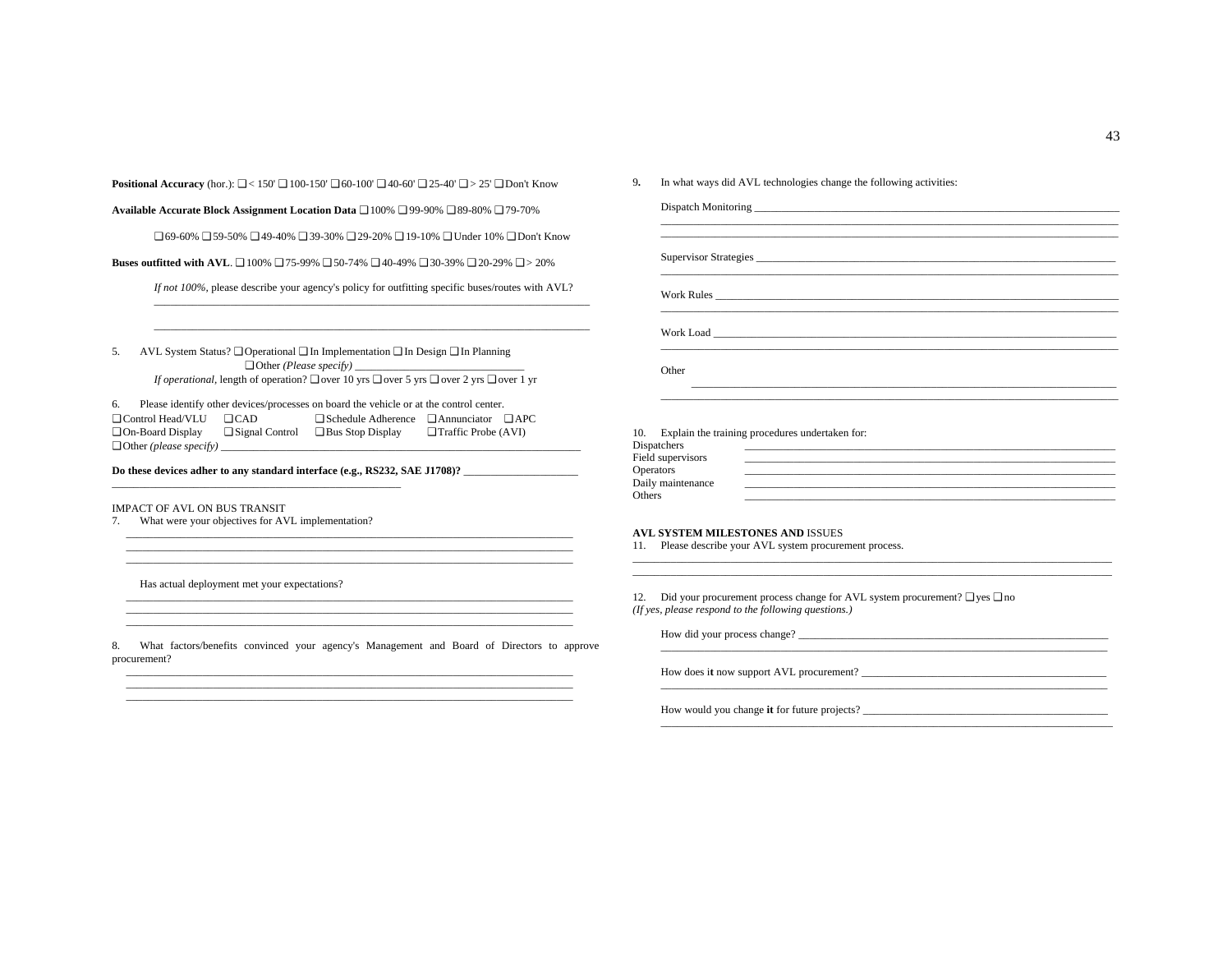**Positional Accuracy** (hor.):  $\Box$  < 150'  $\Box$  100-150'  $\Box$  60-100'  $\Box$  40-60'  $\Box$  25-40'  $\Box$  > 25'  $\Box$  Don't Know

**Available Accurate Block Assignment Location Data** ❑ 100% ❑ 99-90% ❑ 89-80% ❑ 79-70%

❑ 69-60% ❑ 59-50% ❑ 49-40% ❑ 39-30% ❑ 29-20% ❑ 19-10% ❑ Under 10% ❑ Don't Know

**Buses outfitted with AVL**. ❑ 100% ❑ 75-99% ❑ 50-74% ❑ 40-49% ❑ 30-39% ❑ 20-29% ❑ > 20%

*If not 100%*, please describe your agency's policy for outfitting specific buses/routes with AVL? \_\_\_\_\_\_\_\_\_\_\_\_\_\_\_\_\_\_\_\_\_\_\_\_\_\_\_\_\_\_\_\_\_\_\_\_\_\_\_\_\_\_\_\_\_\_\_\_\_\_\_\_\_\_\_\_\_\_\_\_\_\_\_\_\_\_\_\_\_\_\_\_\_\_\_\_\_\_\_\_

\_\_\_\_\_\_\_\_\_\_\_\_\_\_\_\_\_\_\_\_\_\_\_\_\_\_\_\_\_\_\_\_\_\_\_\_\_\_\_\_\_\_\_\_\_\_\_\_\_\_\_\_\_\_\_\_\_\_\_\_\_\_\_\_\_\_\_\_\_\_\_\_\_\_\_\_\_\_\_\_

5. AVL System Status? ❑ Operational ❑ In Implementation ❑ In Design ❑ In Planning  $\Box$  Other *(Please specify) If operational, length of operation?*  $\Box$  over 10 yrs  $\Box$  over 5 yrs  $\Box$  over 2 yrs  $\Box$  over 1 yr

6. Please identify other devices/processes on board the vehicle or at the control center. ❑ Control Head/VLU ❑ CAD ❑ Schedule Adherence ❑ Annunciator ❑ APC ❑ On-Board Display ❑ Signal Control ❑ Bus Stop Display ❑ Traffic Probe (AVI) □ Other *(please specify)* 

Do these devices adher to any standard interface (e.g., RS232, SAE J1708)? \_\_\_\_\_\_

#### IMPACT OF AVL ON BUS TRANSIT

7. What were your objectives for AVL implementation?

\_\_\_\_\_\_\_\_\_\_\_\_\_\_\_\_\_\_\_\_\_\_\_\_\_\_\_\_\_\_\_\_\_\_\_\_\_\_\_\_\_\_\_\_\_\_\_\_\_\_\_\_\_

Has actual deployment met your expectations?

8. What factors/benefits convinced your agency's Management and Board of Directors to approve procurement? \_\_\_\_\_\_\_\_\_\_\_\_\_\_\_\_\_\_\_\_\_\_\_\_\_\_\_\_\_\_\_\_\_\_\_\_\_\_\_\_\_\_\_\_\_\_\_\_\_\_\_\_\_\_\_\_\_\_\_\_\_\_\_\_\_\_\_\_\_\_\_\_\_\_\_\_\_\_\_\_\_\_

\_\_\_\_\_\_\_\_\_\_\_\_\_\_\_\_\_\_\_\_\_\_\_\_\_\_\_\_\_\_\_\_\_\_\_\_\_\_\_\_\_\_\_\_\_\_\_\_\_\_\_\_\_\_\_\_\_\_\_\_\_\_\_\_\_\_\_\_\_\_\_\_\_\_\_\_\_\_\_\_\_\_ \_\_\_\_\_\_\_\_\_\_\_\_\_\_\_\_\_\_\_\_\_\_\_\_\_\_\_\_\_\_\_\_\_\_\_\_\_\_\_\_\_\_\_\_\_\_\_\_\_\_\_\_\_\_\_\_\_\_\_\_\_\_\_\_\_\_\_\_\_\_\_\_\_\_\_\_\_\_\_\_\_\_

\_\_\_\_\_\_\_\_\_\_\_\_\_\_\_\_\_\_\_\_\_\_\_\_\_\_\_\_\_\_\_\_\_\_\_\_\_\_\_\_\_\_\_\_\_\_\_\_\_\_\_\_\_\_\_\_\_\_\_\_\_\_\_\_\_\_\_\_\_\_\_\_\_\_\_\_\_\_\_\_\_\_ \_\_\_\_\_\_\_\_\_\_\_\_\_\_\_\_\_\_\_\_\_\_\_\_\_\_\_\_\_\_\_\_\_\_\_\_\_\_\_\_\_\_\_\_\_\_\_\_\_\_\_\_\_\_\_\_\_\_\_\_\_\_\_\_\_\_\_\_\_\_\_\_\_\_\_\_\_\_\_\_\_\_ \_\_\_\_\_\_\_\_\_\_\_\_\_\_\_\_\_\_\_\_\_\_\_\_\_\_\_\_\_\_\_\_\_\_\_\_\_\_\_\_\_\_\_\_\_\_\_\_\_\_\_\_\_\_\_\_\_\_\_\_\_\_\_\_\_\_\_\_\_\_\_\_\_\_\_\_\_\_\_\_\_\_

\_\_\_\_\_\_\_\_\_\_\_\_\_\_\_\_\_\_\_\_\_\_\_\_\_\_\_\_\_\_\_\_\_\_\_\_\_\_\_\_\_\_\_\_\_\_\_\_\_\_\_\_\_\_\_\_\_\_\_\_\_\_\_\_\_\_\_\_\_\_\_\_\_\_\_\_\_\_\_\_\_\_ \_\_\_\_\_\_\_\_\_\_\_\_\_\_\_\_\_\_\_\_\_\_\_\_\_\_\_\_\_\_\_\_\_\_\_\_\_\_\_\_\_\_\_\_\_\_\_\_\_\_\_\_\_\_\_\_\_\_\_\_\_\_\_\_\_\_\_\_\_\_\_\_\_\_\_\_\_\_\_\_\_\_ \_\_\_\_\_\_\_\_\_\_\_\_\_\_\_\_\_\_\_\_\_\_\_\_\_\_\_\_\_\_\_\_\_\_\_\_\_\_\_\_\_\_\_\_\_\_\_\_\_\_\_\_\_\_\_\_\_\_\_\_\_\_\_\_\_\_\_\_\_\_\_\_\_\_\_\_\_\_\_\_\_\_ 9**.** In what ways did AVL technologies change the following activities:

|                                       | Work Rules                                      |  |  |
|---------------------------------------|-------------------------------------------------|--|--|
|                                       |                                                 |  |  |
| Other                                 |                                                 |  |  |
|                                       |                                                 |  |  |
|                                       | Explain the training procedures undertaken for: |  |  |
| Dispatchers                           |                                                 |  |  |
| Field supervisors                     |                                                 |  |  |
| <b>Operators</b><br>Daily maintenance |                                                 |  |  |
| Others                                |                                                 |  |  |

\_\_\_\_\_\_\_\_\_\_\_\_\_\_\_\_\_\_\_\_\_\_\_\_\_\_\_\_\_\_\_\_\_\_\_\_\_\_\_\_\_\_\_\_\_\_\_\_\_\_\_\_\_\_\_\_\_\_\_\_\_\_\_\_\_\_\_\_\_\_\_\_\_\_\_\_\_\_\_\_\_\_\_\_\_\_\_\_ \_\_\_\_\_\_\_\_\_\_\_\_\_\_\_\_\_\_\_\_\_\_\_\_\_\_\_\_\_\_\_\_\_\_\_\_\_\_\_\_\_\_\_\_\_\_\_\_\_\_\_\_\_\_\_\_\_\_\_\_\_\_\_\_\_\_\_\_\_\_\_\_\_\_\_\_\_\_\_\_\_\_\_\_\_\_\_\_

\_\_\_\_\_\_\_\_\_\_\_\_\_\_\_\_\_\_\_\_\_\_\_\_\_\_\_\_\_\_\_\_\_\_\_\_\_\_\_\_\_\_\_\_\_\_\_\_\_\_\_\_\_\_\_\_\_\_\_\_\_\_\_\_\_\_\_\_\_\_\_\_\_\_\_\_\_\_\_\_\_\_

\_\_\_\_\_\_\_\_\_\_\_\_\_\_\_\_\_\_\_\_\_\_\_\_\_\_\_\_\_\_\_\_\_\_\_\_\_\_\_\_\_\_\_\_\_\_\_\_\_\_\_\_\_\_\_\_\_\_\_\_\_\_\_\_\_\_\_\_\_\_\_\_\_\_\_\_\_\_\_\_\_\_

\_\_\_\_\_\_\_\_\_\_\_\_\_\_\_\_\_\_\_\_\_\_\_\_\_\_\_\_\_\_\_\_\_\_\_\_\_\_\_\_\_\_\_\_\_\_\_\_\_\_\_\_\_\_\_\_\_\_\_\_\_\_\_\_\_\_\_\_\_\_\_\_\_\_\_\_\_\_\_\_\_\_\_

#### **AVL SYSTEM MILESTONES AND** ISSUES

11. Please describe your AVL system procurement process.

12. Did your procurement process change for AVL system procurement?  $\Box$  yes  $\Box$  no *(If yes, please respond to the following questions.)*

How did your process change? \_\_\_\_\_\_\_\_\_\_\_\_\_\_\_\_\_\_\_\_\_\_\_\_\_\_\_\_\_\_\_\_\_\_\_\_\_\_\_\_\_\_\_\_\_\_\_\_\_\_\_\_\_\_\_\_\_

How does i**t** now support AVL procurement? \_\_\_\_\_\_\_\_\_\_\_\_\_\_\_\_\_\_\_\_\_\_\_\_\_\_\_\_\_\_\_\_\_\_\_\_\_\_\_\_\_\_\_\_\_

How would you change **it** for future projects? \_\_\_\_\_\_\_\_\_\_\_\_\_\_\_\_\_\_\_\_\_\_\_\_\_\_\_\_\_\_\_\_\_\_\_\_\_\_\_\_\_\_\_\_\_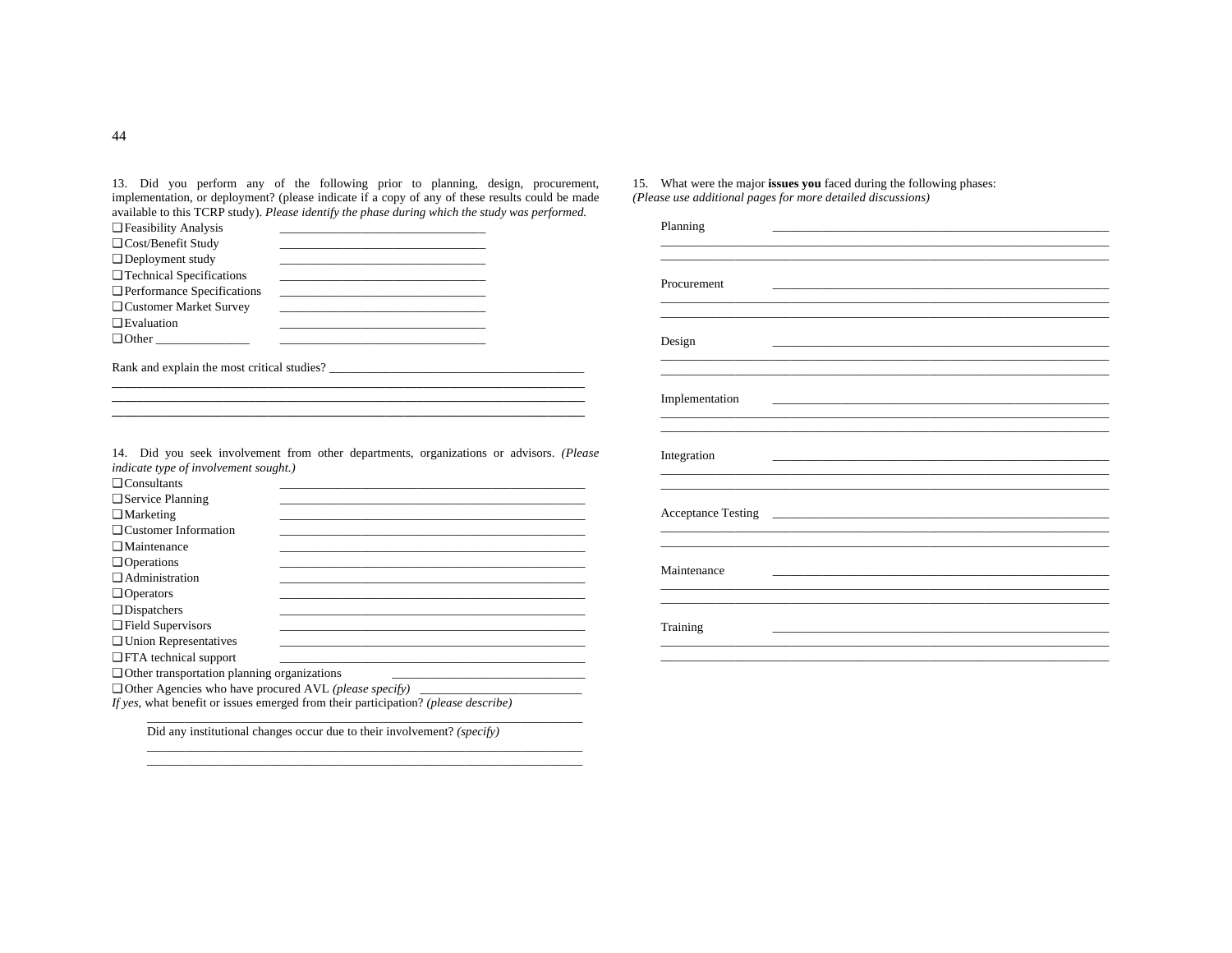13. Did you perform any of the following prior to planning, design, procurement, implementation, or deployment? (please indicate if a copy of any of these results could be made available to this TCRP study). Please identify the phase during which the study was performed.

| $\Box$ Feasibility Analysis                 | <u> 1989 - Johann John Harry Harry Harry Harry Harry Harry Harry Harry Harry Harry Harry Harry Harry Harry Harry H</u>                                                                                                        |  |
|---------------------------------------------|-------------------------------------------------------------------------------------------------------------------------------------------------------------------------------------------------------------------------------|--|
| $\Box$ Cost/Benefit Study                   | the contract of the contract of the contract of the contract of the contract of the contract of the contract of                                                                                                               |  |
| $\Box$ Deployment study                     | the control of the control of the control of the control of the control of the control of the control of the control of the control of the control of the control of the control of the control of the control of the control |  |
| $\Box$ Technical Specifications             | <u> 1980 - Jan James James James James James James James James James James James James James James James James J</u>                                                                                                          |  |
| $\Box$ Performance Specifications           | <u> 1980 - Jan James James James James James James James James James James James James James James James James J</u>                                                                                                          |  |
| □ Customer Market Survey                    |                                                                                                                                                                                                                               |  |
| $\Box$ Evaluation                           |                                                                                                                                                                                                                               |  |
| $\Box$ Other                                |                                                                                                                                                                                                                               |  |
|                                             |                                                                                                                                                                                                                               |  |
| Rank and explain the most critical studies? |                                                                                                                                                                                                                               |  |

14. Did you seek involvement from other departments, organizations or advisors. (Please indicate type of involvement sought.)

| $\Box$ Consultants                                                                                                                                                          |
|-----------------------------------------------------------------------------------------------------------------------------------------------------------------------------|
| $\Box$ Service Planning                                                                                                                                                     |
| $\Box$ Marketing                                                                                                                                                            |
| $\Box$ Customer Information                                                                                                                                                 |
| $\Box$ Maintenance                                                                                                                                                          |
| $\Box$ Operations                                                                                                                                                           |
| $\Box$ Administration                                                                                                                                                       |
| $\Box$ Operators                                                                                                                                                            |
| $\Box$ Dispatchers                                                                                                                                                          |
| $\Box$ Field Supervisors                                                                                                                                                    |
| $\Box$ Union Representatives                                                                                                                                                |
| $\Box$ FTA technical support                                                                                                                                                |
| $\Box$ Other transportation planning organizations<br><u> 1989 - Johann John Stein, markin fan it ferfanging fan de ferfanging fan it ferfanging fan de ferfanging fan </u> |
|                                                                                                                                                                             |
| If yes, what benefit or issues emerged from their participation? (please describe)                                                                                          |

Did any institutional changes occur due to their involvement? (specify)

15. What were the major issues you faced during the following phases: (Please use additional pages for more detailed discussions)

| Planning       |  |
|----------------|--|
|                |  |
| Procurement    |  |
|                |  |
| Design         |  |
|                |  |
| Implementation |  |
|                |  |
| Integration    |  |
|                |  |
|                |  |
|                |  |
| Maintenance    |  |
|                |  |
|                |  |
| Training       |  |
|                |  |
|                |  |

44

 $\overline{\phantom{a}}$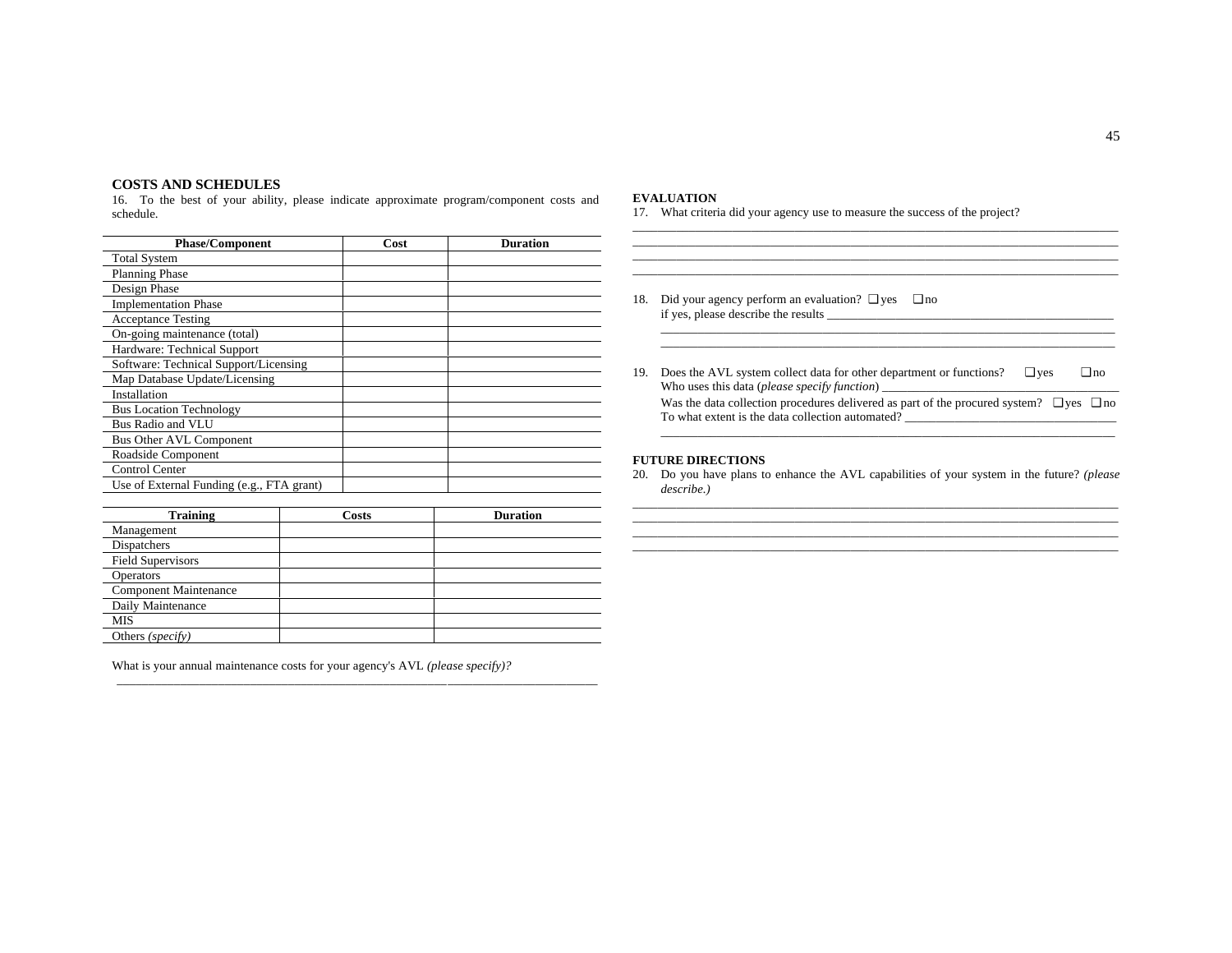#### **COSTS AND SCHEDULES**

16. To the best of your ability, please indicate approximate program/component costs and schedule.

| <b>Phase/Component</b>                    | Cost | <b>Duration</b> |
|-------------------------------------------|------|-----------------|
| <b>Total System</b>                       |      |                 |
| <b>Planning Phase</b>                     |      |                 |
| Design Phase                              |      |                 |
| <b>Implementation Phase</b>               |      |                 |
| <b>Acceptance Testing</b>                 |      |                 |
| On-going maintenance (total)              |      |                 |
| Hardware: Technical Support               |      |                 |
| Software: Technical Support/Licensing     |      |                 |
| Map Database Update/Licensing             |      |                 |
| Installation                              |      |                 |
| <b>Bus Location Technology</b>            |      |                 |
| Bus Radio and VLU                         |      |                 |
| <b>Bus Other AVL Component</b>            |      |                 |
| Roadside Component                        |      |                 |
| Control Center                            |      |                 |
| Use of External Funding (e.g., FTA grant) |      |                 |

| <b>Training</b>              | <b>Costs</b> | <b>Duration</b> |
|------------------------------|--------------|-----------------|
| Management                   |              |                 |
| Dispatchers                  |              |                 |
| <b>Field Supervisors</b>     |              |                 |
| <b>Operators</b>             |              |                 |
| <b>Component Maintenance</b> |              |                 |
| Daily Maintenance            |              |                 |
| <b>MIS</b>                   |              |                 |
| Others (specify)             |              |                 |

\_\_\_\_\_\_\_\_\_\_\_\_\_\_\_\_\_\_\_\_\_\_\_\_\_\_\_\_\_\_\_\_\_\_\_\_\_\_\_\_\_\_\_\_\_\_\_\_\_\_\_\_\_\_\_\_\_\_\_\_\_\_\_\_\_\_\_\_\_\_\_\_\_\_\_\_

What is your annual maintenance costs for your agency's AVL *(please specify)?*

#### **EVALUATION**

17. What criteria did your agency use to measure the success of the project?

- \_\_\_\_\_\_\_\_\_\_\_\_\_\_\_\_\_\_\_\_\_\_\_\_\_\_\_\_\_\_\_\_\_\_\_\_\_\_\_\_\_\_\_\_\_\_\_\_\_\_\_\_\_\_\_\_\_\_\_\_\_\_\_\_\_\_\_\_\_\_\_\_\_\_\_\_\_\_ 18. Did your agency perform an evaluation?  $\Box$  yes  $\Box$  no if yes, please describe the results \_\_\_\_\_\_\_\_\_\_\_\_\_\_\_\_\_\_\_\_\_\_\_\_\_\_\_\_\_\_\_\_\_\_\_\_\_\_\_\_\_\_\_\_\_\_ \_\_\_\_\_\_\_\_\_\_\_\_\_\_\_\_\_\_\_\_\_\_\_\_\_\_\_\_\_\_\_\_\_\_\_\_\_\_\_\_\_\_\_\_\_\_\_\_\_\_\_\_\_\_\_\_\_\_\_\_\_\_\_\_\_\_\_\_\_\_\_\_\_
- 19. Does the AVL system collect data for other department or functions?  $\Box$  yes  $\Box$  no Who uses this data (*please specify function*) \_ Was the data collection procedures delivered as part of the procured system?  $\Box$  yes  $\Box$  no To what extent is the data collection automated? \_\_\_\_\_\_\_\_\_\_\_\_\_\_\_\_\_\_\_\_\_\_\_\_\_\_\_\_\_\_\_\_\_\_\_\_\_\_\_\_\_\_\_\_\_\_\_\_\_\_\_\_\_\_\_\_\_\_\_\_\_\_\_\_\_\_\_\_\_\_\_\_\_

\_\_\_\_\_\_\_\_\_\_\_\_\_\_\_\_\_\_\_\_\_\_\_\_\_\_\_\_\_\_\_\_\_\_\_\_\_\_\_\_\_\_\_\_\_\_\_\_\_\_\_\_\_\_\_\_\_\_\_\_\_\_\_\_\_\_\_\_\_\_\_\_\_

\_\_\_\_\_\_\_\_\_\_\_\_\_\_\_\_\_\_\_\_\_\_\_\_\_\_\_\_\_\_\_\_\_\_\_\_\_\_\_\_\_\_\_\_\_\_\_\_\_\_\_\_\_\_\_\_\_\_\_\_\_\_\_\_\_\_\_\_\_\_\_\_\_\_\_\_\_\_ \_\_\_\_\_\_\_\_\_\_\_\_\_\_\_\_\_\_\_\_\_\_\_\_\_\_\_\_\_\_\_\_\_\_\_\_\_\_\_\_\_\_\_\_\_\_\_\_\_\_\_\_\_\_\_\_\_\_\_\_\_\_\_\_\_\_\_\_\_\_\_\_\_\_\_\_\_\_

#### **FUTURE DIRECTIONS**

20. Do you have plans to enhance the AVL capabilities of your system in the future? *(please describe.)* \_\_\_\_\_\_\_\_\_\_\_\_\_\_\_\_\_\_\_\_\_\_\_\_\_\_\_\_\_\_\_\_\_\_\_\_\_\_\_\_\_\_\_\_\_\_\_\_\_\_\_\_\_\_\_\_\_\_\_\_\_\_\_\_\_\_\_\_\_\_\_\_\_\_\_\_\_\_

\_\_\_\_\_\_\_\_\_\_\_\_\_\_\_\_\_\_\_\_\_\_\_\_\_\_\_\_\_\_\_\_\_\_\_\_\_\_\_\_\_\_\_\_\_\_\_\_\_\_\_\_\_\_\_\_\_\_\_\_\_\_\_\_\_\_\_\_\_\_\_\_\_\_\_\_\_\_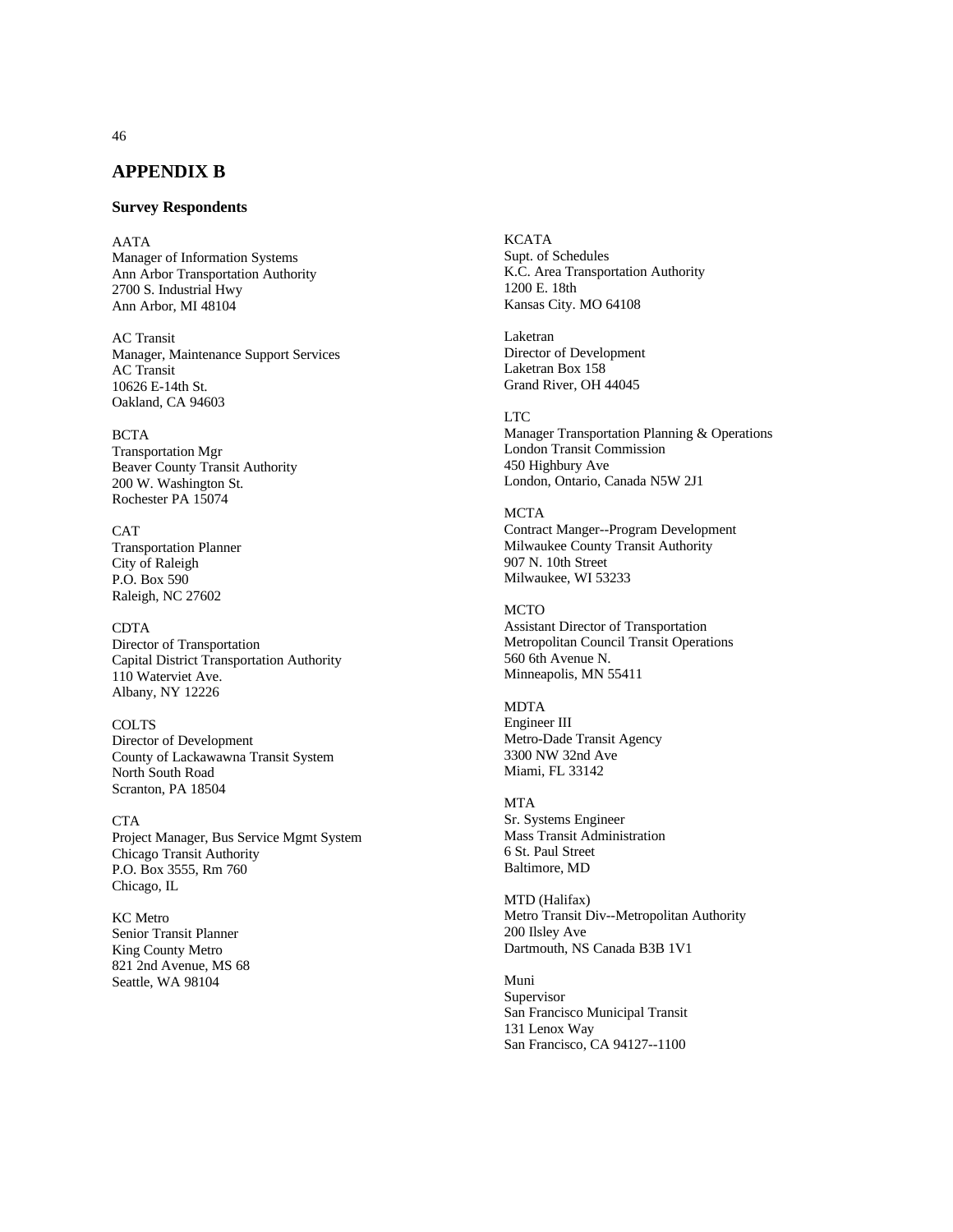# **APPENDIX B**

#### **Survey Respondents**

AATA Manager of Information Systems Ann Arbor Transportation Authority 2700 S. Industrial Hwy Ann Arbor, MI 48104

AC Transit Manager, Maintenance Support Services AC Transit 10626 E-14th St. Oakland, CA 94603

BCTA Transportation Mgr Beaver County Transit Authority 200 W. Washington St. Rochester PA 15074

CAT Transportation Planner City of Raleigh P.O. Box 590 Raleigh, NC 27602

CDTA

Director of Transportation Capital District Transportation Authority 110 Waterviet Ave. Albany, NY 12226

COLTS Director of Development County of Lackawawna Transit System North South Road Scranton, PA 18504

CTA Project Manager, Bus Service Mgmt System Chicago Transit Authority P.O. Box 3555, Rm 760 Chicago, IL

KC Metro Senior Transit Planner King County Metro 821 2nd Avenue, MS 68 Seattle, WA 98104

**KCATA** Supt. of Schedules K.C. Area Transportation Authority 1200 E. 18th Kansas City. MO 64108

Laketran Director of Development Laketran Box 158 Grand River, OH 44045

#### $ITC$

Manager Transportation Planning & Operations London Transit Commission 450 Highbury Ave London, Ontario, Canada N5W 2J1

#### **MCTA**

Contract Manger--Program Development Milwaukee County Transit Authority 907 N. 10th Street Milwaukee, WI 53233

#### **MCTO**

Assistant Director of Transportation Metropolitan Council Transit Operations 560 6th Avenue N. Minneapolis, MN 55411

#### MDTA

Engineer III Metro-Dade Transit Agency 3300 NW 32nd Ave Miami, FL 33142

### $MT\Delta$

Sr. Systems Engineer Mass Transit Administration 6 St. Paul Street Baltimore, MD

MTD (Halifax) Metro Transit Div--Metropolitan Authority 200 Ilsley Ave Dartmouth, NS Canada B3B 1V1

Muni Supervisor San Francisco Municipal Transit 131 Lenox Way San Francisco, CA 94127--1100

46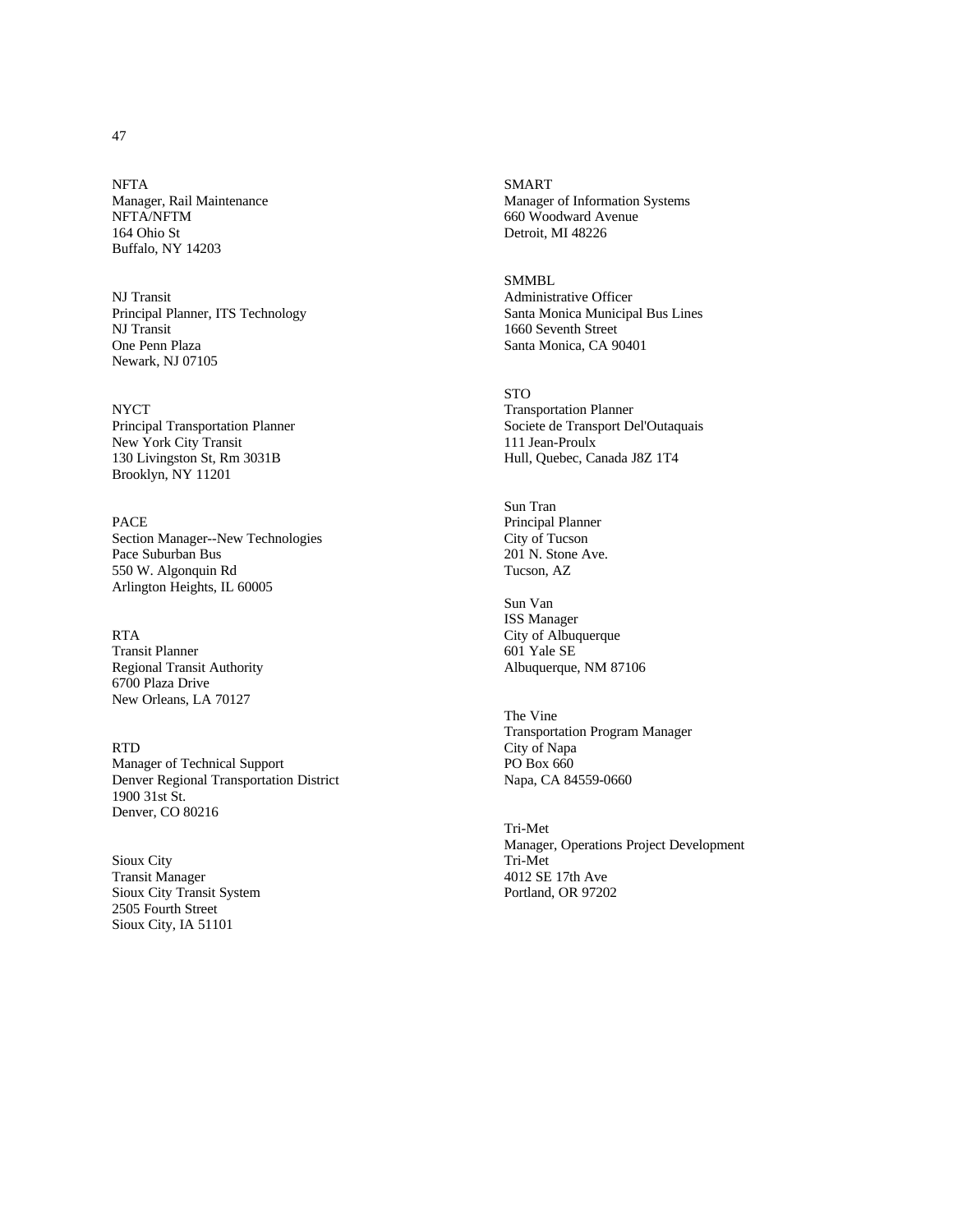NFTA Manager, Rail Maintenance NFTA/NFTM 164 Ohio St Buffalo, NY 14203

NJ Transit Principal Planner, ITS Technology NJ Transit One Penn Plaza Newark, NJ 07105

NYCT Principal Transportation Planner New York City Transit 130 Livingston St, Rm 3031B Brooklyn, NY 11201

PACE Section Manager--New Technologies Pace Suburban Bus 550 W. Algonquin Rd Arlington Heights, IL 60005

RTA Transit Planner Regional Transit Authority 6700 Plaza Drive New Orleans, LA 70127

RTD Manager of Technical Support Denver Regional Transportation District 1900 31st St. Denver, CO 80216

Sioux City Transit Manager Sioux City Transit System 2505 Fourth Street Sioux City, IA 51101

SMART Manager of Information Systems 660 Woodward Avenue Detroit, MI 48226

**SMMBL** Administrative Officer Santa Monica Municipal Bus Lines 1660 Seventh Street Santa Monica, CA 90401

STO Transportation Planner Societe de Transport Del'Outaquais 111 Jean-Proulx Hull, Quebec, Canada J8Z 1T4

Sun Tran Principal Planner City of Tucson 201 N. Stone Ave. Tucson, AZ

Sun Van ISS Manager City of Albuquerque 601 Yale SE Albuquerque, NM 87106

The Vine Transportation Program Manager City of Napa PO Box 660 Napa, CA 84559-0660

Tri-Met Manager, Operations Project Development Tri-Met 4012 SE 17th Ave Portland, OR 97202

47